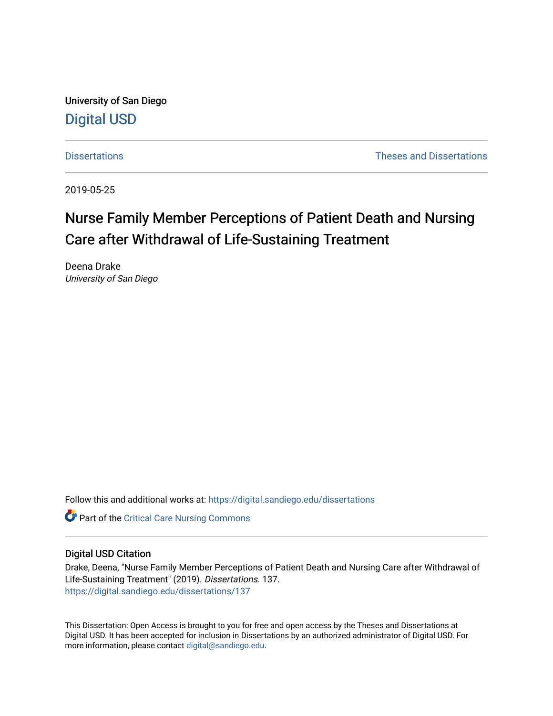University of San Diego [Digital USD](https://digital.sandiego.edu/)

[Dissertations](https://digital.sandiego.edu/dissertations) [Theses and Dissertations](https://digital.sandiego.edu/etd) 

2019-05-25

# Nurse Family Member Perceptions of Patient Death and Nursing Care after Withdrawal of Life-Sustaining Treatment

Deena Drake University of San Diego

Follow this and additional works at: [https://digital.sandiego.edu/dissertations](https://digital.sandiego.edu/dissertations?utm_source=digital.sandiego.edu%2Fdissertations%2F137&utm_medium=PDF&utm_campaign=PDFCoverPages)

**C** Part of the [Critical Care Nursing Commons](http://network.bepress.com/hgg/discipline/727?utm_source=digital.sandiego.edu%2Fdissertations%2F137&utm_medium=PDF&utm_campaign=PDFCoverPages)

## Digital USD Citation

Drake, Deena, "Nurse Family Member Perceptions of Patient Death and Nursing Care after Withdrawal of Life-Sustaining Treatment" (2019). Dissertations. 137. [https://digital.sandiego.edu/dissertations/137](https://digital.sandiego.edu/dissertations/137?utm_source=digital.sandiego.edu%2Fdissertations%2F137&utm_medium=PDF&utm_campaign=PDFCoverPages)

This Dissertation: Open Access is brought to you for free and open access by the Theses and Dissertations at Digital USD. It has been accepted for inclusion in Dissertations by an authorized administrator of Digital USD. For more information, please contact [digital@sandiego.edu.](mailto:digital@sandiego.edu)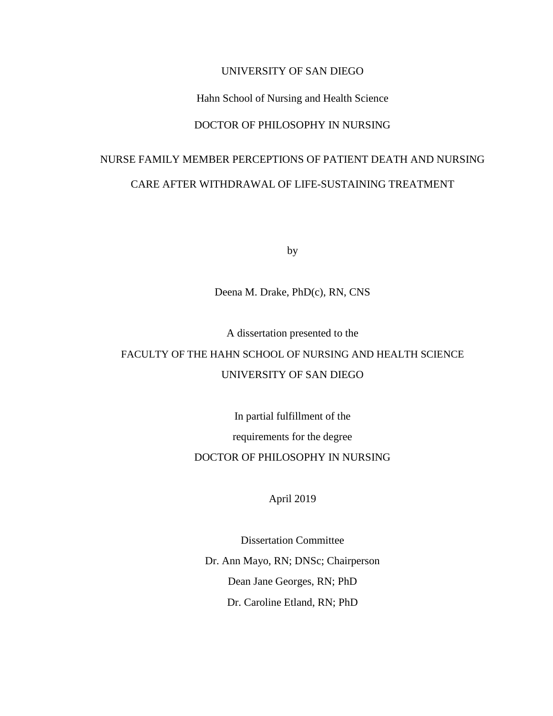# UNIVERSITY OF SAN DIEGO

# Hahn School of Nursing and Health Science

# DOCTOR OF PHILOSOPHY IN NURSING

# NURSE FAMILY MEMBER PERCEPTIONS OF PATIENT DEATH AND NURSING CARE AFTER WITHDRAWAL OF LIFE-SUSTAINING TREATMENT

by

# Deena M. Drake, PhD(c), RN, CNS

A dissertation presented to the

# FACULTY OF THE HAHN SCHOOL OF NURSING AND HEALTH SCIENCE UNIVERSITY OF SAN DIEGO

In partial fulfillment of the

requirements for the degree

# DOCTOR OF PHILOSOPHY IN NURSING

April 2019

Dissertation Committee Dr. Ann Mayo, RN; DNSc; Chairperson Dean Jane Georges, RN; PhD Dr. Caroline Etland, RN; PhD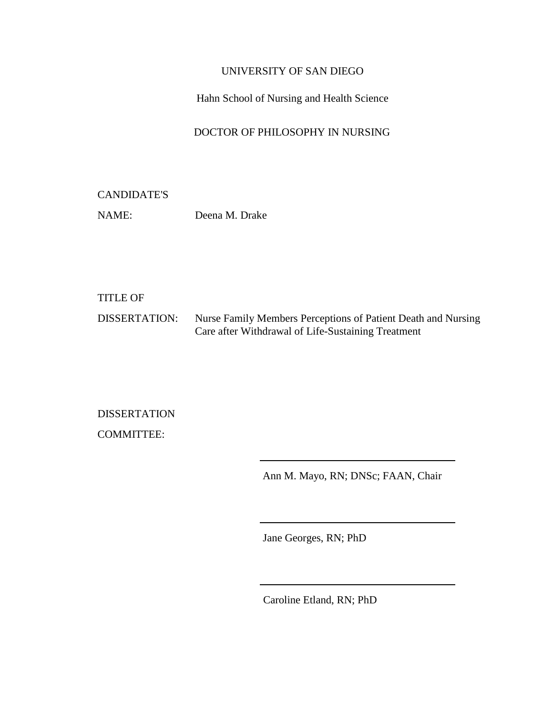# UNIVERSITY OF SAN DIEGO

# Hahn School of Nursing and Health Science

# DOCTOR OF PHILOSOPHY IN NURSING

# CANDIDATE'S

NAME: Deena M. Drake

# TITLE OF

DISSERTATION: Nurse Family Members Perceptions of Patient Death and Nursing Care after Withdrawal of Life-Sustaining Treatment

DISSERTATION COMMITTEE:

Ann M. Mayo, RN; DNSc; FAAN, Chair

Jane Georges, RN; PhD

Caroline Etland, RN; PhD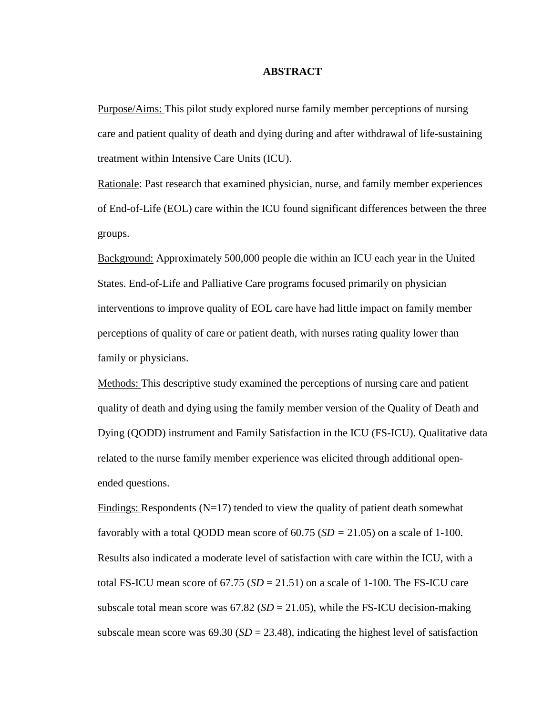# **ABSTRACT**

Purpose/Aims: This pilot study explored nurse family member perceptions of nursing care and patient quality of death and dying during and after withdrawal of life-sustaining treatment within Intensive Care Units (ICU).

Rationale: Past research that examined physician, nurse, and family member experiences of End-of-Life (EOL) care within the ICU found significant differences between the three groups.

Background: Approximately 500,000 people die within an ICU each year in the United States. End-of-Life and Palliative Care programs focused primarily on physician interventions to improve quality of EOL care have had little impact on family member perceptions of quality of care or patient death, with nurses rating quality lower than family or physicians.

Methods: This descriptive study examined the perceptions of nursing care and patient quality of death and dying using the family member version of the Quality of Death and Dying (QODD) instrument and Family Satisfaction in the ICU (FS-ICU). Qualitative data related to the nurse family member experience was elicited through additional openended questions.

Findings: Respondents  $(N=17)$  tended to view the quality of patient death somewhat favorably with a total QODD mean score of 60.75 (*SD =* 21.05) on a scale of 1-100. Results also indicated a moderate level of satisfaction with care within the ICU, with a total FS-ICU mean score of  $67.75$   $(SD = 21.51)$  on a scale of 1-100. The FS-ICU care subscale total mean score was  $67.82$  ( $SD = 21.05$ ), while the FS-ICU decision-making subscale mean score was  $69.30$  ( $SD = 23.48$ ), indicating the highest level of satisfaction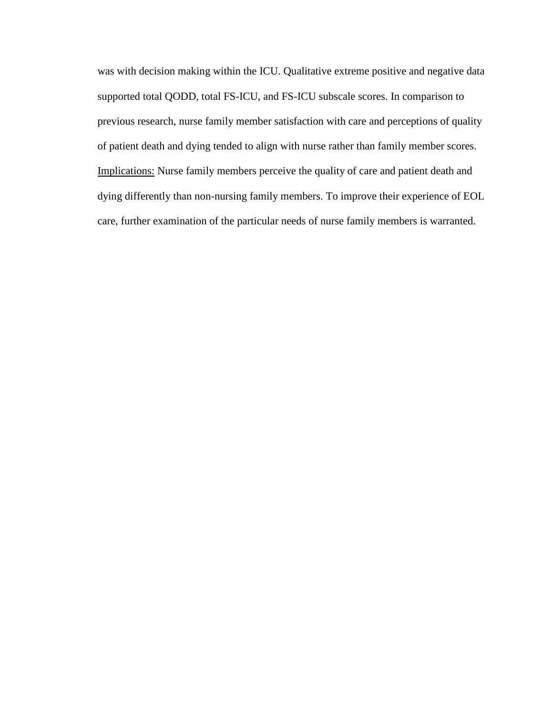was with decision making within the ICU. Qualitative extreme positive and negative data supported total QODD, total FS-ICU, and FS-ICU subscale scores. In comparison to previous research, nurse family member satisfaction with care and perceptions of quality of patient death and dying tended to align with nurse rather than family member scores. Implications: Nurse family members perceive the quality of care and patient death and dying differently than non-nursing family members. To improve their experience of EOL care, further examination of the particular needs of nurse family members is warranted.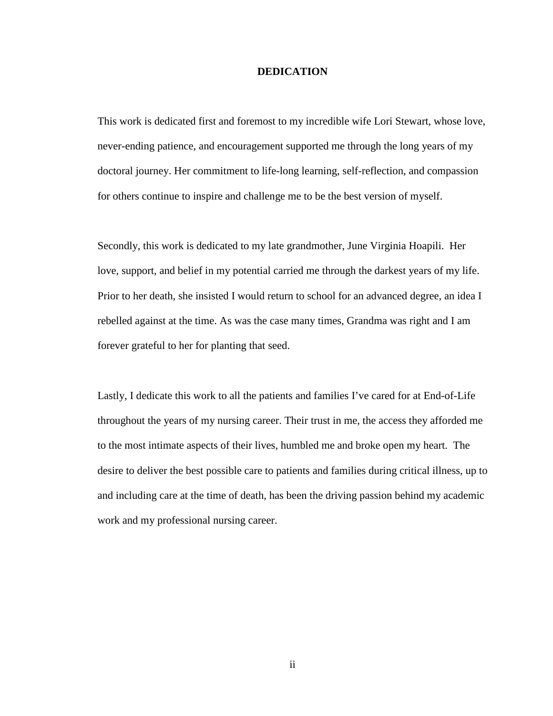# **DEDICATION**

<span id="page-6-0"></span>This work is dedicated first and foremost to my incredible wife Lori Stewart, whose love, never-ending patience, and encouragement supported me through the long years of my doctoral journey. Her commitment to life-long learning, self-reflection, and compassion for others continue to inspire and challenge me to be the best version of myself.

Secondly, this work is dedicated to my late grandmother, June Virginia Hoapili. Her love, support, and belief in my potential carried me through the darkest years of my life. Prior to her death, she insisted I would return to school for an advanced degree, an idea I rebelled against at the time. As was the case many times, Grandma was right and I am forever grateful to her for planting that seed.

Lastly, I dedicate this work to all the patients and families I've cared for at End-of-Life throughout the years of my nursing career. Their trust in me, the access they afforded me to the most intimate aspects of their lives, humbled me and broke open my heart. The desire to deliver the best possible care to patients and families during critical illness, up to and including care at the time of death, has been the driving passion behind my academic work and my professional nursing career.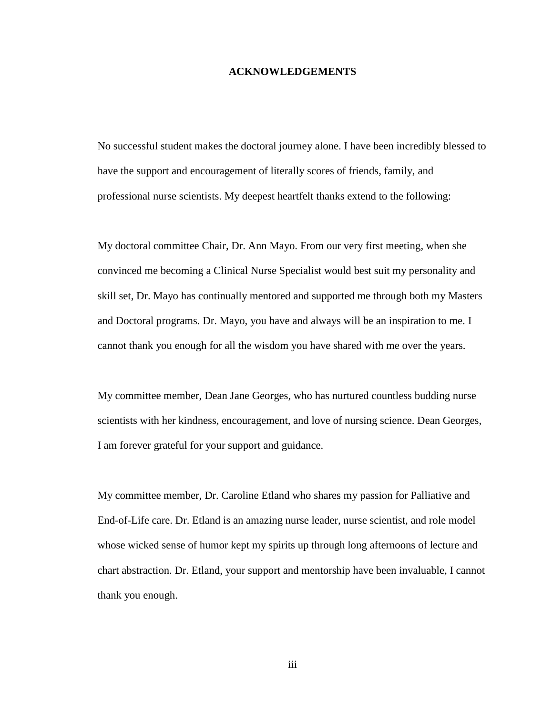# **ACKNOWLEDGEMENTS**

<span id="page-7-0"></span>No successful student makes the doctoral journey alone. I have been incredibly blessed to have the support and encouragement of literally scores of friends, family, and professional nurse scientists. My deepest heartfelt thanks extend to the following:

My doctoral committee Chair, Dr. Ann Mayo. From our very first meeting, when she convinced me becoming a Clinical Nurse Specialist would best suit my personality and skill set, Dr. Mayo has continually mentored and supported me through both my Masters and Doctoral programs. Dr. Mayo, you have and always will be an inspiration to me. I cannot thank you enough for all the wisdom you have shared with me over the years.

My committee member, Dean Jane Georges, who has nurtured countless budding nurse scientists with her kindness, encouragement, and love of nursing science. Dean Georges, I am forever grateful for your support and guidance.

My committee member, Dr. Caroline Etland who shares my passion for Palliative and End-of-Life care. Dr. Etland is an amazing nurse leader, nurse scientist, and role model whose wicked sense of humor kept my spirits up through long afternoons of lecture and chart abstraction. Dr. Etland, your support and mentorship have been invaluable, I cannot thank you enough.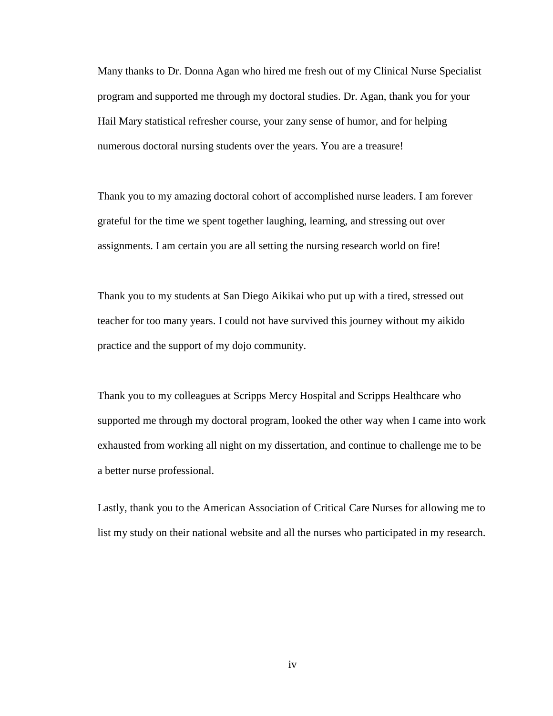Many thanks to Dr. Donna Agan who hired me fresh out of my Clinical Nurse Specialist program and supported me through my doctoral studies. Dr. Agan, thank you for your Hail Mary statistical refresher course, your zany sense of humor, and for helping numerous doctoral nursing students over the years. You are a treasure!

Thank you to my amazing doctoral cohort of accomplished nurse leaders. I am forever grateful for the time we spent together laughing, learning, and stressing out over assignments. I am certain you are all setting the nursing research world on fire!

Thank you to my students at San Diego Aikikai who put up with a tired, stressed out teacher for too many years. I could not have survived this journey without my aikido practice and the support of my dojo community.

Thank you to my colleagues at Scripps Mercy Hospital and Scripps Healthcare who supported me through my doctoral program, looked the other way when I came into work exhausted from working all night on my dissertation, and continue to challenge me to be a better nurse professional.

Lastly, thank you to the American Association of Critical Care Nurses for allowing me to list my study on their national website and all the nurses who participated in my research.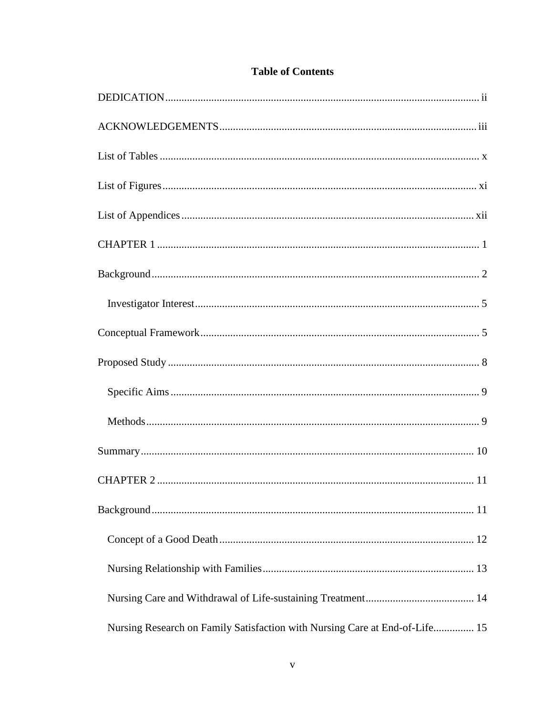| Nursing Research on Family Satisfaction with Nursing Care at End-of-Life 15 |
|-----------------------------------------------------------------------------|

# **Table of Contents**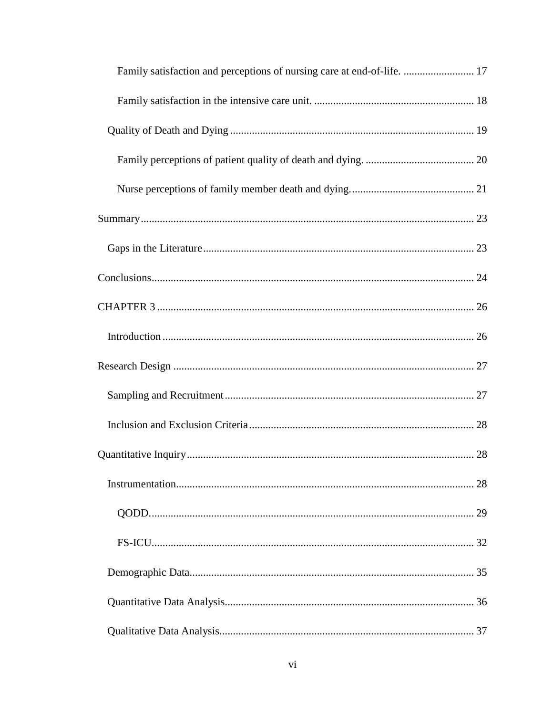| Family satisfaction and perceptions of nursing care at end-of-life.  17 |  |
|-------------------------------------------------------------------------|--|
|                                                                         |  |
|                                                                         |  |
|                                                                         |  |
|                                                                         |  |
|                                                                         |  |
|                                                                         |  |
|                                                                         |  |
|                                                                         |  |
|                                                                         |  |
|                                                                         |  |
|                                                                         |  |
|                                                                         |  |
|                                                                         |  |
|                                                                         |  |
|                                                                         |  |
|                                                                         |  |
|                                                                         |  |
|                                                                         |  |
|                                                                         |  |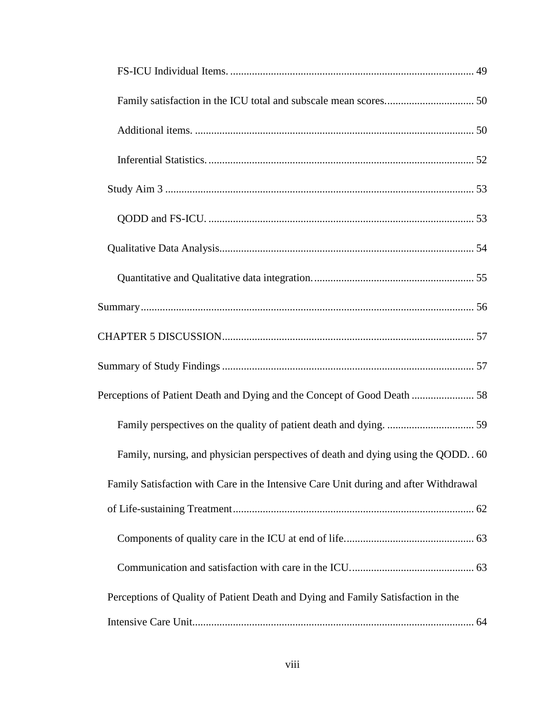| Perceptions of Patient Death and Dying and the Concept of Good Death  58             |  |
|--------------------------------------------------------------------------------------|--|
|                                                                                      |  |
| Family, nursing, and physician perspectives of death and dying using the QODD. 60    |  |
| Family Satisfaction with Care in the Intensive Care Unit during and after Withdrawal |  |
|                                                                                      |  |
|                                                                                      |  |
|                                                                                      |  |
| Perceptions of Quality of Patient Death and Dying and Family Satisfaction in the     |  |
|                                                                                      |  |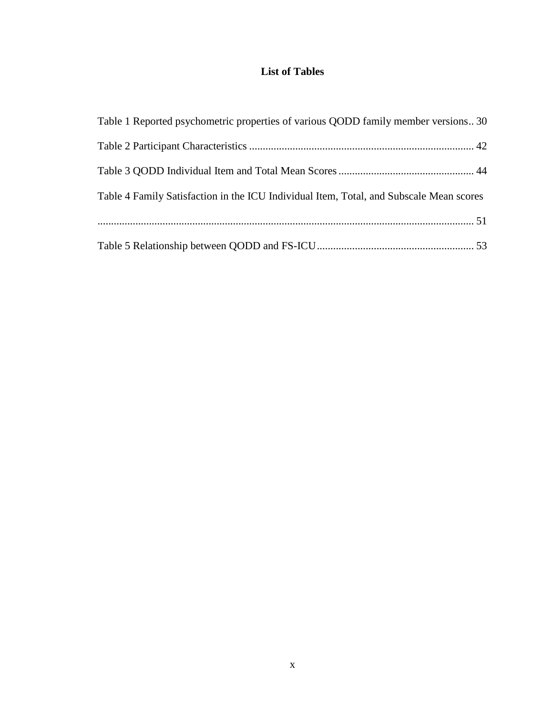# **List of Tables**

<span id="page-14-0"></span>

| Table 1 Reported psychometric properties of various QODD family member versions 30      |  |
|-----------------------------------------------------------------------------------------|--|
|                                                                                         |  |
|                                                                                         |  |
| Table 4 Family Satisfaction in the ICU Individual Item, Total, and Subscale Mean scores |  |
|                                                                                         |  |
|                                                                                         |  |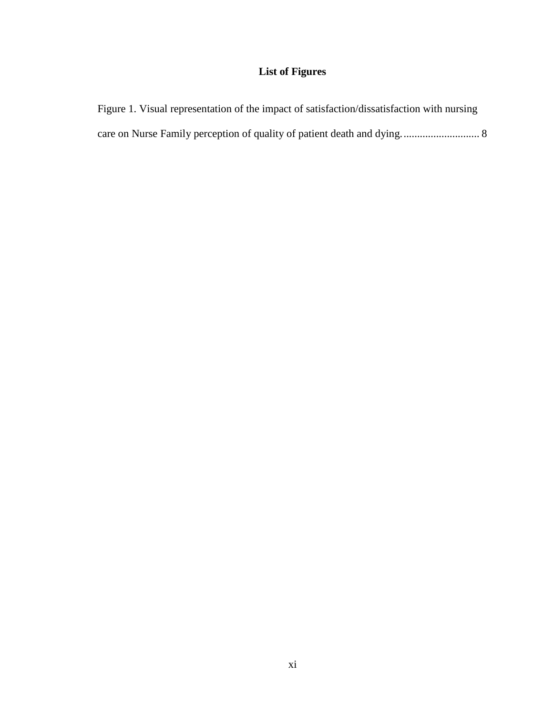# **List of Figures**

<span id="page-15-0"></span>

| Figure 1. Visual representation of the impact of satisfaction/dissatisfaction with nursing |
|--------------------------------------------------------------------------------------------|
|                                                                                            |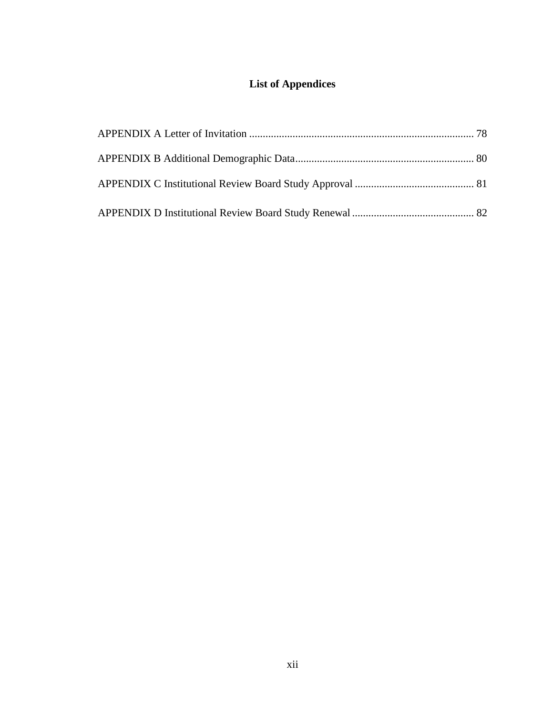# **List of Appendices**

<span id="page-16-0"></span>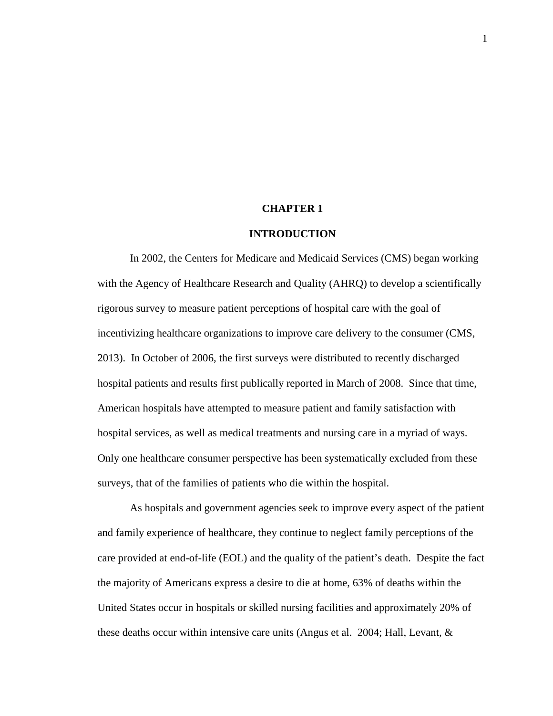# **CHAPTER 1**

# **INTRODUCTION**

<span id="page-17-0"></span>In 2002, the Centers for Medicare and Medicaid Services (CMS) began working with the Agency of Healthcare Research and Quality (AHRQ) to develop a scientifically rigorous survey to measure patient perceptions of hospital care with the goal of incentivizing healthcare organizations to improve care delivery to the consumer (CMS, 2013). In October of 2006, the first surveys were distributed to recently discharged hospital patients and results first publically reported in March of 2008. Since that time, American hospitals have attempted to measure patient and family satisfaction with hospital services, as well as medical treatments and nursing care in a myriad of ways. Only one healthcare consumer perspective has been systematically excluded from these surveys, that of the families of patients who die within the hospital.

As hospitals and government agencies seek to improve every aspect of the patient and family experience of healthcare, they continue to neglect family perceptions of the care provided at end-of-life (EOL) and the quality of the patient's death. Despite the fact the majority of Americans express a desire to die at home, 63% of deaths within the United States occur in hospitals or skilled nursing facilities and approximately 20% of these deaths occur within intensive care units (Angus et al. 2004; Hall, Levant, &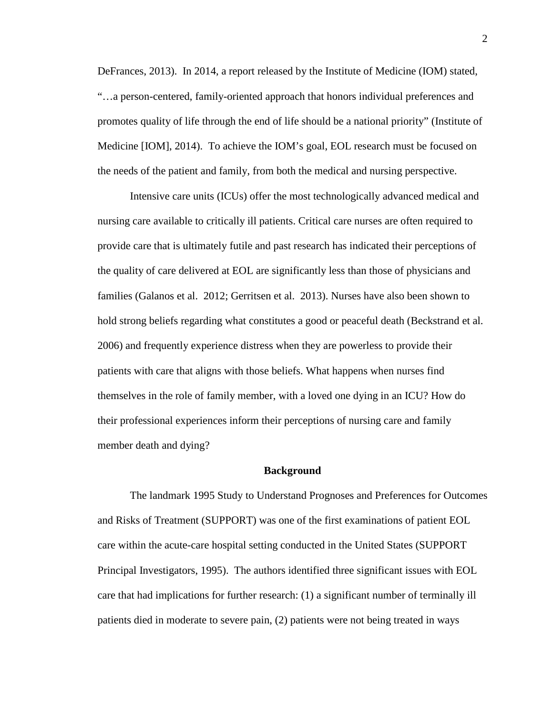DeFrances, 2013). In 2014, a report released by the Institute of Medicine (IOM) stated, "…a person-centered, family-oriented approach that honors individual preferences and promotes quality of life through the end of life should be a national priority" (Institute of Medicine [IOM], 2014). To achieve the IOM's goal, EOL research must be focused on the needs of the patient and family, from both the medical and nursing perspective.

Intensive care units (ICUs) offer the most technologically advanced medical and nursing care available to critically ill patients. Critical care nurses are often required to provide care that is ultimately futile and past research has indicated their perceptions of the quality of care delivered at EOL are significantly less than those of physicians and families (Galanos et al. 2012; Gerritsen et al. 2013). Nurses have also been shown to hold strong beliefs regarding what constitutes a good or peaceful death (Beckstrand et al. 2006) and frequently experience distress when they are powerless to provide their patients with care that aligns with those beliefs. What happens when nurses find themselves in the role of family member, with a loved one dying in an ICU? How do their professional experiences inform their perceptions of nursing care and family member death and dying?

#### **Background**

<span id="page-18-0"></span>The landmark 1995 Study to Understand Prognoses and Preferences for Outcomes and Risks of Treatment (SUPPORT) was one of the first examinations of patient EOL care within the acute-care hospital setting conducted in the United States (SUPPORT Principal Investigators, 1995). The authors identified three significant issues with EOL care that had implications for further research: (1) a significant number of terminally ill patients died in moderate to severe pain, (2) patients were not being treated in ways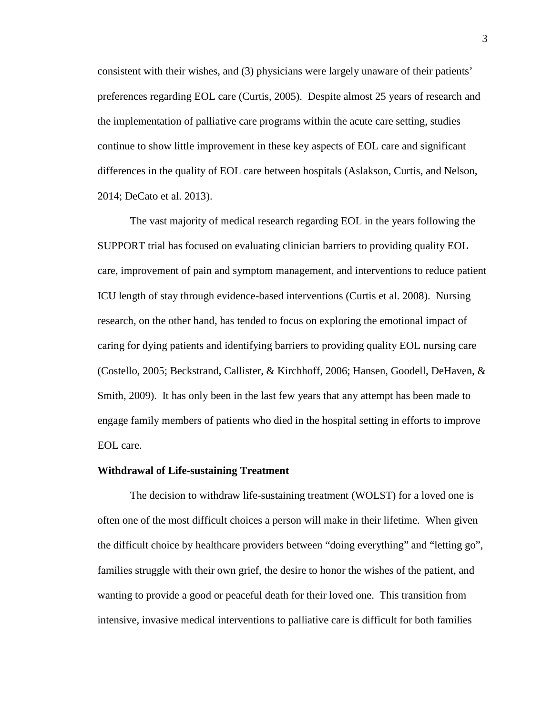consistent with their wishes, and (3) physicians were largely unaware of their patients' preferences regarding EOL care (Curtis, 2005). Despite almost 25 years of research and the implementation of palliative care programs within the acute care setting, studies continue to show little improvement in these key aspects of EOL care and significant differences in the quality of EOL care between hospitals (Aslakson, Curtis, and Nelson, 2014; DeCato et al. 2013).

The vast majority of medical research regarding EOL in the years following the SUPPORT trial has focused on evaluating clinician barriers to providing quality EOL care, improvement of pain and symptom management, and interventions to reduce patient ICU length of stay through evidence-based interventions (Curtis et al. 2008). Nursing research, on the other hand, has tended to focus on exploring the emotional impact of caring for dying patients and identifying barriers to providing quality EOL nursing care (Costello, 2005; Beckstrand, Callister, & Kirchhoff, 2006; Hansen, Goodell, DeHaven, & Smith, 2009). It has only been in the last few years that any attempt has been made to engage family members of patients who died in the hospital setting in efforts to improve EOL care.

#### **Withdrawal of Life-sustaining Treatment**

The decision to withdraw life-sustaining treatment (WOLST) for a loved one is often one of the most difficult choices a person will make in their lifetime. When given the difficult choice by healthcare providers between "doing everything" and "letting go", families struggle with their own grief, the desire to honor the wishes of the patient, and wanting to provide a good or peaceful death for their loved one. This transition from intensive, invasive medical interventions to palliative care is difficult for both families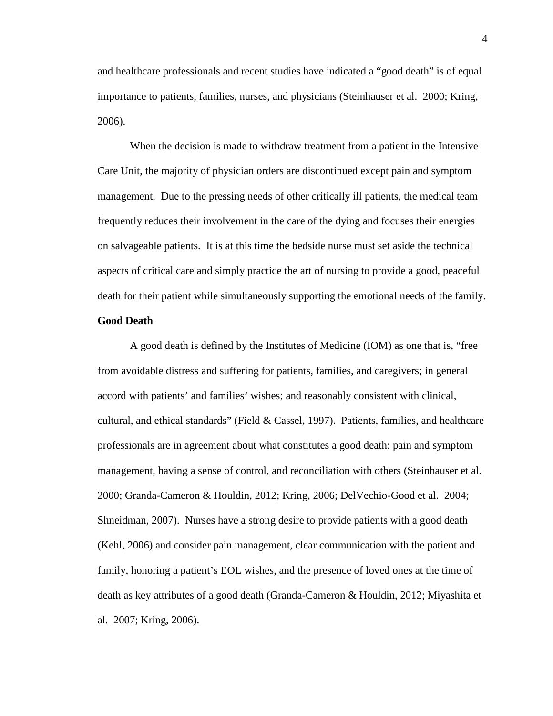and healthcare professionals and recent studies have indicated a "good death" is of equal importance to patients, families, nurses, and physicians (Steinhauser et al. 2000; Kring, 2006).

When the decision is made to withdraw treatment from a patient in the Intensive Care Unit, the majority of physician orders are discontinued except pain and symptom management. Due to the pressing needs of other critically ill patients, the medical team frequently reduces their involvement in the care of the dying and focuses their energies on salvageable patients. It is at this time the bedside nurse must set aside the technical aspects of critical care and simply practice the art of nursing to provide a good, peaceful death for their patient while simultaneously supporting the emotional needs of the family.

# **Good Death**

A good death is defined by the Institutes of Medicine (IOM) as one that is, "free from avoidable distress and suffering for patients, families, and caregivers; in general accord with patients' and families' wishes; and reasonably consistent with clinical, cultural, and ethical standards" (Field & Cassel, 1997). Patients, families, and healthcare professionals are in agreement about what constitutes a good death: pain and symptom management, having a sense of control, and reconciliation with others (Steinhauser et al. 2000; Granda-Cameron & Houldin, 2012; Kring, 2006; DelVechio-Good et al. 2004; Shneidman, 2007). Nurses have a strong desire to provide patients with a good death (Kehl, 2006) and consider pain management, clear communication with the patient and family, honoring a patient's EOL wishes, and the presence of loved ones at the time of death as key attributes of a good death (Granda-Cameron & Houldin, 2012; Miyashita et al. 2007; Kring, 2006).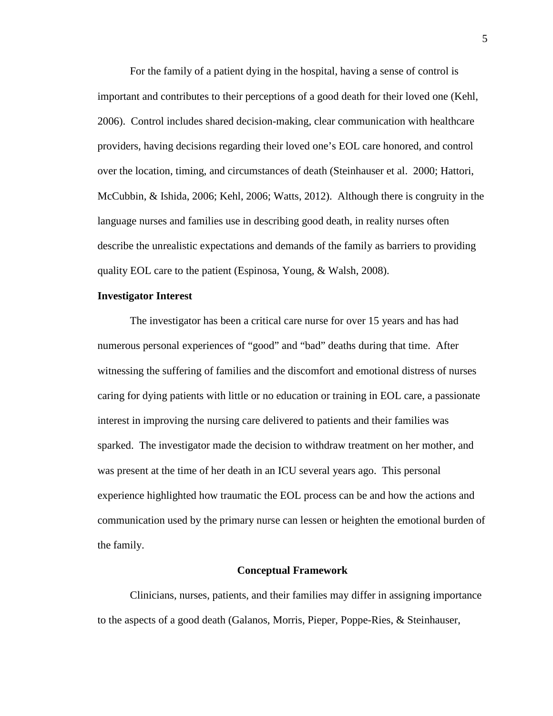For the family of a patient dying in the hospital, having a sense of control is important and contributes to their perceptions of a good death for their loved one (Kehl, 2006). Control includes shared decision-making, clear communication with healthcare providers, having decisions regarding their loved one's EOL care honored, and control over the location, timing, and circumstances of death (Steinhauser et al. 2000; Hattori, McCubbin, & Ishida, 2006; Kehl, 2006; Watts, 2012). Although there is congruity in the language nurses and families use in describing good death, in reality nurses often describe the unrealistic expectations and demands of the family as barriers to providing quality EOL care to the patient (Espinosa, Young, & Walsh, 2008).

# <span id="page-21-0"></span>**Investigator Interest**

The investigator has been a critical care nurse for over 15 years and has had numerous personal experiences of "good" and "bad" deaths during that time. After witnessing the suffering of families and the discomfort and emotional distress of nurses caring for dying patients with little or no education or training in EOL care, a passionate interest in improving the nursing care delivered to patients and their families was sparked. The investigator made the decision to withdraw treatment on her mother, and was present at the time of her death in an ICU several years ago. This personal experience highlighted how traumatic the EOL process can be and how the actions and communication used by the primary nurse can lessen or heighten the emotional burden of the family.

#### **Conceptual Framework**

<span id="page-21-1"></span>Clinicians, nurses, patients, and their families may differ in assigning importance to the aspects of a good death (Galanos, Morris, Pieper, Poppe-Ries, & Steinhauser,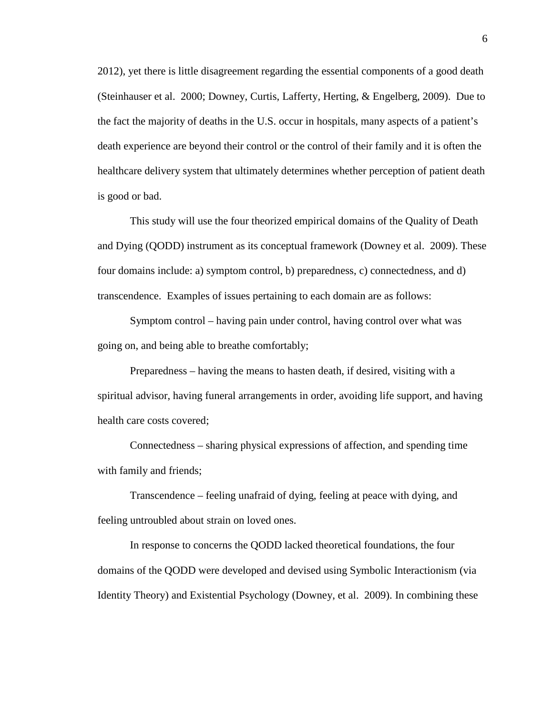2012), yet there is little disagreement regarding the essential components of a good death (Steinhauser et al. 2000; Downey, Curtis, Lafferty, Herting, & Engelberg, 2009). Due to the fact the majority of deaths in the U.S. occur in hospitals, many aspects of a patient's death experience are beyond their control or the control of their family and it is often the healthcare delivery system that ultimately determines whether perception of patient death is good or bad.

This study will use the four theorized empirical domains of the Quality of Death and Dying (QODD) instrument as its conceptual framework (Downey et al. 2009). These four domains include: a) symptom control, b) preparedness, c) connectedness, and d) transcendence. Examples of issues pertaining to each domain are as follows:

Symptom control – having pain under control, having control over what was going on, and being able to breathe comfortably;

Preparedness – having the means to hasten death, if desired, visiting with a spiritual advisor, having funeral arrangements in order, avoiding life support, and having health care costs covered;

Connectedness – sharing physical expressions of affection, and spending time with family and friends;

Transcendence – feeling unafraid of dying, feeling at peace with dying, and feeling untroubled about strain on loved ones.

In response to concerns the QODD lacked theoretical foundations, the four domains of the QODD were developed and devised using Symbolic Interactionism (via Identity Theory) and Existential Psychology (Downey, et al. 2009). In combining these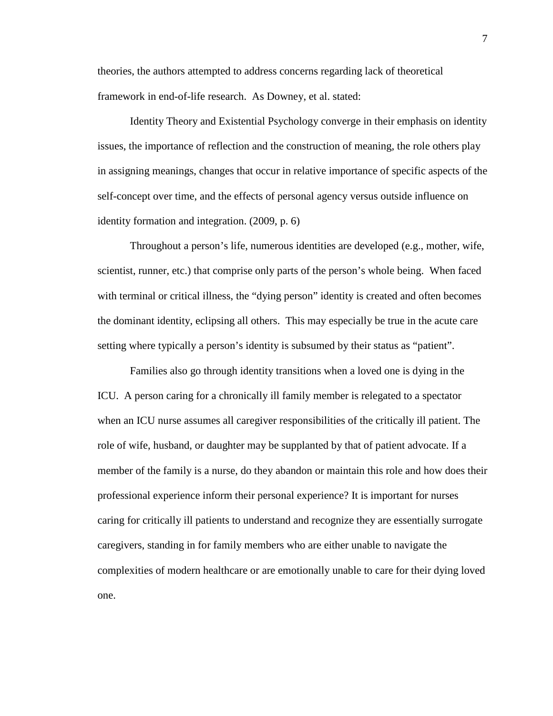theories, the authors attempted to address concerns regarding lack of theoretical framework in end-of-life research. As Downey, et al. stated:

Identity Theory and Existential Psychology converge in their emphasis on identity issues, the importance of reflection and the construction of meaning, the role others play in assigning meanings, changes that occur in relative importance of specific aspects of the self-concept over time, and the effects of personal agency versus outside influence on identity formation and integration. (2009, p. 6)

Throughout a person's life, numerous identities are developed (e.g., mother, wife, scientist, runner, etc.) that comprise only parts of the person's whole being. When faced with terminal or critical illness, the "dying person" identity is created and often becomes the dominant identity, eclipsing all others. This may especially be true in the acute care setting where typically a person's identity is subsumed by their status as "patient".

Families also go through identity transitions when a loved one is dying in the ICU. A person caring for a chronically ill family member is relegated to a spectator when an ICU nurse assumes all caregiver responsibilities of the critically ill patient. The role of wife, husband, or daughter may be supplanted by that of patient advocate. If a member of the family is a nurse, do they abandon or maintain this role and how does their professional experience inform their personal experience? It is important for nurses caring for critically ill patients to understand and recognize they are essentially surrogate caregivers, standing in for family members who are either unable to navigate the complexities of modern healthcare or are emotionally unable to care for their dying loved one.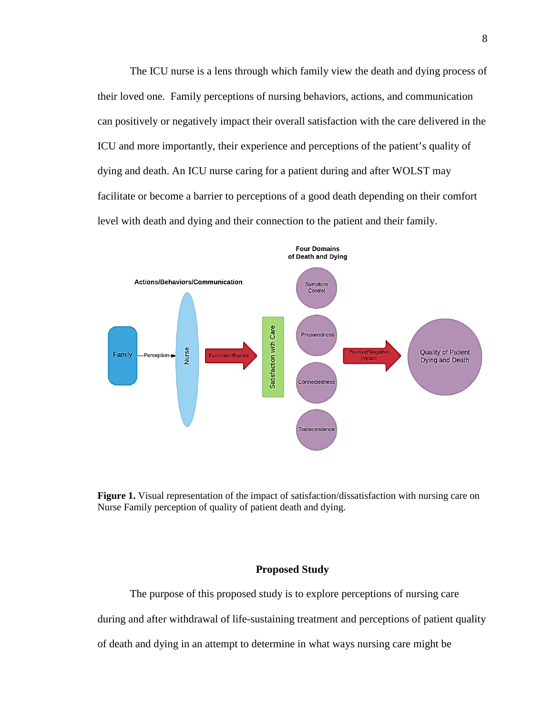The ICU nurse is a lens through which family view the death and dying process of their loved one. Family perceptions of nursing behaviors, actions, and communication can positively or negatively impact their overall satisfaction with the care delivered in the ICU and more importantly, their experience and perceptions of the patient's quality of dying and death. An ICU nurse caring for a patient during and after WOLST may facilitate or become a barrier to perceptions of a good death depending on their comfort level with death and dying and their connection to the patient and their family.



<span id="page-24-1"></span>

# **Proposed Study**

<span id="page-24-0"></span>The purpose of this proposed study is to explore perceptions of nursing care during and after withdrawal of life-sustaining treatment and perceptions of patient quality

of death and dying in an attempt to determine in what ways nursing care might be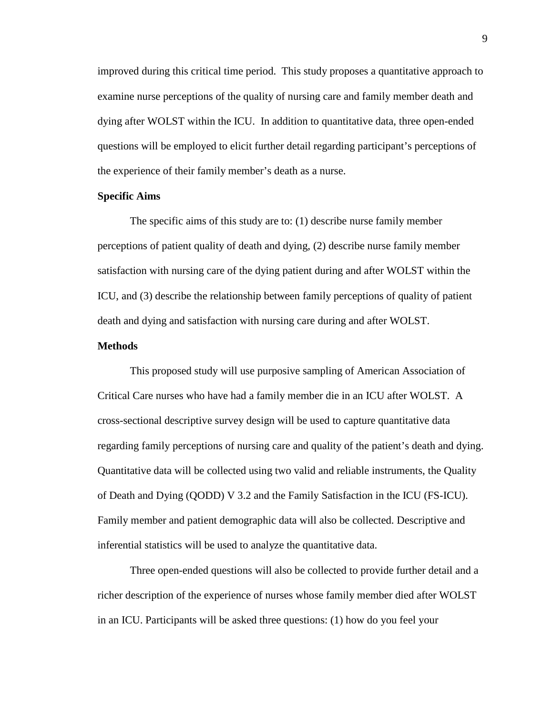improved during this critical time period. This study proposes a quantitative approach to examine nurse perceptions of the quality of nursing care and family member death and dying after WOLST within the ICU. In addition to quantitative data, three open-ended questions will be employed to elicit further detail regarding participant's perceptions of the experience of their family member's death as a nurse.

# <span id="page-25-0"></span>**Specific Aims**

The specific aims of this study are to: (1) describe nurse family member perceptions of patient quality of death and dying, (2) describe nurse family member satisfaction with nursing care of the dying patient during and after WOLST within the ICU, and (3) describe the relationship between family perceptions of quality of patient death and dying and satisfaction with nursing care during and after WOLST.

# <span id="page-25-1"></span>**Methods**

This proposed study will use purposive sampling of American Association of Critical Care nurses who have had a family member die in an ICU after WOLST. A cross-sectional descriptive survey design will be used to capture quantitative data regarding family perceptions of nursing care and quality of the patient's death and dying. Quantitative data will be collected using two valid and reliable instruments, the Quality of Death and Dying (QODD) V 3.2 and the Family Satisfaction in the ICU (FS-ICU). Family member and patient demographic data will also be collected. Descriptive and inferential statistics will be used to analyze the quantitative data.

Three open-ended questions will also be collected to provide further detail and a richer description of the experience of nurses whose family member died after WOLST in an ICU. Participants will be asked three questions: (1) how do you feel your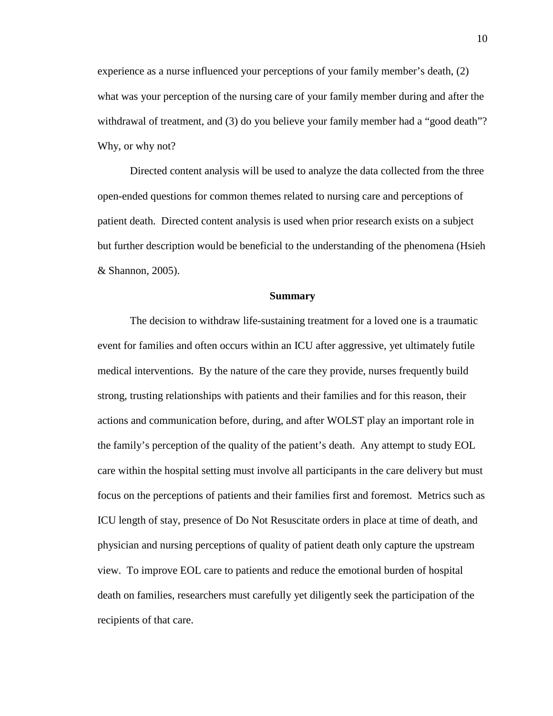experience as a nurse influenced your perceptions of your family member's death, (2) what was your perception of the nursing care of your family member during and after the withdrawal of treatment, and (3) do you believe your family member had a "good death"? Why, or why not?

Directed content analysis will be used to analyze the data collected from the three open-ended questions for common themes related to nursing care and perceptions of patient death. Directed content analysis is used when prior research exists on a subject but further description would be beneficial to the understanding of the phenomena (Hsieh & Shannon, 2005).

#### **Summary**

<span id="page-26-0"></span>The decision to withdraw life-sustaining treatment for a loved one is a traumatic event for families and often occurs within an ICU after aggressive, yet ultimately futile medical interventions. By the nature of the care they provide, nurses frequently build strong, trusting relationships with patients and their families and for this reason, their actions and communication before, during, and after WOLST play an important role in the family's perception of the quality of the patient's death. Any attempt to study EOL care within the hospital setting must involve all participants in the care delivery but must focus on the perceptions of patients and their families first and foremost. Metrics such as ICU length of stay, presence of Do Not Resuscitate orders in place at time of death, and physician and nursing perceptions of quality of patient death only capture the upstream view. To improve EOL care to patients and reduce the emotional burden of hospital death on families, researchers must carefully yet diligently seek the participation of the recipients of that care.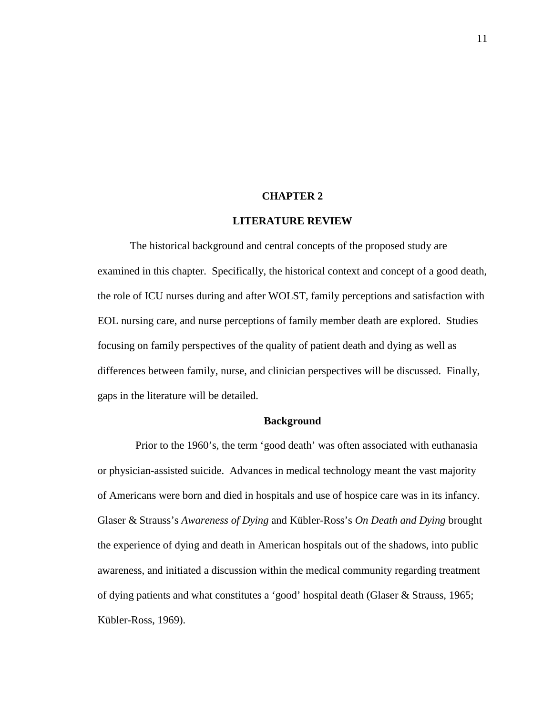#### **CHAPTER 2**

# **LITERATURE REVIEW**

<span id="page-27-0"></span>The historical background and central concepts of the proposed study are examined in this chapter. Specifically, the historical context and concept of a good death, the role of ICU nurses during and after WOLST, family perceptions and satisfaction with EOL nursing care, and nurse perceptions of family member death are explored. Studies focusing on family perspectives of the quality of patient death and dying as well as differences between family, nurse, and clinician perspectives will be discussed. Finally, gaps in the literature will be detailed.

# **Background**

<span id="page-27-1"></span> Prior to the 1960's, the term 'good death' was often associated with euthanasia or physician-assisted suicide. Advances in medical technology meant the vast majority of Americans were born and died in hospitals and use of hospice care was in its infancy. Glaser & Strauss's *Awareness of Dying* and Kübler-Ross's *On Death and Dying* brought the experience of dying and death in American hospitals out of the shadows, into public awareness, and initiated a discussion within the medical community regarding treatment of dying patients and what constitutes a 'good' hospital death (Glaser & Strauss, 1965; Kübler-Ross, 1969).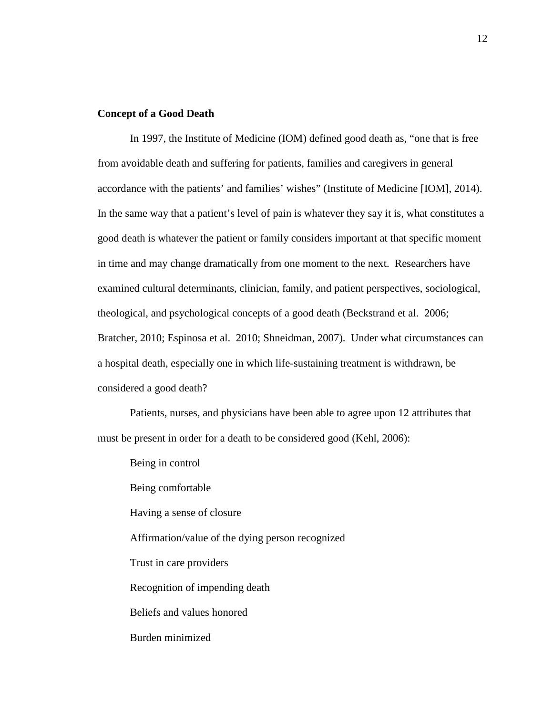# <span id="page-28-0"></span>**Concept of a Good Death**

In 1997, the Institute of Medicine (IOM) defined good death as, "one that is free from avoidable death and suffering for patients, families and caregivers in general accordance with the patients' and families' wishes" (Institute of Medicine [IOM], 2014). In the same way that a patient's level of pain is whatever they say it is, what constitutes a good death is whatever the patient or family considers important at that specific moment in time and may change dramatically from one moment to the next. Researchers have examined cultural determinants, clinician, family, and patient perspectives, sociological, theological, and psychological concepts of a good death (Beckstrand et al. 2006; Bratcher, 2010; Espinosa et al. 2010; Shneidman, 2007). Under what circumstances can a hospital death, especially one in which life-sustaining treatment is withdrawn, be considered a good death?

Patients, nurses, and physicians have been able to agree upon 12 attributes that must be present in order for a death to be considered good (Kehl, 2006):

Being in control Being comfortable Having a sense of closure Affirmation/value of the dying person recognized Trust in care providers Recognition of impending death Beliefs and values honored Burden minimized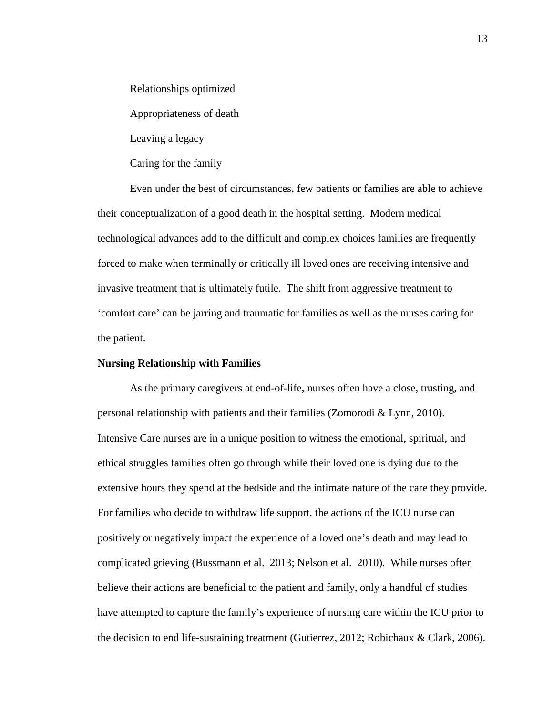Relationships optimized

Appropriateness of death

Leaving a legacy

Caring for the family

Even under the best of circumstances, few patients or families are able to achieve their conceptualization of a good death in the hospital setting. Modern medical technological advances add to the difficult and complex choices families are frequently forced to make when terminally or critically ill loved ones are receiving intensive and invasive treatment that is ultimately futile. The shift from aggressive treatment to 'comfort care' can be jarring and traumatic for families as well as the nurses caring for the patient.

## <span id="page-29-0"></span>**Nursing Relationship with Families**

As the primary caregivers at end-of-life, nurses often have a close, trusting, and personal relationship with patients and their families (Zomorodi & Lynn, 2010). Intensive Care nurses are in a unique position to witness the emotional, spiritual, and ethical struggles families often go through while their loved one is dying due to the extensive hours they spend at the bedside and the intimate nature of the care they provide. For families who decide to withdraw life support, the actions of the ICU nurse can positively or negatively impact the experience of a loved one's death and may lead to complicated grieving (Bussmann et al. 2013; Nelson et al. 2010). While nurses often believe their actions are beneficial to the patient and family, only a handful of studies have attempted to capture the family's experience of nursing care within the ICU prior to the decision to end life-sustaining treatment (Gutierrez, 2012; Robichaux & Clark, 2006).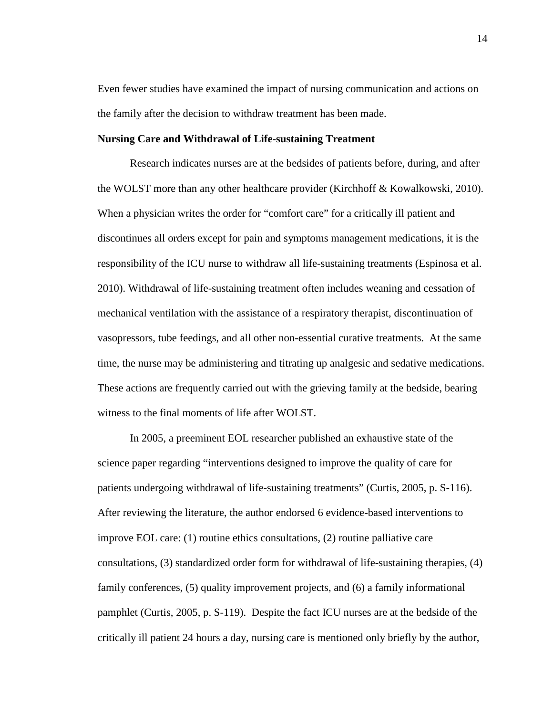Even fewer studies have examined the impact of nursing communication and actions on the family after the decision to withdraw treatment has been made.

#### <span id="page-30-0"></span>**Nursing Care and Withdrawal of Life-sustaining Treatment**

Research indicates nurses are at the bedsides of patients before, during, and after the WOLST more than any other healthcare provider (Kirchhoff & Kowalkowski, 2010). When a physician writes the order for "comfort care" for a critically ill patient and discontinues all orders except for pain and symptoms management medications, it is the responsibility of the ICU nurse to withdraw all life-sustaining treatments (Espinosa et al. 2010). Withdrawal of life-sustaining treatment often includes weaning and cessation of mechanical ventilation with the assistance of a respiratory therapist, discontinuation of vasopressors, tube feedings, and all other non-essential curative treatments. At the same time, the nurse may be administering and titrating up analgesic and sedative medications. These actions are frequently carried out with the grieving family at the bedside, bearing witness to the final moments of life after WOLST.

In 2005, a preeminent EOL researcher published an exhaustive state of the science paper regarding "interventions designed to improve the quality of care for patients undergoing withdrawal of life-sustaining treatments" (Curtis, 2005, p. S-116). After reviewing the literature, the author endorsed 6 evidence-based interventions to improve EOL care: (1) routine ethics consultations, (2) routine palliative care consultations, (3) standardized order form for withdrawal of life-sustaining therapies, (4) family conferences, (5) quality improvement projects, and (6) a family informational pamphlet (Curtis, 2005, p. S-119). Despite the fact ICU nurses are at the bedside of the critically ill patient 24 hours a day, nursing care is mentioned only briefly by the author,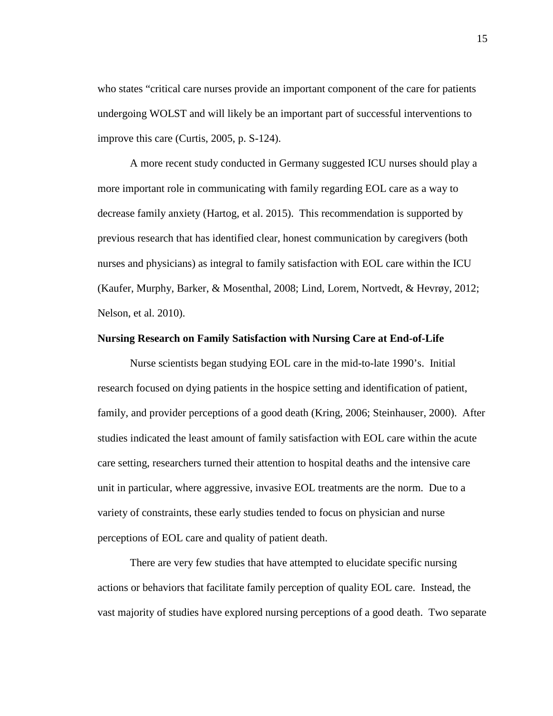who states "critical care nurses provide an important component of the care for patients undergoing WOLST and will likely be an important part of successful interventions to improve this care (Curtis, 2005, p. S-124).

A more recent study conducted in Germany suggested ICU nurses should play a more important role in communicating with family regarding EOL care as a way to decrease family anxiety (Hartog, et al. 2015). This recommendation is supported by previous research that has identified clear, honest communication by caregivers (both nurses and physicians) as integral to family satisfaction with EOL care within the ICU (Kaufer, Murphy, Barker, & Mosenthal, 2008; Lind, Lorem, Nortvedt, & Hevrøy, 2012; Nelson, et al. 2010).

# <span id="page-31-0"></span>**Nursing Research on Family Satisfaction with Nursing Care at End-of-Life**

Nurse scientists began studying EOL care in the mid-to-late 1990's. Initial research focused on dying patients in the hospice setting and identification of patient, family, and provider perceptions of a good death (Kring, 2006; Steinhauser, 2000). After studies indicated the least amount of family satisfaction with EOL care within the acute care setting, researchers turned their attention to hospital deaths and the intensive care unit in particular, where aggressive, invasive EOL treatments are the norm. Due to a variety of constraints, these early studies tended to focus on physician and nurse perceptions of EOL care and quality of patient death.

There are very few studies that have attempted to elucidate specific nursing actions or behaviors that facilitate family perception of quality EOL care. Instead, the vast majority of studies have explored nursing perceptions of a good death. Two separate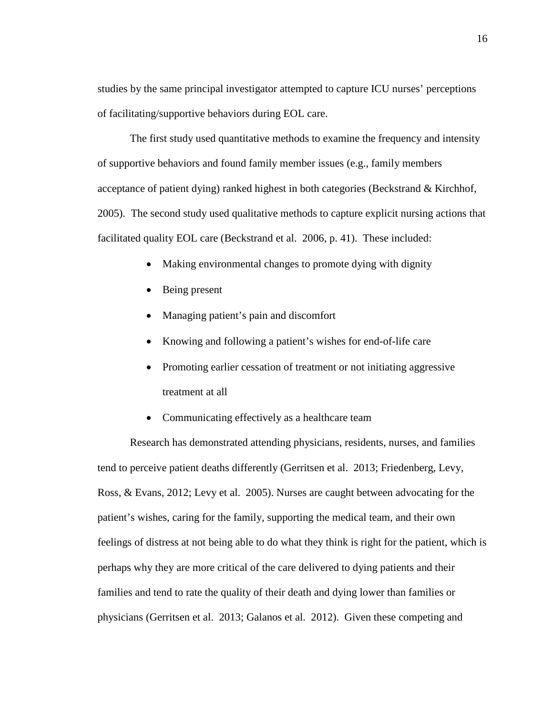studies by the same principal investigator attempted to capture ICU nurses' perceptions of facilitating/supportive behaviors during EOL care.

The first study used quantitative methods to examine the frequency and intensity of supportive behaviors and found family member issues (e.g., family members acceptance of patient dying) ranked highest in both categories (Beckstrand & Kirchhof, 2005). The second study used qualitative methods to capture explicit nursing actions that facilitated quality EOL care (Beckstrand et al. 2006, p. 41). These included:

- Making environmental changes to promote dying with dignity
- Being present
- Managing patient's pain and discomfort
- Knowing and following a patient's wishes for end-of-life care
- Promoting earlier cessation of treatment or not initiating aggressive treatment at all
- Communicating effectively as a healthcare team

Research has demonstrated attending physicians, residents, nurses, and families tend to perceive patient deaths differently (Gerritsen et al. 2013; Friedenberg, Levy, Ross, & Evans, 2012; Levy et al. 2005). Nurses are caught between advocating for the patient's wishes, caring for the family, supporting the medical team, and their own feelings of distress at not being able to do what they think is right for the patient, which is perhaps why they are more critical of the care delivered to dying patients and their families and tend to rate the quality of their death and dying lower than families or physicians (Gerritsen et al. 2013; Galanos et al. 2012). Given these competing and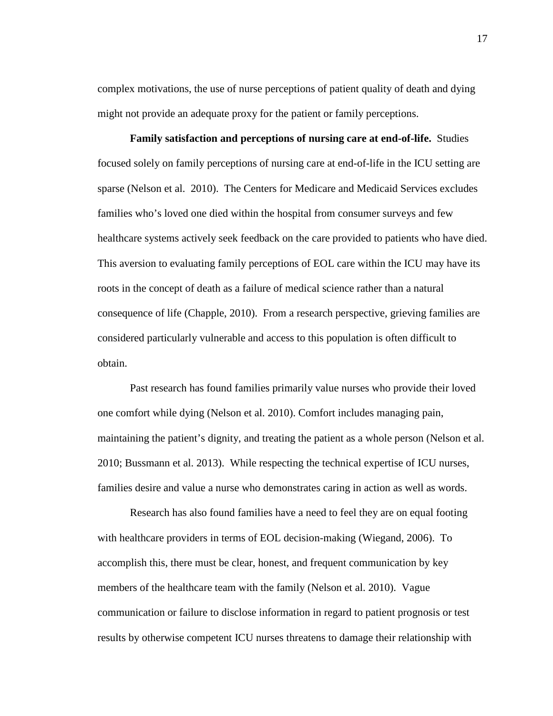complex motivations, the use of nurse perceptions of patient quality of death and dying might not provide an adequate proxy for the patient or family perceptions.

<span id="page-33-0"></span>**Family satisfaction and perceptions of nursing care at end-of-life.** Studies focused solely on family perceptions of nursing care at end-of-life in the ICU setting are sparse (Nelson et al. 2010). The Centers for Medicare and Medicaid Services excludes families who's loved one died within the hospital from consumer surveys and few healthcare systems actively seek feedback on the care provided to patients who have died. This aversion to evaluating family perceptions of EOL care within the ICU may have its roots in the concept of death as a failure of medical science rather than a natural consequence of life (Chapple, 2010). From a research perspective, grieving families are considered particularly vulnerable and access to this population is often difficult to obtain.

Past research has found families primarily value nurses who provide their loved one comfort while dying (Nelson et al. 2010). Comfort includes managing pain, maintaining the patient's dignity, and treating the patient as a whole person (Nelson et al. 2010; Bussmann et al. 2013). While respecting the technical expertise of ICU nurses, families desire and value a nurse who demonstrates caring in action as well as words.

Research has also found families have a need to feel they are on equal footing with healthcare providers in terms of EOL decision-making (Wiegand, 2006). To accomplish this, there must be clear, honest, and frequent communication by key members of the healthcare team with the family (Nelson et al. 2010). Vague communication or failure to disclose information in regard to patient prognosis or test results by otherwise competent ICU nurses threatens to damage their relationship with

17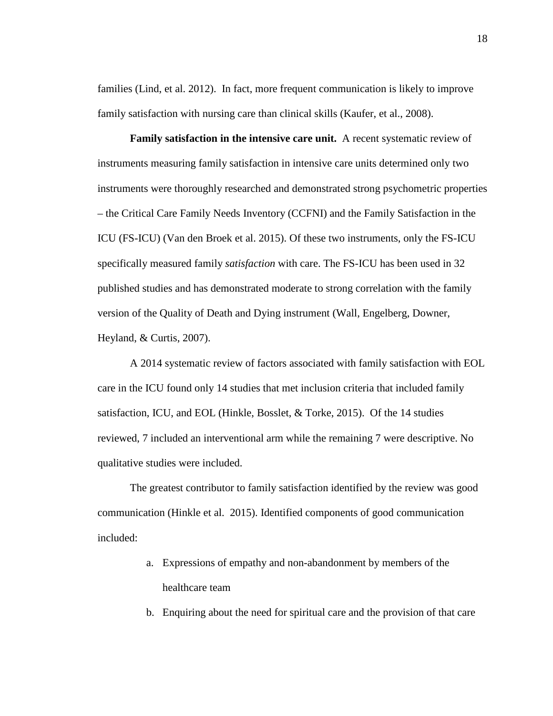families (Lind, et al. 2012). In fact, more frequent communication is likely to improve family satisfaction with nursing care than clinical skills (Kaufer, et al., 2008).

<span id="page-34-0"></span>**Family satisfaction in the intensive care unit.** A recent systematic review of instruments measuring family satisfaction in intensive care units determined only two instruments were thoroughly researched and demonstrated strong psychometric properties – the Critical Care Family Needs Inventory (CCFNI) and the Family Satisfaction in the ICU (FS-ICU) (Van den Broek et al. 2015). Of these two instruments, only the FS-ICU specifically measured family *satisfaction* with care. The FS-ICU has been used in 32 published studies and has demonstrated moderate to strong correlation with the family version of the Quality of Death and Dying instrument (Wall, Engelberg, Downer, Heyland, & Curtis, 2007).

A 2014 systematic review of factors associated with family satisfaction with EOL care in the ICU found only 14 studies that met inclusion criteria that included family satisfaction, ICU, and EOL (Hinkle, Bosslet, & Torke, 2015). Of the 14 studies reviewed, 7 included an interventional arm while the remaining 7 were descriptive. No qualitative studies were included.

The greatest contributor to family satisfaction identified by the review was good communication (Hinkle et al. 2015). Identified components of good communication included:

- a. Expressions of empathy and non-abandonment by members of the healthcare team
- b. Enquiring about the need for spiritual care and the provision of that care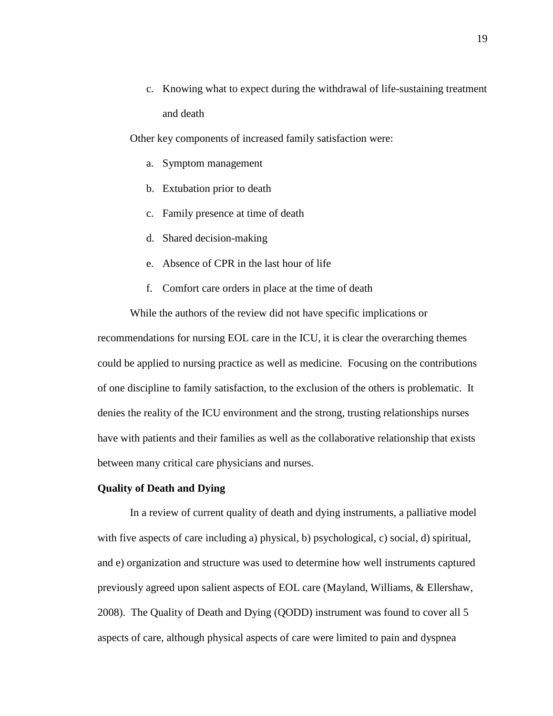c. Knowing what to expect during the withdrawal of life-sustaining treatment and death

Other key components of increased family satisfaction were:

- a. Symptom management
- b. Extubation prior to death
- c. Family presence at time of death
- d. Shared decision-making
- e. Absence of CPR in the last hour of life
- f. Comfort care orders in place at the time of death

While the authors of the review did not have specific implications or recommendations for nursing EOL care in the ICU, it is clear the overarching themes could be applied to nursing practice as well as medicine. Focusing on the contributions of one discipline to family satisfaction, to the exclusion of the others is problematic. It denies the reality of the ICU environment and the strong, trusting relationships nurses have with patients and their families as well as the collaborative relationship that exists between many critical care physicians and nurses.

# <span id="page-35-0"></span>**Quality of Death and Dying**

In a review of current quality of death and dying instruments, a palliative model with five aspects of care including a) physical, b) psychological, c) social, d) spiritual, and e) organization and structure was used to determine how well instruments captured previously agreed upon salient aspects of EOL care (Mayland, Williams, & Ellershaw, 2008). The Quality of Death and Dying (QODD) instrument was found to cover all 5 aspects of care, although physical aspects of care were limited to pain and dyspnea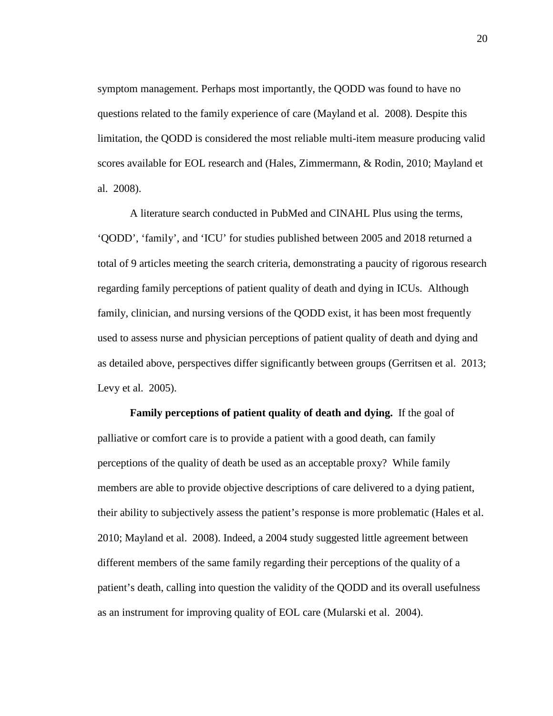symptom management. Perhaps most importantly, the QODD was found to have no questions related to the family experience of care (Mayland et al. 2008). Despite this limitation, the QODD is considered the most reliable multi-item measure producing valid scores available for EOL research and (Hales, Zimmermann, & Rodin, 2010; Mayland et al. 2008).

A literature search conducted in PubMed and CINAHL Plus using the terms, 'QODD', 'family', and 'ICU' for studies published between 2005 and 2018 returned a total of 9 articles meeting the search criteria, demonstrating a paucity of rigorous research regarding family perceptions of patient quality of death and dying in ICUs. Although family, clinician, and nursing versions of the QODD exist, it has been most frequently used to assess nurse and physician perceptions of patient quality of death and dying and as detailed above, perspectives differ significantly between groups (Gerritsen et al. 2013; Levy et al. 2005).

**Family perceptions of patient quality of death and dying.** If the goal of palliative or comfort care is to provide a patient with a good death, can family perceptions of the quality of death be used as an acceptable proxy? While family members are able to provide objective descriptions of care delivered to a dying patient, their ability to subjectively assess the patient's response is more problematic (Hales et al. 2010; Mayland et al. 2008). Indeed, a 2004 study suggested little agreement between different members of the same family regarding their perceptions of the quality of a patient's death, calling into question the validity of the QODD and its overall usefulness as an instrument for improving quality of EOL care (Mularski et al. 2004).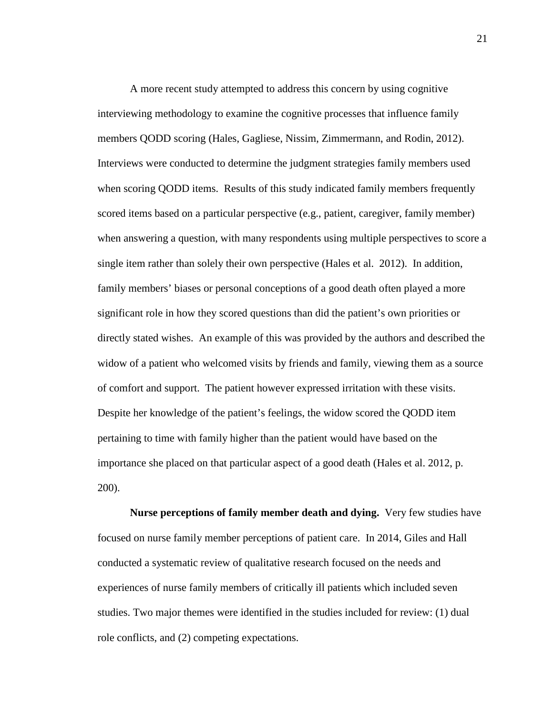A more recent study attempted to address this concern by using cognitive interviewing methodology to examine the cognitive processes that influence family members QODD scoring (Hales, Gagliese, Nissim, Zimmermann, and Rodin, 2012). Interviews were conducted to determine the judgment strategies family members used when scoring QODD items. Results of this study indicated family members frequently scored items based on a particular perspective (e.g., patient, caregiver, family member) when answering a question, with many respondents using multiple perspectives to score a single item rather than solely their own perspective (Hales et al. 2012). In addition, family members' biases or personal conceptions of a good death often played a more significant role in how they scored questions than did the patient's own priorities or directly stated wishes. An example of this was provided by the authors and described the widow of a patient who welcomed visits by friends and family, viewing them as a source of comfort and support. The patient however expressed irritation with these visits. Despite her knowledge of the patient's feelings, the widow scored the QODD item pertaining to time with family higher than the patient would have based on the importance she placed on that particular aspect of a good death (Hales et al. 2012, p. 200).

**Nurse perceptions of family member death and dying.** Very few studies have focused on nurse family member perceptions of patient care. In 2014, Giles and Hall conducted a systematic review of qualitative research focused on the needs and experiences of nurse family members of critically ill patients which included seven studies. Two major themes were identified in the studies included for review: (1) dual role conflicts, and (2) competing expectations.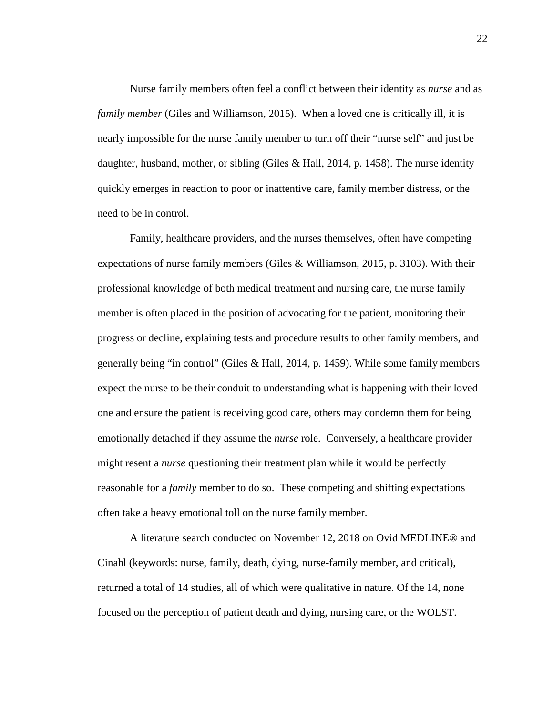Nurse family members often feel a conflict between their identity as *nurse* and as *family member* (Giles and Williamson, 2015). When a loved one is critically ill, it is nearly impossible for the nurse family member to turn off their "nurse self" and just be daughter, husband, mother, or sibling (Giles & Hall, 2014, p. 1458). The nurse identity quickly emerges in reaction to poor or inattentive care, family member distress, or the need to be in control.

Family, healthcare providers, and the nurses themselves, often have competing expectations of nurse family members (Giles & Williamson, 2015, p. 3103). With their professional knowledge of both medical treatment and nursing care, the nurse family member is often placed in the position of advocating for the patient, monitoring their progress or decline, explaining tests and procedure results to other family members, and generally being "in control" (Giles & Hall, 2014, p. 1459). While some family members expect the nurse to be their conduit to understanding what is happening with their loved one and ensure the patient is receiving good care, others may condemn them for being emotionally detached if they assume the *nurse* role. Conversely, a healthcare provider might resent a *nurse* questioning their treatment plan while it would be perfectly reasonable for a *family* member to do so. These competing and shifting expectations often take a heavy emotional toll on the nurse family member.

A literature search conducted on November 12, 2018 on Ovid MEDLINE® and Cinahl (keywords: nurse, family, death, dying, nurse-family member, and critical), returned a total of 14 studies, all of which were qualitative in nature. Of the 14, none focused on the perception of patient death and dying, nursing care, or the WOLST.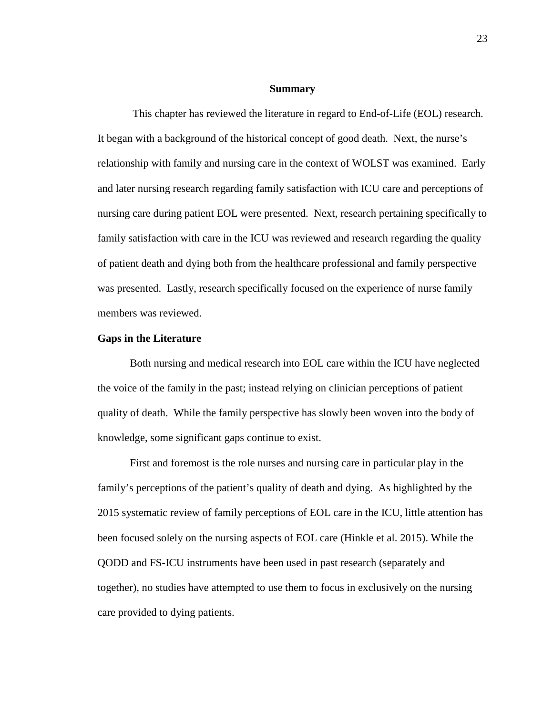### **Summary**

This chapter has reviewed the literature in regard to End-of-Life (EOL) research. It began with a background of the historical concept of good death. Next, the nurse's relationship with family and nursing care in the context of WOLST was examined. Early and later nursing research regarding family satisfaction with ICU care and perceptions of nursing care during patient EOL were presented. Next, research pertaining specifically to family satisfaction with care in the ICU was reviewed and research regarding the quality of patient death and dying both from the healthcare professional and family perspective was presented. Lastly, research specifically focused on the experience of nurse family members was reviewed.

#### **Gaps in the Literature**

Both nursing and medical research into EOL care within the ICU have neglected the voice of the family in the past; instead relying on clinician perceptions of patient quality of death. While the family perspective has slowly been woven into the body of knowledge, some significant gaps continue to exist.

First and foremost is the role nurses and nursing care in particular play in the family's perceptions of the patient's quality of death and dying. As highlighted by the 2015 systematic review of family perceptions of EOL care in the ICU, little attention has been focused solely on the nursing aspects of EOL care (Hinkle et al. 2015). While the QODD and FS-ICU instruments have been used in past research (separately and together), no studies have attempted to use them to focus in exclusively on the nursing care provided to dying patients.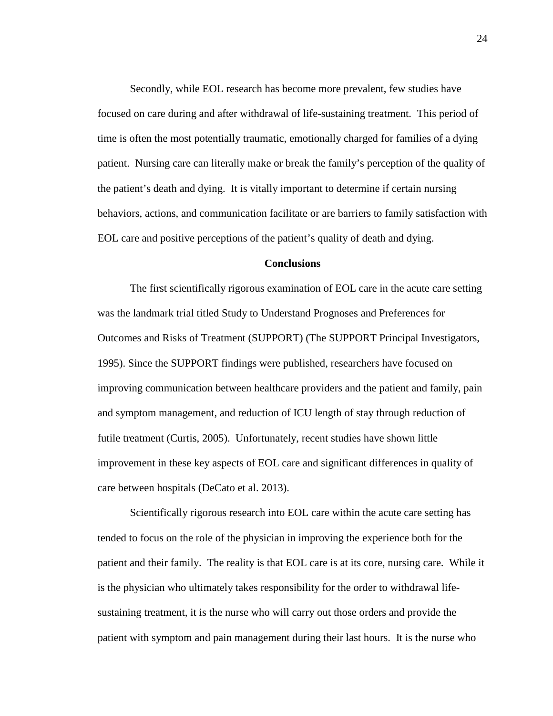Secondly, while EOL research has become more prevalent, few studies have focused on care during and after withdrawal of life-sustaining treatment. This period of time is often the most potentially traumatic, emotionally charged for families of a dying patient. Nursing care can literally make or break the family's perception of the quality of the patient's death and dying. It is vitally important to determine if certain nursing behaviors, actions, and communication facilitate or are barriers to family satisfaction with EOL care and positive perceptions of the patient's quality of death and dying.

# **Conclusions**

The first scientifically rigorous examination of EOL care in the acute care setting was the landmark trial titled Study to Understand Prognoses and Preferences for Outcomes and Risks of Treatment (SUPPORT) (The SUPPORT Principal Investigators, 1995). Since the SUPPORT findings were published, researchers have focused on improving communication between healthcare providers and the patient and family, pain and symptom management, and reduction of ICU length of stay through reduction of futile treatment (Curtis, 2005). Unfortunately, recent studies have shown little improvement in these key aspects of EOL care and significant differences in quality of care between hospitals (DeCato et al. 2013).

Scientifically rigorous research into EOL care within the acute care setting has tended to focus on the role of the physician in improving the experience both for the patient and their family. The reality is that EOL care is at its core, nursing care. While it is the physician who ultimately takes responsibility for the order to withdrawal lifesustaining treatment, it is the nurse who will carry out those orders and provide the patient with symptom and pain management during their last hours. It is the nurse who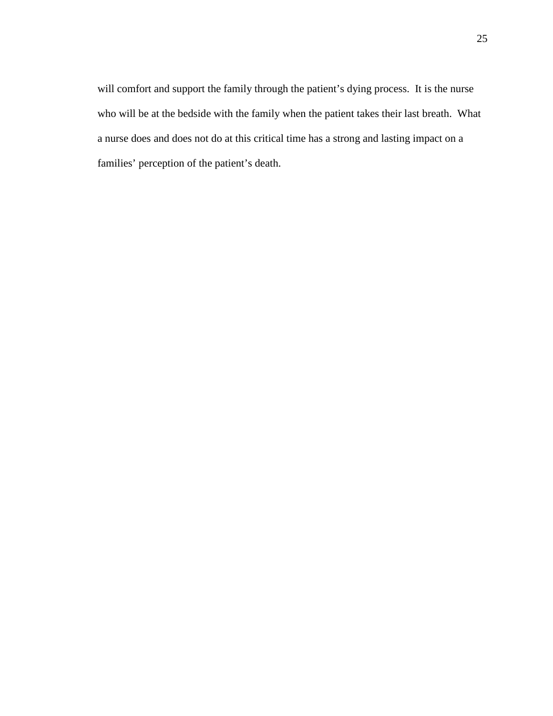will comfort and support the family through the patient's dying process. It is the nurse who will be at the bedside with the family when the patient takes their last breath. What a nurse does and does not do at this critical time has a strong and lasting impact on a families' perception of the patient's death.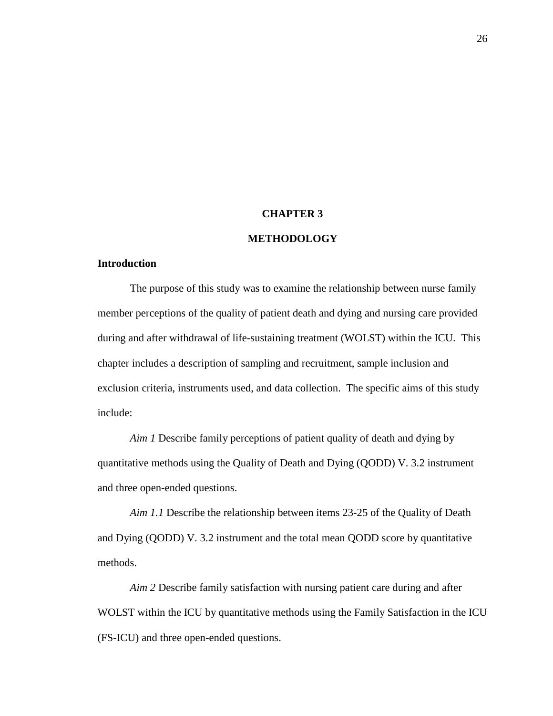#### **CHAPTER 3**

# **METHODOLOGY**

# **Introduction**

The purpose of this study was to examine the relationship between nurse family member perceptions of the quality of patient death and dying and nursing care provided during and after withdrawal of life-sustaining treatment (WOLST) within the ICU. This chapter includes a description of sampling and recruitment, sample inclusion and exclusion criteria, instruments used, and data collection. The specific aims of this study include:

*Aim 1* Describe family perceptions of patient quality of death and dying by quantitative methods using the Quality of Death and Dying (QODD) V. 3.2 instrument and three open-ended questions.

*Aim 1.1* Describe the relationship between items 23-25 of the Quality of Death and Dying (QODD) V. 3.2 instrument and the total mean QODD score by quantitative methods.

*Aim 2* Describe family satisfaction with nursing patient care during and after WOLST within the ICU by quantitative methods using the Family Satisfaction in the ICU (FS-ICU) and three open-ended questions.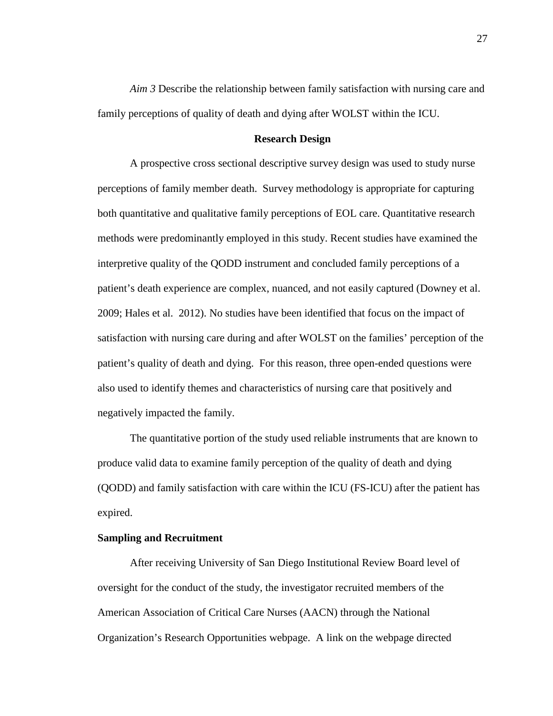*Aim 3* Describe the relationship between family satisfaction with nursing care and family perceptions of quality of death and dying after WOLST within the ICU.

# **Research Design**

A prospective cross sectional descriptive survey design was used to study nurse perceptions of family member death. Survey methodology is appropriate for capturing both quantitative and qualitative family perceptions of EOL care. Quantitative research methods were predominantly employed in this study. Recent studies have examined the interpretive quality of the QODD instrument and concluded family perceptions of a patient's death experience are complex, nuanced, and not easily captured (Downey et al. 2009; Hales et al. 2012). No studies have been identified that focus on the impact of satisfaction with nursing care during and after WOLST on the families' perception of the patient's quality of death and dying. For this reason, three open-ended questions were also used to identify themes and characteristics of nursing care that positively and negatively impacted the family.

The quantitative portion of the study used reliable instruments that are known to produce valid data to examine family perception of the quality of death and dying (QODD) and family satisfaction with care within the ICU (FS-ICU) after the patient has expired.

# **Sampling and Recruitment**

After receiving University of San Diego Institutional Review Board level of oversight for the conduct of the study, the investigator recruited members of the American Association of Critical Care Nurses (AACN) through the National Organization's Research Opportunities webpage. A link on the webpage directed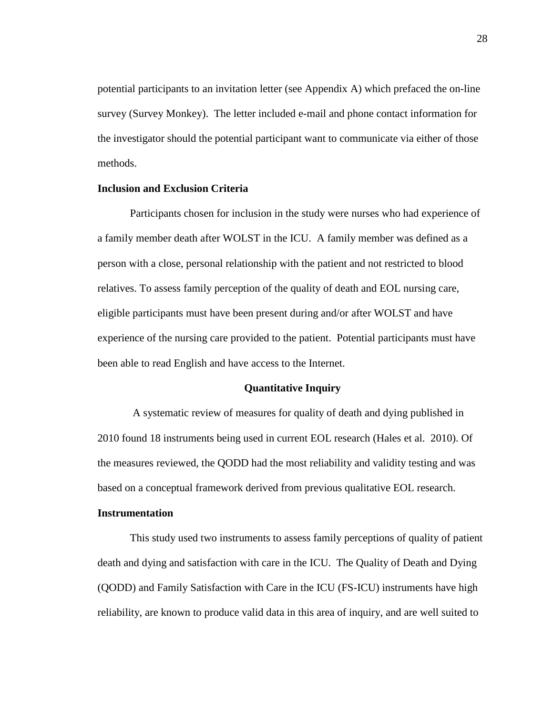potential participants to an invitation letter (see Appendix A) which prefaced the on-line survey (Survey Monkey). The letter included e-mail and phone contact information for the investigator should the potential participant want to communicate via either of those methods.

# **Inclusion and Exclusion Criteria**

Participants chosen for inclusion in the study were nurses who had experience of a family member death after WOLST in the ICU. A family member was defined as a person with a close, personal relationship with the patient and not restricted to blood relatives. To assess family perception of the quality of death and EOL nursing care, eligible participants must have been present during and/or after WOLST and have experience of the nursing care provided to the patient. Potential participants must have been able to read English and have access to the Internet.

### **Quantitative Inquiry**

A systematic review of measures for quality of death and dying published in 2010 found 18 instruments being used in current EOL research (Hales et al. 2010). Of the measures reviewed, the QODD had the most reliability and validity testing and was based on a conceptual framework derived from previous qualitative EOL research.

## **Instrumentation**

This study used two instruments to assess family perceptions of quality of patient death and dying and satisfaction with care in the ICU. The Quality of Death and Dying (QODD) and Family Satisfaction with Care in the ICU (FS-ICU) instruments have high reliability, are known to produce valid data in this area of inquiry, and are well suited to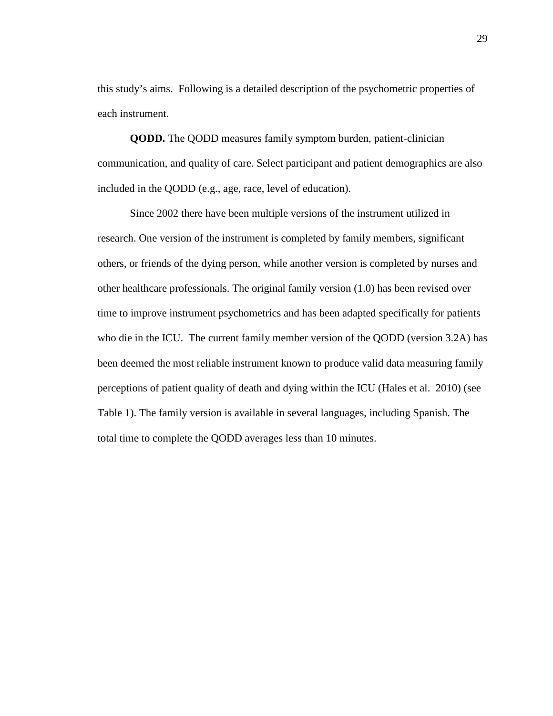this study's aims. Following is a detailed description of the psychometric properties of each instrument.

**QODD.** The QODD measures family symptom burden, patient-clinician communication, and quality of care. Select participant and patient demographics are also included in the QODD (e.g., age, race, level of education).

Since 2002 there have been multiple versions of the instrument utilized in research. One version of the instrument is completed by family members, significant others, or friends of the dying person, while another version is completed by nurses and other healthcare professionals. The original family version (1.0) has been revised over time to improve instrument psychometrics and has been adapted specifically for patients who die in the ICU. The current family member version of the QODD (version 3.2A) has been deemed the most reliable instrument known to produce valid data measuring family perceptions of patient quality of death and dying within the ICU (Hales et al. 2010) (see Table 1). The family version is available in several languages, including Spanish. The total time to complete the QODD averages less than 10 minutes.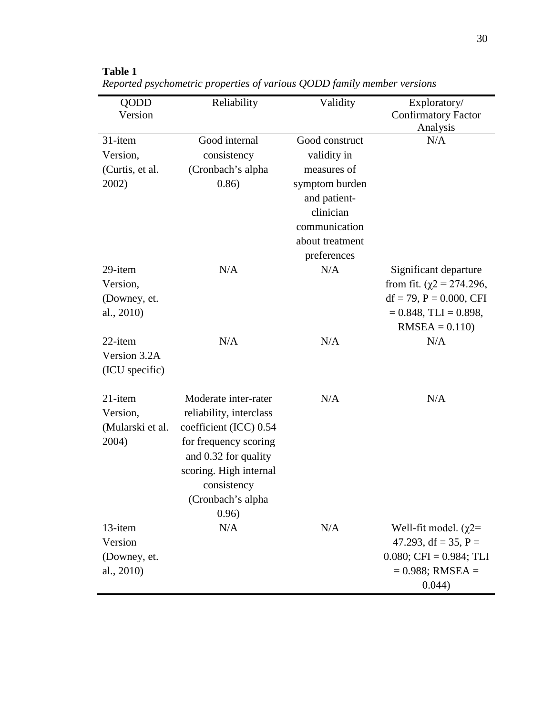| <b>QODD</b>      | Reliability             | Validity        | Exploratory/                           |
|------------------|-------------------------|-----------------|----------------------------------------|
| Version          |                         |                 | <b>Confirmatory Factor</b><br>Analysis |
| 31-item          | Good internal           | Good construct  | N/A                                    |
| Version,         | consistency             | validity in     |                                        |
| (Curtis, et al.  | (Cronbach's alpha       | measures of     |                                        |
| 2002)            | 0.86)                   | symptom burden  |                                        |
|                  |                         | and patient-    |                                        |
|                  |                         | clinician       |                                        |
|                  |                         | communication   |                                        |
|                  |                         | about treatment |                                        |
|                  |                         | preferences     |                                        |
| 29-item          | N/A                     | N/A             | Significant departure                  |
| Version,         |                         |                 | from fit. $(\gamma 2 = 274.296)$ ,     |
| (Downey, et.     |                         |                 | $df = 79$ , $P = 0.000$ , CFI          |
| al., $2010$ )    |                         |                 | $= 0.848$ , TLI $= 0.898$ ,            |
|                  |                         |                 | $RMSEA = 0.110$                        |
| 22-item          | N/A                     | N/A             | N/A                                    |
| Version 3.2A     |                         |                 |                                        |
| (ICU specific)   |                         |                 |                                        |
| 21-item          | Moderate inter-rater    | N/A             | N/A                                    |
| Version,         | reliability, interclass |                 |                                        |
| (Mularski et al. | coefficient (ICC) 0.54  |                 |                                        |
| 2004)            | for frequency scoring   |                 |                                        |
|                  | and 0.32 for quality    |                 |                                        |
|                  | scoring. High internal  |                 |                                        |
|                  | consistency             |                 |                                        |
|                  | (Cronbach's alpha       |                 |                                        |
|                  | 0.96)                   |                 |                                        |
| 13-item          | N/A                     | N/A             | Well-fit model. $(\gamma2=$            |
| Version          |                         |                 | 47.293, df = 35, P =                   |
| (Downey, et.     |                         |                 | $0.080;$ CFI = $0.984;$ TLI            |
| al., 2010)       |                         |                 | $= 0.988$ ; RMSEA $=$                  |
|                  |                         |                 | 0.044)                                 |

**Table 1** *Reported psychometric properties of various QODD family member versions*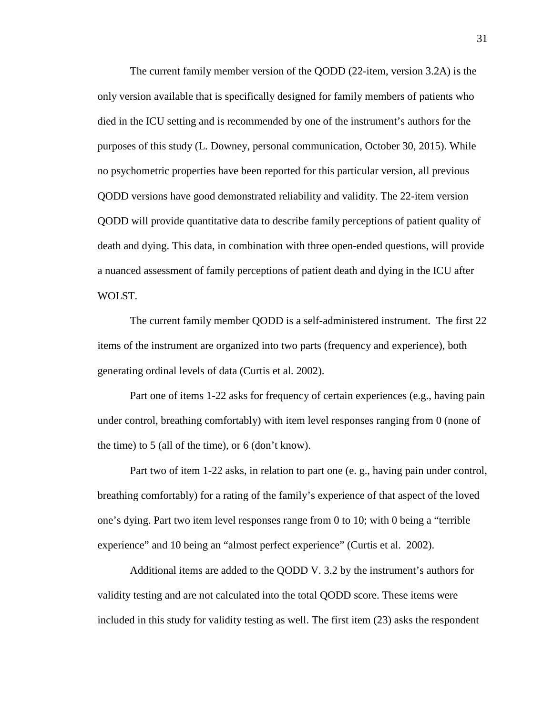The current family member version of the QODD (22-item, version 3.2A) is the only version available that is specifically designed for family members of patients who died in the ICU setting and is recommended by one of the instrument's authors for the purposes of this study (L. Downey, personal communication, October 30, 2015). While no psychometric properties have been reported for this particular version, all previous QODD versions have good demonstrated reliability and validity. The 22-item version QODD will provide quantitative data to describe family perceptions of patient quality of death and dying. This data, in combination with three open-ended questions, will provide a nuanced assessment of family perceptions of patient death and dying in the ICU after WOLST.

The current family member QODD is a self-administered instrument. The first 22 items of the instrument are organized into two parts (frequency and experience), both generating ordinal levels of data (Curtis et al. 2002).

Part one of items 1-22 asks for frequency of certain experiences (e.g., having pain under control, breathing comfortably) with item level responses ranging from 0 (none of the time) to 5 (all of the time), or 6 (don't know).

Part two of item 1-22 asks, in relation to part one (e. g., having pain under control, breathing comfortably) for a rating of the family's experience of that aspect of the loved one's dying. Part two item level responses range from 0 to 10; with 0 being a "terrible experience" and 10 being an "almost perfect experience" (Curtis et al. 2002).

Additional items are added to the QODD V. 3.2 by the instrument's authors for validity testing and are not calculated into the total QODD score. These items were included in this study for validity testing as well. The first item (23) asks the respondent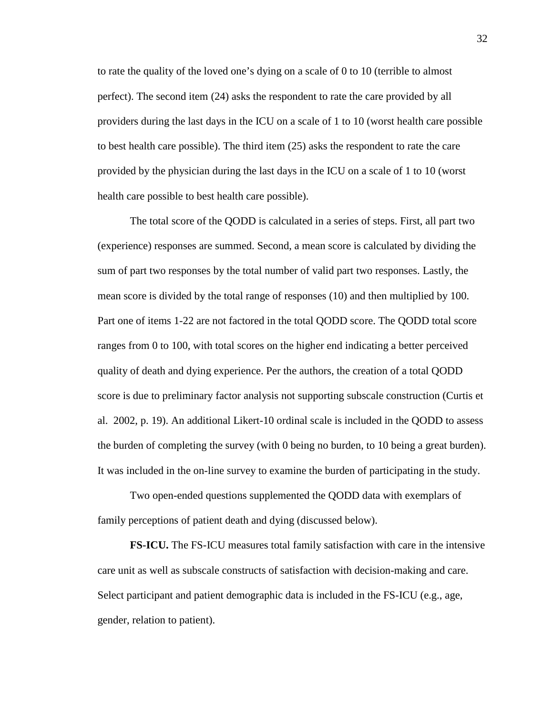to rate the quality of the loved one's dying on a scale of 0 to 10 (terrible to almost perfect). The second item (24) asks the respondent to rate the care provided by all providers during the last days in the ICU on a scale of 1 to 10 (worst health care possible to best health care possible). The third item (25) asks the respondent to rate the care provided by the physician during the last days in the ICU on a scale of 1 to 10 (worst health care possible to best health care possible).

The total score of the QODD is calculated in a series of steps. First, all part two (experience) responses are summed. Second, a mean score is calculated by dividing the sum of part two responses by the total number of valid part two responses. Lastly, the mean score is divided by the total range of responses (10) and then multiplied by 100. Part one of items 1-22 are not factored in the total QODD score. The QODD total score ranges from 0 to 100, with total scores on the higher end indicating a better perceived quality of death and dying experience. Per the authors, the creation of a total QODD score is due to preliminary factor analysis not supporting subscale construction (Curtis et al. 2002, p. 19). An additional Likert-10 ordinal scale is included in the QODD to assess the burden of completing the survey (with 0 being no burden, to 10 being a great burden). It was included in the on-line survey to examine the burden of participating in the study.

Two open-ended questions supplemented the QODD data with exemplars of family perceptions of patient death and dying (discussed below).

**FS-ICU.** The FS-ICU measures total family satisfaction with care in the intensive care unit as well as subscale constructs of satisfaction with decision-making and care. Select participant and patient demographic data is included in the FS-ICU (e.g., age, gender, relation to patient).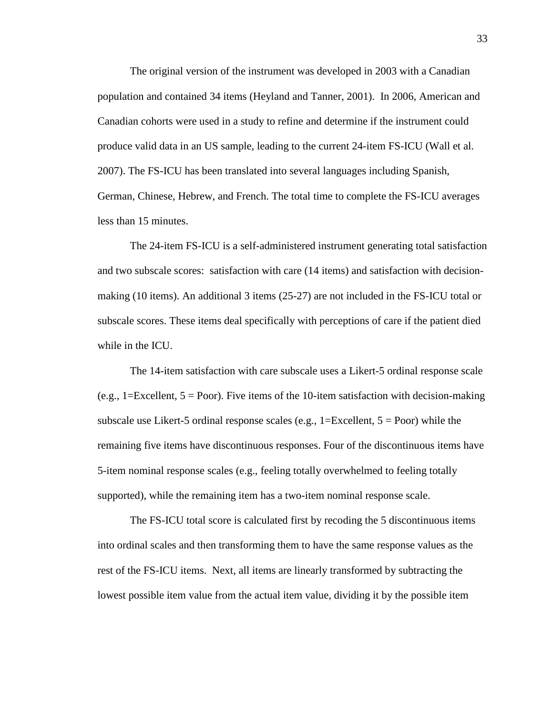The original version of the instrument was developed in 2003 with a Canadian population and contained 34 items (Heyland and Tanner, 2001). In 2006, American and Canadian cohorts were used in a study to refine and determine if the instrument could produce valid data in an US sample, leading to the current 24-item FS-ICU (Wall et al. 2007). The FS-ICU has been translated into several languages including Spanish, German, Chinese, Hebrew, and French. The total time to complete the FS-ICU averages less than 15 minutes.

The 24-item FS-ICU is a self-administered instrument generating total satisfaction and two subscale scores: satisfaction with care (14 items) and satisfaction with decisionmaking (10 items). An additional 3 items (25-27) are not included in the FS-ICU total or subscale scores. These items deal specifically with perceptions of care if the patient died while in the ICU.

The 14-item satisfaction with care subscale uses a Likert-5 ordinal response scale (e.g.,  $1 = Excellent$ ,  $5 = Poor$ ). Five items of the 10-item satisfaction with decision-making subscale use Likert-5 ordinal response scales (e.g.,  $1 =$ Excellent,  $5 =$ Poor) while the remaining five items have discontinuous responses. Four of the discontinuous items have 5-item nominal response scales (e.g., feeling totally overwhelmed to feeling totally supported), while the remaining item has a two-item nominal response scale.

The FS-ICU total score is calculated first by recoding the 5 discontinuous items into ordinal scales and then transforming them to have the same response values as the rest of the FS-ICU items. Next, all items are linearly transformed by subtracting the lowest possible item value from the actual item value, dividing it by the possible item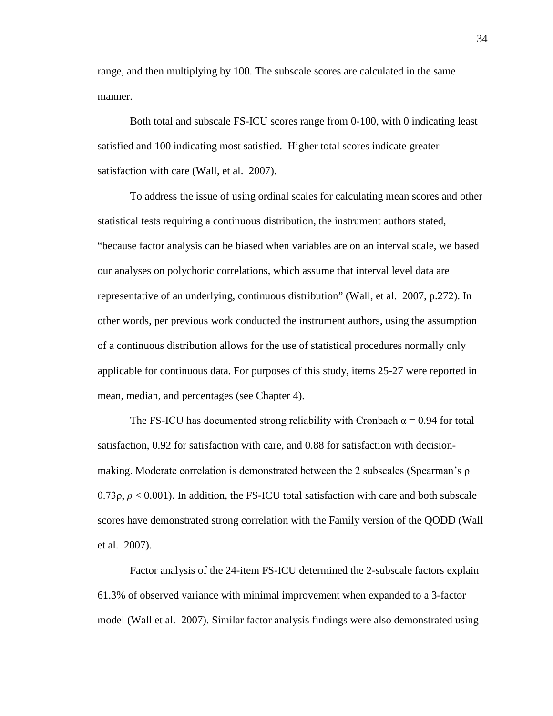range, and then multiplying by 100. The subscale scores are calculated in the same manner.

Both total and subscale FS-ICU scores range from 0-100, with 0 indicating least satisfied and 100 indicating most satisfied. Higher total scores indicate greater satisfaction with care (Wall, et al. 2007).

To address the issue of using ordinal scales for calculating mean scores and other statistical tests requiring a continuous distribution, the instrument authors stated, "because factor analysis can be biased when variables are on an interval scale, we based our analyses on polychoric correlations, which assume that interval level data are representative of an underlying, continuous distribution" (Wall, et al. 2007, p.272). In other words, per previous work conducted the instrument authors, using the assumption of a continuous distribution allows for the use of statistical procedures normally only applicable for continuous data. For purposes of this study, items 25-27 were reported in mean, median, and percentages (see Chapter 4).

The FS-ICU has documented strong reliability with Cronbach  $\alpha$  = 0.94 for total satisfaction, 0.92 for satisfaction with care, and 0.88 for satisfaction with decisionmaking. Moderate correlation is demonstrated between the 2 subscales (Spearman's ρ  $0.73\rho$ ,  $\rho$  < 0.001). In addition, the FS-ICU total satisfaction with care and both subscale scores have demonstrated strong correlation with the Family version of the QODD (Wall et al. 2007).

Factor analysis of the 24-item FS-ICU determined the 2-subscale factors explain 61.3% of observed variance with minimal improvement when expanded to a 3-factor model (Wall et al. 2007). Similar factor analysis findings were also demonstrated using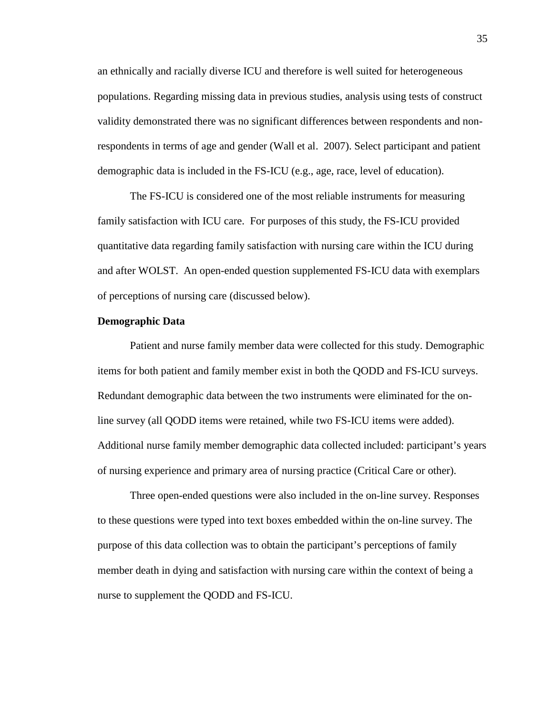an ethnically and racially diverse ICU and therefore is well suited for heterogeneous populations. Regarding missing data in previous studies, analysis using tests of construct validity demonstrated there was no significant differences between respondents and nonrespondents in terms of age and gender (Wall et al. 2007). Select participant and patient demographic data is included in the FS-ICU (e.g., age, race, level of education).

The FS-ICU is considered one of the most reliable instruments for measuring family satisfaction with ICU care. For purposes of this study, the FS-ICU provided quantitative data regarding family satisfaction with nursing care within the ICU during and after WOLST. An open-ended question supplemented FS-ICU data with exemplars of perceptions of nursing care (discussed below).

## **Demographic Data**

Patient and nurse family member data were collected for this study. Demographic items for both patient and family member exist in both the QODD and FS-ICU surveys. Redundant demographic data between the two instruments were eliminated for the online survey (all QODD items were retained, while two FS-ICU items were added). Additional nurse family member demographic data collected included: participant's years of nursing experience and primary area of nursing practice (Critical Care or other).

Three open-ended questions were also included in the on-line survey. Responses to these questions were typed into text boxes embedded within the on-line survey. The purpose of this data collection was to obtain the participant's perceptions of family member death in dying and satisfaction with nursing care within the context of being a nurse to supplement the QODD and FS-ICU.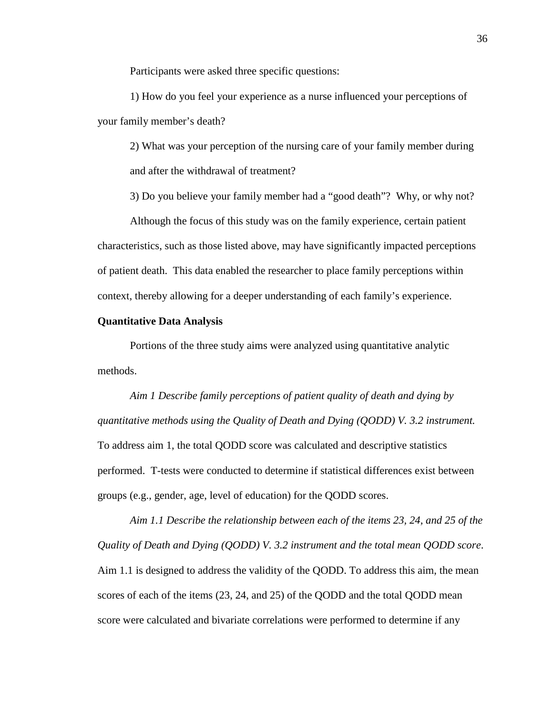Participants were asked three specific questions:

1) How do you feel your experience as a nurse influenced your perceptions of your family member's death?

2) What was your perception of the nursing care of your family member during and after the withdrawal of treatment?

3) Do you believe your family member had a "good death"? Why, or why not?

Although the focus of this study was on the family experience, certain patient characteristics, such as those listed above, may have significantly impacted perceptions of patient death. This data enabled the researcher to place family perceptions within context, thereby allowing for a deeper understanding of each family's experience.

## **Quantitative Data Analysis**

Portions of the three study aims were analyzed using quantitative analytic methods.

*Aim 1 Describe family perceptions of patient quality of death and dying by quantitative methods using the Quality of Death and Dying (QODD) V. 3.2 instrument.* To address aim 1, the total QODD score was calculated and descriptive statistics performed. T-tests were conducted to determine if statistical differences exist between groups (e.g., gender, age, level of education) for the QODD scores.

*Aim 1.1 Describe the relationship between each of the items 23, 24, and 25 of the Quality of Death and Dying (QODD) V. 3.2 instrument and the total mean QODD score*. Aim 1.1 is designed to address the validity of the QODD. To address this aim, the mean scores of each of the items (23, 24, and 25) of the QODD and the total QODD mean score were calculated and bivariate correlations were performed to determine if any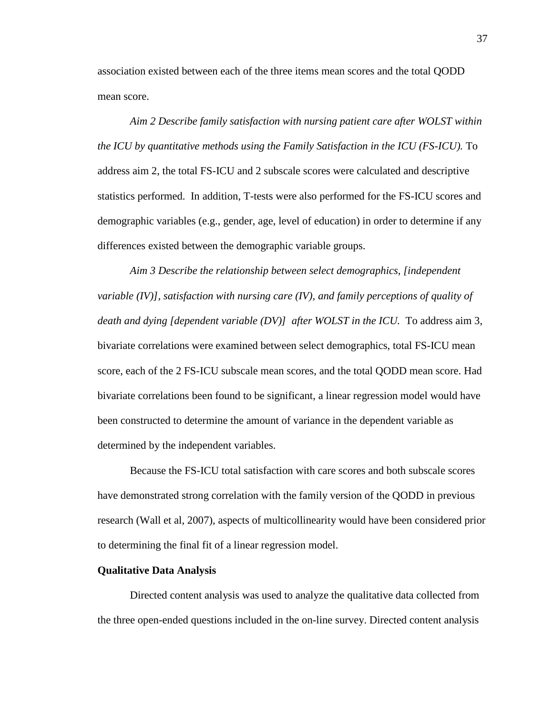association existed between each of the three items mean scores and the total QODD mean score.

*Aim 2 Describe family satisfaction with nursing patient care after WOLST within the ICU by quantitative methods using the Family Satisfaction in the ICU (FS-ICU).* To address aim 2, the total FS-ICU and 2 subscale scores were calculated and descriptive statistics performed. In addition, T-tests were also performed for the FS-ICU scores and demographic variables (e.g., gender, age, level of education) in order to determine if any differences existed between the demographic variable groups.

*Aim 3 Describe the relationship between select demographics, [independent variable (IV)], satisfaction with nursing care (IV), and family perceptions of quality of death and dying [dependent variable (DV)] after WOLST in the ICU.* To address aim 3, bivariate correlations were examined between select demographics, total FS-ICU mean score, each of the 2 FS-ICU subscale mean scores, and the total QODD mean score. Had bivariate correlations been found to be significant, a linear regression model would have been constructed to determine the amount of variance in the dependent variable as determined by the independent variables.

Because the FS-ICU total satisfaction with care scores and both subscale scores have demonstrated strong correlation with the family version of the QODD in previous research (Wall et al, 2007), aspects of multicollinearity would have been considered prior to determining the final fit of a linear regression model.

#### **Qualitative Data Analysis**

Directed content analysis was used to analyze the qualitative data collected from the three open-ended questions included in the on-line survey. Directed content analysis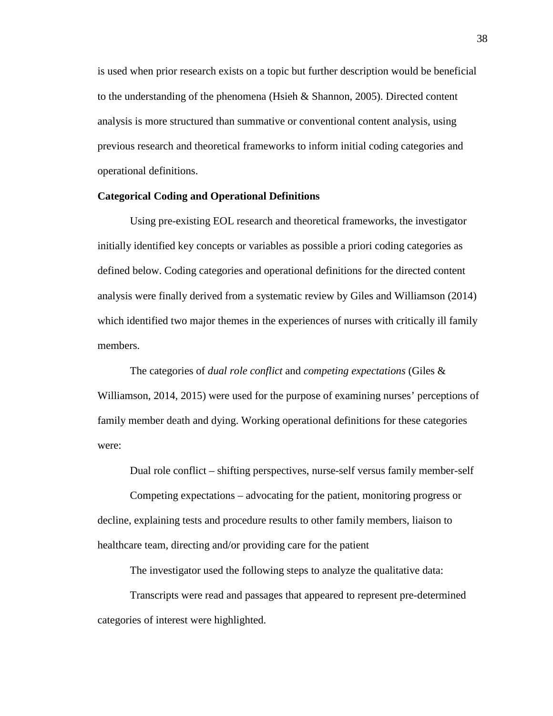is used when prior research exists on a topic but further description would be beneficial to the understanding of the phenomena (Hsieh & Shannon, 2005). Directed content analysis is more structured than summative or conventional content analysis, using previous research and theoretical frameworks to inform initial coding categories and operational definitions.

# **Categorical Coding and Operational Definitions**

Using pre-existing EOL research and theoretical frameworks, the investigator initially identified key concepts or variables as possible a priori coding categories as defined below. Coding categories and operational definitions for the directed content analysis were finally derived from a systematic review by Giles and Williamson (2014) which identified two major themes in the experiences of nurses with critically ill family members.

The categories of *dual role conflict* and *competing expectations* (Giles & Williamson, 2014, 2015) were used for the purpose of examining nurses' perceptions of family member death and dying. Working operational definitions for these categories were:

Dual role conflict – shifting perspectives, nurse-self versus family member-self

Competing expectations – advocating for the patient, monitoring progress or decline, explaining tests and procedure results to other family members, liaison to healthcare team, directing and/or providing care for the patient

The investigator used the following steps to analyze the qualitative data:

Transcripts were read and passages that appeared to represent pre-determined categories of interest were highlighted.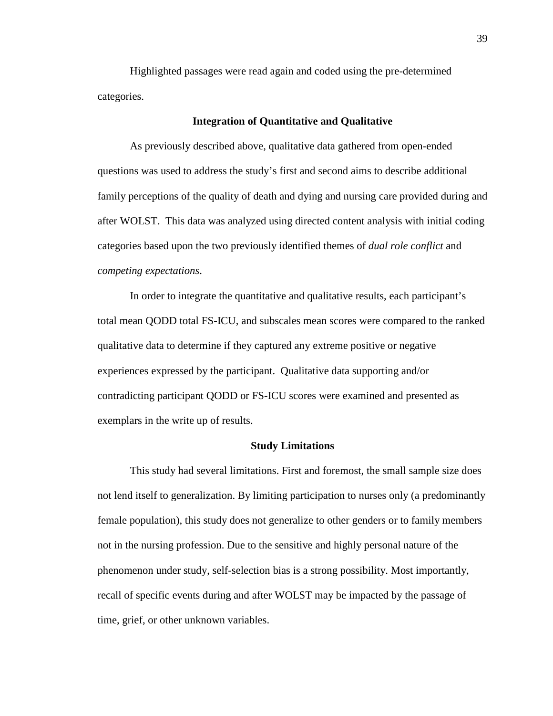Highlighted passages were read again and coded using the pre-determined categories.

# **Integration of Quantitative and Qualitative**

As previously described above, qualitative data gathered from open-ended questions was used to address the study's first and second aims to describe additional family perceptions of the quality of death and dying and nursing care provided during and after WOLST. This data was analyzed using directed content analysis with initial coding categories based upon the two previously identified themes of *dual role conflict* and *competing expectations*.

In order to integrate the quantitative and qualitative results, each participant's total mean QODD total FS-ICU, and subscales mean scores were compared to the ranked qualitative data to determine if they captured any extreme positive or negative experiences expressed by the participant. Qualitative data supporting and/or contradicting participant QODD or FS-ICU scores were examined and presented as exemplars in the write up of results.

#### **Study Limitations**

This study had several limitations. First and foremost, the small sample size does not lend itself to generalization. By limiting participation to nurses only (a predominantly female population), this study does not generalize to other genders or to family members not in the nursing profession. Due to the sensitive and highly personal nature of the phenomenon under study, self-selection bias is a strong possibility. Most importantly, recall of specific events during and after WOLST may be impacted by the passage of time, grief, or other unknown variables.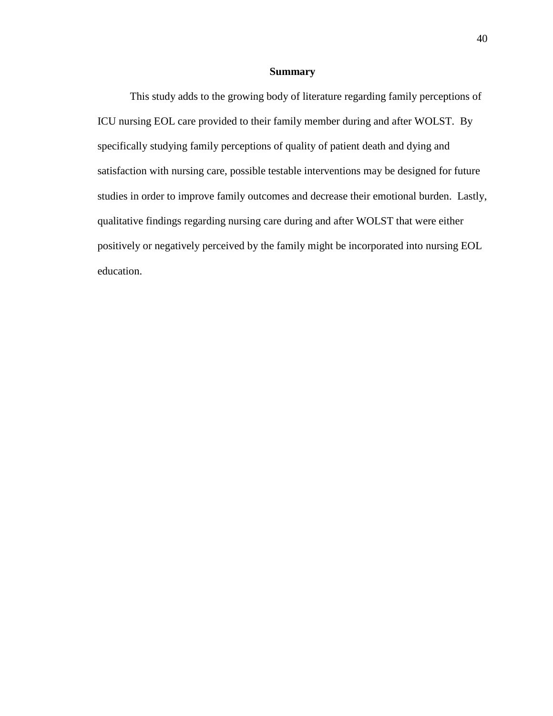# **Summary**

This study adds to the growing body of literature regarding family perceptions of ICU nursing EOL care provided to their family member during and after WOLST. By specifically studying family perceptions of quality of patient death and dying and satisfaction with nursing care, possible testable interventions may be designed for future studies in order to improve family outcomes and decrease their emotional burden. Lastly, qualitative findings regarding nursing care during and after WOLST that were either positively or negatively perceived by the family might be incorporated into nursing EOL education.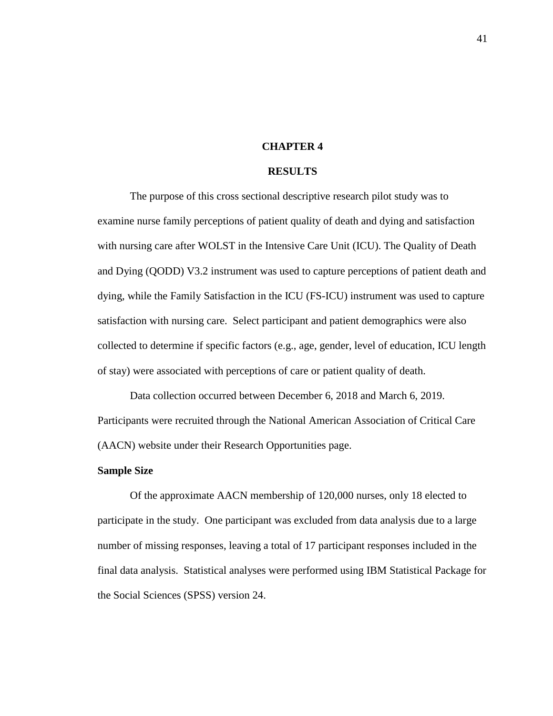## **CHAPTER 4**

# **RESULTS**

The purpose of this cross sectional descriptive research pilot study was to examine nurse family perceptions of patient quality of death and dying and satisfaction with nursing care after WOLST in the Intensive Care Unit (ICU). The Quality of Death and Dying (QODD) V3.2 instrument was used to capture perceptions of patient death and dying, while the Family Satisfaction in the ICU (FS-ICU) instrument was used to capture satisfaction with nursing care. Select participant and patient demographics were also collected to determine if specific factors (e.g., age, gender, level of education, ICU length of stay) were associated with perceptions of care or patient quality of death.

Data collection occurred between December 6, 2018 and March 6, 2019. Participants were recruited through the National American Association of Critical Care (AACN) website under their Research Opportunities page.

# **Sample Size**

Of the approximate AACN membership of 120,000 nurses, only 18 elected to participate in the study. One participant was excluded from data analysis due to a large number of missing responses, leaving a total of 17 participant responses included in the final data analysis. Statistical analyses were performed using IBM Statistical Package for the Social Sciences (SPSS) version 24.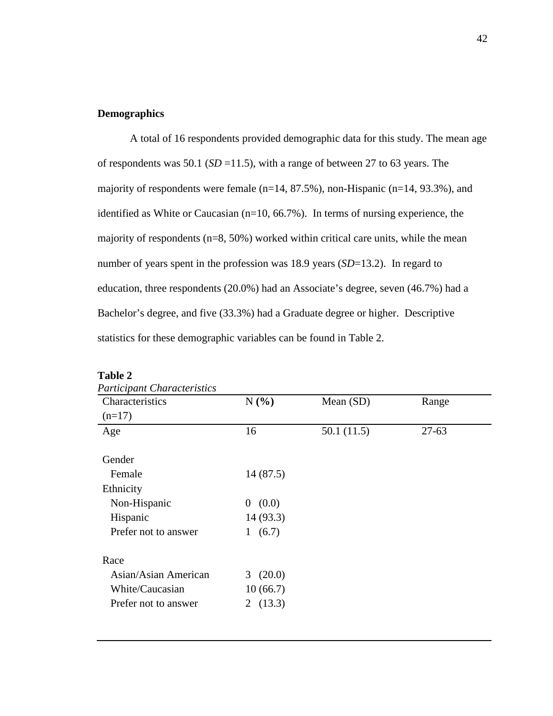# **Demographics**

A total of 16 respondents provided demographic data for this study. The mean age of respondents was 50.1 (*SD* =11.5), with a range of between 27 to 63 years. The majority of respondents were female (n=14, 87.5%), non-Hispanic (n=14, 93.3%), and identified as White or Caucasian (n=10, 66.7%). In terms of nursing experience, the majority of respondents (n=8, 50%) worked within critical care units, while the mean number of years spent in the profession was 18.9 years (*SD*=13.2). In regard to education, three respondents (20.0%) had an Associate's degree, seven (46.7%) had a Bachelor's degree, and five (33.3%) had a Graduate degree or higher. Descriptive statistics for these demographic variables can be found in Table 2.

| N(%)       | Mean (SD)  | Range   |
|------------|------------|---------|
|            |            |         |
| 16         | 50.1(11.5) | $27-63$ |
|            |            |         |
| 14(87.5)   |            |         |
|            |            |         |
| 0(0.0)     |            |         |
| 14(93.3)   |            |         |
| (6.7)<br>1 |            |         |
|            |            |         |
| 3(20.0)    |            |         |
| 10(66.7)   |            |         |
| 2 $(13.3)$ |            |         |
|            |            |         |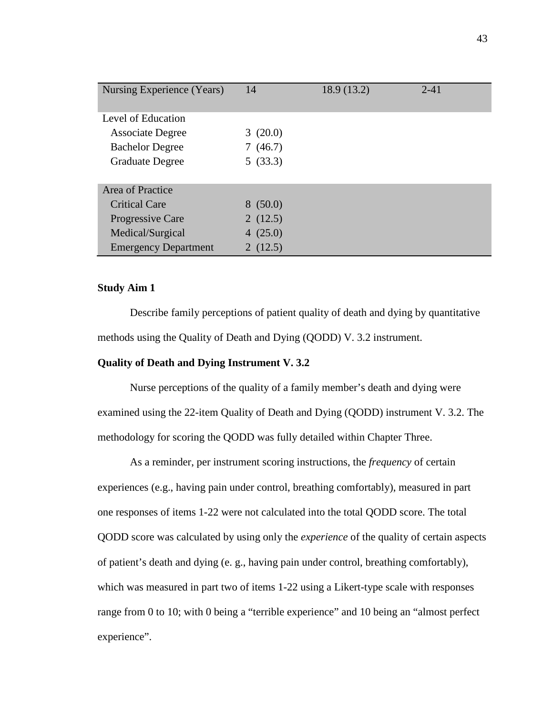| Nursing Experience (Years)  | 14      | 18.9 (13.2) | $2 - 41$ |
|-----------------------------|---------|-------------|----------|
| Level of Education          |         |             |          |
| <b>Associate Degree</b>     | 3(20.0) |             |          |
| <b>Bachelor Degree</b>      | 7(46.7) |             |          |
| <b>Graduate Degree</b>      | 5(33.3) |             |          |
|                             |         |             |          |
| Area of Practice            |         |             |          |
| <b>Critical Care</b>        | 8(50.0) |             |          |
| Progressive Care            | 2(12.5) |             |          |
| Medical/Surgical            | 4(25.0) |             |          |
| <b>Emergency Department</b> | 2(12.5) |             |          |

# **Study Aim 1**

Describe family perceptions of patient quality of death and dying by quantitative methods using the Quality of Death and Dying (QODD) V. 3.2 instrument.

# **Quality of Death and Dying Instrument V. 3.2**

Nurse perceptions of the quality of a family member's death and dying were examined using the 22-item Quality of Death and Dying (QODD) instrument V. 3.2. The methodology for scoring the QODD was fully detailed within Chapter Three.

As a reminder, per instrument scoring instructions, the *frequency* of certain experiences (e.g., having pain under control, breathing comfortably), measured in part one responses of items 1-22 were not calculated into the total QODD score. The total QODD score was calculated by using only the *experience* of the quality of certain aspects of patient's death and dying (e. g., having pain under control, breathing comfortably), which was measured in part two of items 1-22 using a Likert-type scale with responses range from 0 to 10; with 0 being a "terrible experience" and 10 being an "almost perfect experience".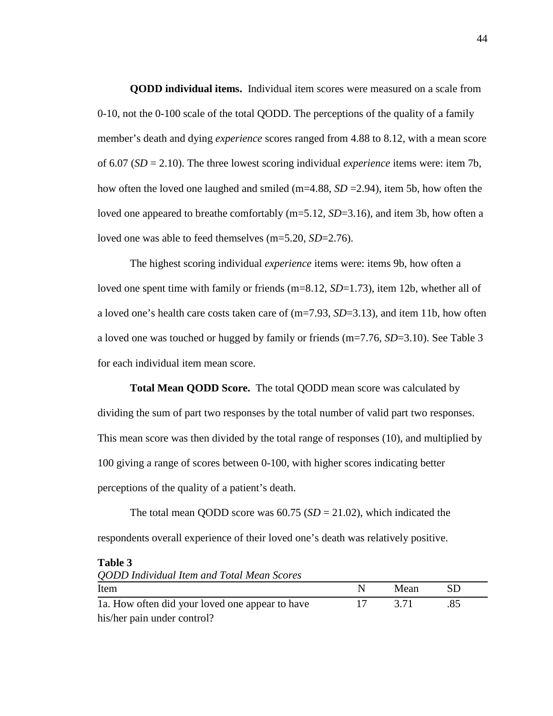**QODD individual items.** Individual item scores were measured on a scale from 0-10, not the 0-100 scale of the total QODD. The perceptions of the quality of a family member's death and dying *experience* scores ranged from 4.88 to 8.12, with a mean score of 6.07 (*SD* = 2.10). The three lowest scoring individual *experience* items were: item 7b, how often the loved one laughed and smiled (m=4.88, *SD* =2.94), item 5b, how often the loved one appeared to breathe comfortably (m=5.12, *SD*=3.16), and item 3b, how often a loved one was able to feed themselves (m=5.20, *SD*=2.76).

The highest scoring individual *experience* items were: items 9b, how often a loved one spent time with family or friends (m=8.12, *SD*=1.73), item 12b, whether all of a loved one's health care costs taken care of (m=7.93, *SD*=3.13), and item 11b, how often a loved one was touched or hugged by family or friends (m=7.76, *SD*=3.10). See Table 3 for each individual item mean score.

**Total Mean QODD Score.** The total QODD mean score was calculated by dividing the sum of part two responses by the total number of valid part two responses. This mean score was then divided by the total range of responses (10), and multiplied by 100 giving a range of scores between 0-100, with higher scores indicating better perceptions of the quality of a patient's death.

The total mean QODD score was  $60.75$  ( $SD = 21.02$ ), which indicated the respondents overall experience of their loved one's death was relatively positive.

| <b>QODD</b> Individual Item and Total Mean Scores |    |       |    |  |  |  |
|---------------------------------------------------|----|-------|----|--|--|--|
| Item                                              | N. | Mean  | SD |  |  |  |
| 1a. How often did your loved one appear to have   |    | -3.71 |    |  |  |  |
| his/her pain under control?                       |    |       |    |  |  |  |

**Table 3**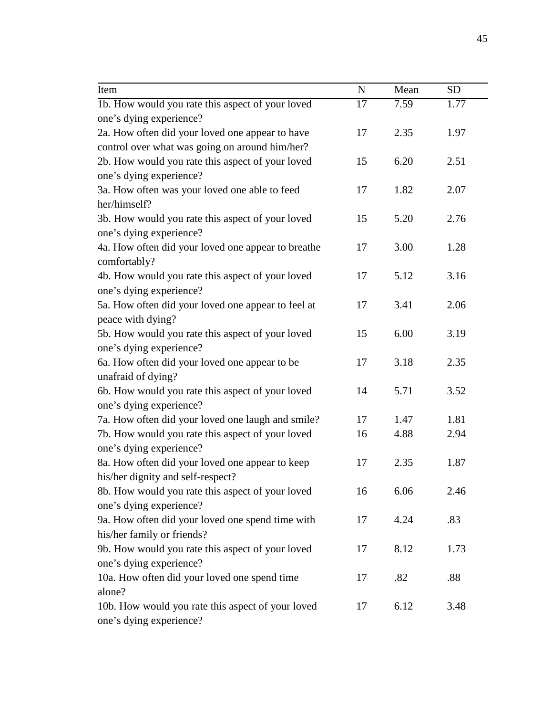| Item                                               | $\mathbf N$ | Mean | <b>SD</b> |
|----------------------------------------------------|-------------|------|-----------|
| 1b. How would you rate this aspect of your loved   | 17          | 7.59 | 1.77      |
| one's dying experience?                            |             |      |           |
| 2a. How often did your loved one appear to have    | 17          | 2.35 | 1.97      |
| control over what was going on around him/her?     |             |      |           |
| 2b. How would you rate this aspect of your loved   | 15          | 6.20 | 2.51      |
| one's dying experience?                            |             |      |           |
| 3a. How often was your loved one able to feed      | 17          | 1.82 | 2.07      |
| her/himself?                                       |             |      |           |
| 3b. How would you rate this aspect of your loved   | 15          | 5.20 | 2.76      |
| one's dying experience?                            |             |      |           |
| 4a. How often did your loved one appear to breathe | 17          | 3.00 | 1.28      |
| comfortably?                                       |             |      |           |
| 4b. How would you rate this aspect of your loved   | 17          | 5.12 | 3.16      |
| one's dying experience?                            |             |      |           |
| 5a. How often did your loved one appear to feel at | 17          | 3.41 | 2.06      |
| peace with dying?                                  |             |      |           |
| 5b. How would you rate this aspect of your loved   | 15          | 6.00 | 3.19      |
| one's dying experience?                            |             |      |           |
| 6a. How often did your loved one appear to be      | 17          | 3.18 | 2.35      |
| unafraid of dying?                                 |             |      |           |
| 6b. How would you rate this aspect of your loved   | 14          | 5.71 | 3.52      |
| one's dying experience?                            |             |      |           |
| 7a. How often did your loved one laugh and smile?  | 17          | 1.47 | 1.81      |
| 7b. How would you rate this aspect of your loved   | 16          | 4.88 | 2.94      |
| one's dying experience?                            |             |      |           |
| 8a. How often did your loved one appear to keep    | 17          | 2.35 | 1.87      |
| his/her dignity and self-respect?                  |             |      |           |
| 8b. How would you rate this aspect of your loved   | 16          | 6.06 | 2.46      |
| one's dying experience?                            |             |      |           |
| 9a. How often did your loved one spend time with   | 17          | 4.24 | .83       |
| his/her family or friends?                         |             |      |           |
| 9b. How would you rate this aspect of your loved   | 17          | 8.12 | 1.73      |
| one's dying experience?                            |             |      |           |
| 10a. How often did your loved one spend time       | 17          | .82  | .88       |
| alone?                                             |             |      |           |
| 10b. How would you rate this aspect of your loved  | 17          | 6.12 | 3.48      |
| one's dying experience?                            |             |      |           |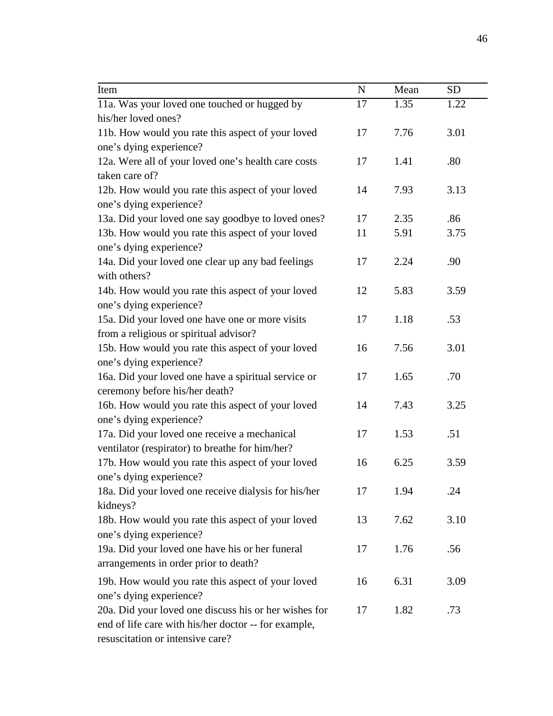| Item                                                  | $\mathbf N$ | Mean | <b>SD</b> |
|-------------------------------------------------------|-------------|------|-----------|
| 11a. Was your loved one touched or hugged by          | 17          | 1.35 | 1.22      |
| his/her loved ones?                                   |             |      |           |
| 11b. How would you rate this aspect of your loved     | 17          | 7.76 | 3.01      |
| one's dying experience?                               |             |      |           |
| 12a. Were all of your loved one's health care costs   | 17          | 1.41 | .80       |
| taken care of?                                        |             |      |           |
| 12b. How would you rate this aspect of your loved     | 14          | 7.93 | 3.13      |
| one's dying experience?                               |             |      |           |
| 13a. Did your loved one say goodbye to loved ones?    | 17          | 2.35 | .86       |
| 13b. How would you rate this aspect of your loved     | 11          | 5.91 | 3.75      |
| one's dying experience?                               |             |      |           |
| 14a. Did your loved one clear up any bad feelings     | 17          | 2.24 | .90       |
| with others?                                          |             |      |           |
| 14b. How would you rate this aspect of your loved     | 12          | 5.83 | 3.59      |
| one's dying experience?                               |             |      |           |
| 15a. Did your loved one have one or more visits       | 17          | 1.18 | .53       |
| from a religious or spiritual advisor?                |             |      |           |
| 15b. How would you rate this aspect of your loved     | 16          | 7.56 | 3.01      |
| one's dying experience?                               |             |      |           |
| 16a. Did your loved one have a spiritual service or   | 17          | 1.65 | .70       |
| ceremony before his/her death?                        |             |      |           |
| 16b. How would you rate this aspect of your loved     | 14          | 7.43 | 3.25      |
| one's dying experience?                               |             |      |           |
| 17a. Did your loved one receive a mechanical          | 17          | 1.53 | .51       |
| ventilator (respirator) to breathe for him/her?       |             |      |           |
| 17b. How would you rate this aspect of your loved     | 16          | 6.25 | 3.59      |
| one's dying experience?                               |             |      |           |
| 18a. Did your loved one receive dialysis for his/her  | 17          | 1.94 | .24       |
| kidneys?                                              |             |      |           |
| 18b. How would you rate this aspect of your loved     | 13          | 7.62 | 3.10      |
| one's dying experience?                               |             |      |           |
| 19a. Did your loved one have his or her funeral       | 17          | 1.76 | .56       |
| arrangements in order prior to death?                 |             |      |           |
| 19b. How would you rate this aspect of your loved     | 16          | 6.31 | 3.09      |
| one's dying experience?                               |             |      |           |
| 20a. Did your loved one discuss his or her wishes for | 17          | 1.82 | .73       |
| end of life care with his/her doctor -- for example,  |             |      |           |
| resuscitation or intensive care?                      |             |      |           |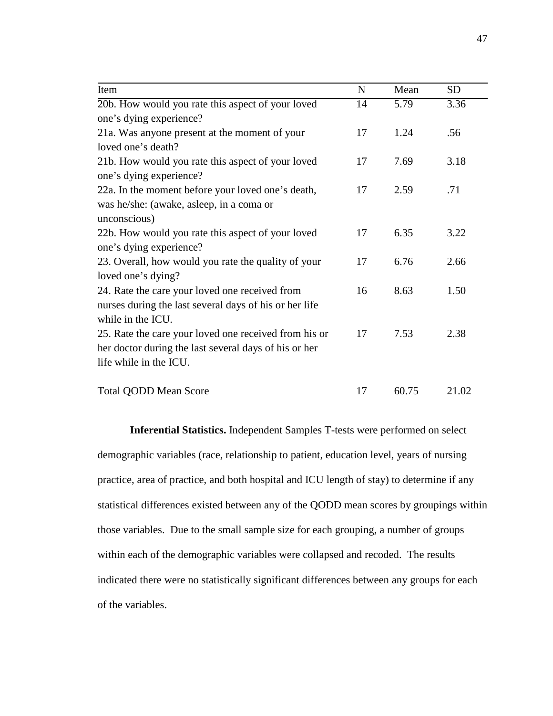| Item                                                   | $\mathbf N$ | Mean  | <b>SD</b> |
|--------------------------------------------------------|-------------|-------|-----------|
| 20b. How would you rate this aspect of your loved      | 14          | 5.79  | 3.36      |
| one's dying experience?                                |             |       |           |
| 21a. Was anyone present at the moment of your          | 17          | 1.24  | .56       |
| loved one's death?                                     |             |       |           |
| 21b. How would you rate this aspect of your loved      | 17          | 7.69  | 3.18      |
| one's dying experience?                                |             |       |           |
| 22a. In the moment before your loved one's death,      | 17          | 2.59  | .71       |
| was he/she: (awake, asleep, in a coma or               |             |       |           |
| unconscious)                                           |             |       |           |
| 22b. How would you rate this aspect of your loved      | 17          | 6.35  | 3.22      |
| one's dying experience?                                |             |       |           |
| 23. Overall, how would you rate the quality of your    | 17          | 6.76  | 2.66      |
| loved one's dying?                                     |             |       |           |
| 24. Rate the care your loved one received from         | 16          | 8.63  | 1.50      |
| nurses during the last several days of his or her life |             |       |           |
| while in the ICU.                                      |             |       |           |
| 25. Rate the care your loved one received from his or  | 17          | 7.53  | 2.38      |
| her doctor during the last several days of his or her  |             |       |           |
| life while in the ICU.                                 |             |       |           |
| <b>Total QODD Mean Score</b>                           | 17          | 60.75 | 21.02     |

**Inferential Statistics.** Independent Samples T-tests were performed on select demographic variables (race, relationship to patient, education level, years of nursing practice, area of practice, and both hospital and ICU length of stay) to determine if any statistical differences existed between any of the QODD mean scores by groupings within those variables. Due to the small sample size for each grouping, a number of groups within each of the demographic variables were collapsed and recoded. The results indicated there were no statistically significant differences between any groups for each of the variables.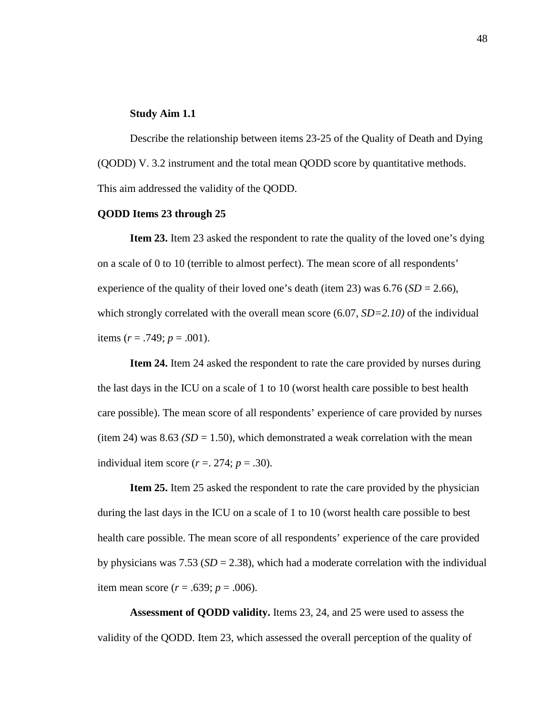## **Study Aim 1.1**

Describe the relationship between items 23-25 of the Quality of Death and Dying (QODD) V. 3.2 instrument and the total mean QODD score by quantitative methods. This aim addressed the validity of the QODD.

## **QODD Items 23 through 25**

**Item 23.** Item 23 asked the respondent to rate the quality of the loved one's dying on a scale of 0 to 10 (terrible to almost perfect). The mean score of all respondents' experience of the quality of their loved one's death (item 23) was  $6.76$  (*SD* = 2.66), which strongly correlated with the overall mean score (6.07, *SD*=2.10) of the individual items  $(r = .749; p = .001)$ .

**Item 24.** Item 24 asked the respondent to rate the care provided by nurses during the last days in the ICU on a scale of 1 to 10 (worst health care possible to best health care possible). The mean score of all respondents' experience of care provided by nurses (item 24) was  $8.63$  *(SD = 1.50)*, which demonstrated a weak correlation with the mean individual item score  $(r = 0.274; p = 0.30)$ .

**Item 25.** Item 25 asked the respondent to rate the care provided by the physician during the last days in the ICU on a scale of 1 to 10 (worst health care possible to best health care possible. The mean score of all respondents' experience of the care provided by physicians was  $7.53$  ( $SD = 2.38$ ), which had a moderate correlation with the individual item mean score ( $r = .639$ ;  $p = .006$ ).

**Assessment of QODD validity.** Items 23, 24, and 25 were used to assess the validity of the QODD. Item 23, which assessed the overall perception of the quality of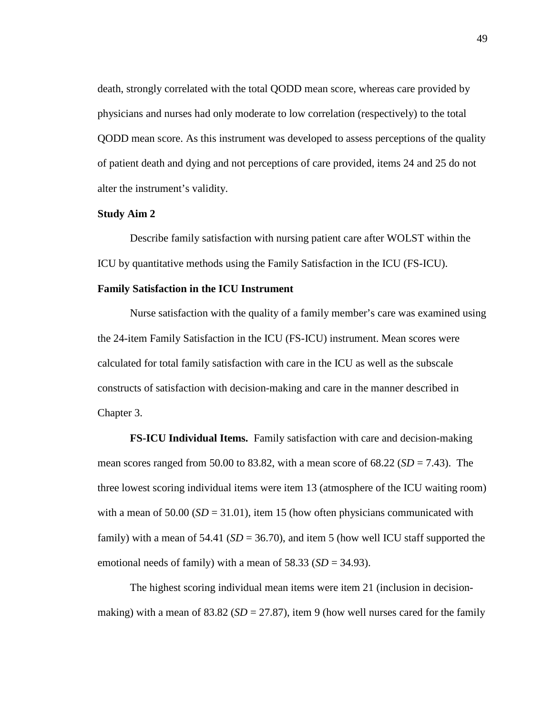death, strongly correlated with the total QODD mean score, whereas care provided by physicians and nurses had only moderate to low correlation (respectively) to the total QODD mean score. As this instrument was developed to assess perceptions of the quality of patient death and dying and not perceptions of care provided, items 24 and 25 do not alter the instrument's validity.

# **Study Aim 2**

Describe family satisfaction with nursing patient care after WOLST within the ICU by quantitative methods using the Family Satisfaction in the ICU (FS-ICU).

# **Family Satisfaction in the ICU Instrument**

Nurse satisfaction with the quality of a family member's care was examined using the 24-item Family Satisfaction in the ICU (FS-ICU) instrument. Mean scores were calculated for total family satisfaction with care in the ICU as well as the subscale constructs of satisfaction with decision-making and care in the manner described in Chapter 3.

**FS-ICU Individual Items.** Family satisfaction with care and decision-making mean scores ranged from 50.00 to 83.82, with a mean score of  $68.22$  ( $SD = 7.43$ ). The three lowest scoring individual items were item 13 (atmosphere of the ICU waiting room) with a mean of  $50.00$  ( $SD = 31.01$ ), item 15 (how often physicians communicated with family) with a mean of 54.41 ( $SD = 36.70$ ), and item 5 (how well ICU staff supported the emotional needs of family) with a mean of  $58.33$  ( $SD = 34.93$ ).

The highest scoring individual mean items were item 21 (inclusion in decisionmaking) with a mean of  $83.82$  ( $SD = 27.87$ ), item 9 (how well nurses cared for the family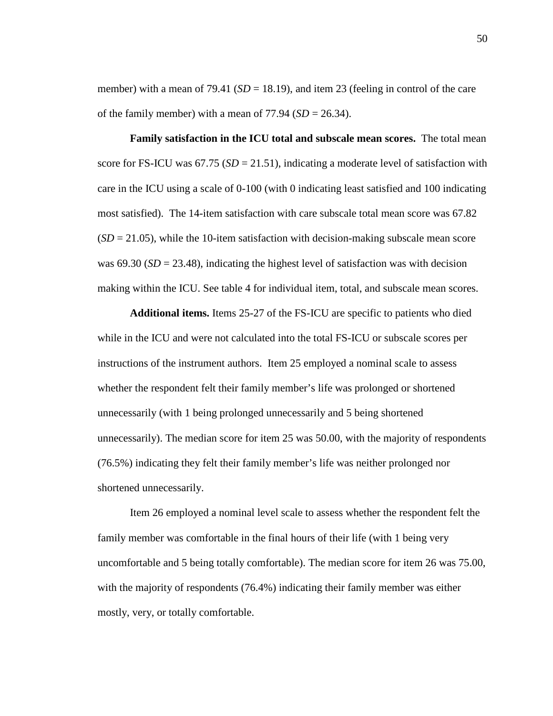member) with a mean of 79.41 ( $SD = 18.19$ ), and item 23 (feeling in control of the care of the family member) with a mean of  $77.94$  ( $SD = 26.34$ ).

**Family satisfaction in the ICU total and subscale mean scores.** The total mean score for FS-ICU was  $67.75$  ( $SD = 21.51$ ), indicating a moderate level of satisfaction with care in the ICU using a scale of 0-100 (with 0 indicating least satisfied and 100 indicating most satisfied). The 14-item satisfaction with care subscale total mean score was 67.82  $(SD = 21.05)$ , while the 10-item satisfaction with decision-making subscale mean score was  $69.30$  ( $SD = 23.48$ ), indicating the highest level of satisfaction was with decision making within the ICU. See table 4 for individual item, total, and subscale mean scores.

**Additional items.** Items 25-27 of the FS-ICU are specific to patients who died while in the ICU and were not calculated into the total FS-ICU or subscale scores per instructions of the instrument authors. Item 25 employed a nominal scale to assess whether the respondent felt their family member's life was prolonged or shortened unnecessarily (with 1 being prolonged unnecessarily and 5 being shortened unnecessarily). The median score for item 25 was 50.00, with the majority of respondents (76.5%) indicating they felt their family member's life was neither prolonged nor shortened unnecessarily.

Item 26 employed a nominal level scale to assess whether the respondent felt the family member was comfortable in the final hours of their life (with 1 being very uncomfortable and 5 being totally comfortable). The median score for item 26 was 75.00, with the majority of respondents (76.4%) indicating their family member was either mostly, very, or totally comfortable.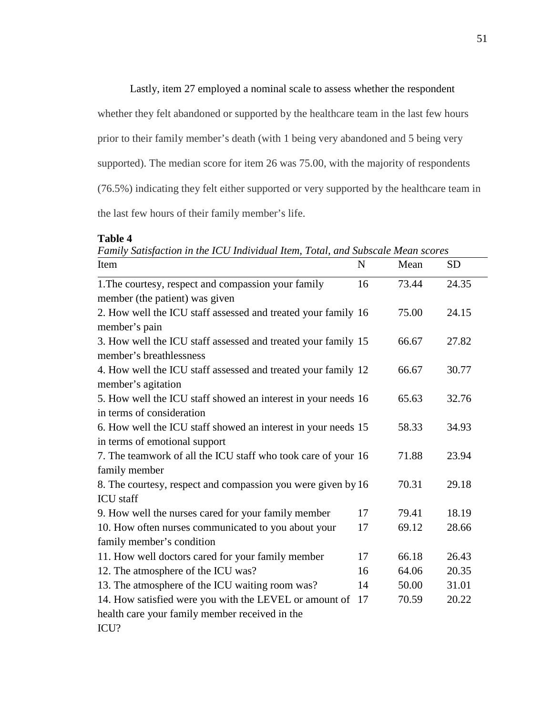## Lastly, item 27 employed a nominal scale to assess whether the respondent

whether they felt abandoned or supported by the healthcare team in the last few hours

prior to their family member's death (with 1 being very abandoned and 5 being very

supported). The median score for item 26 was 75.00, with the majority of respondents

(76.5%) indicating they felt either supported or very supported by the healthcare team in

the last few hours of their family member's life.

**Table 4**

*Family Satisfaction in the ICU Individual Item, Total, and Subscale Mean scores* Item N Mean SD

| Item                                                          | N  | Mean  | SD.   |
|---------------------------------------------------------------|----|-------|-------|
| 1. The courtesy, respect and compassion your family           | 16 | 73.44 | 24.35 |
| member (the patient) was given                                |    |       |       |
| 2. How well the ICU staff assessed and treated your family 16 |    | 75.00 | 24.15 |
| member's pain                                                 |    |       |       |
| 3. How well the ICU staff assessed and treated your family 15 |    | 66.67 | 27.82 |
| member's breathlessness                                       |    |       |       |
| 4. How well the ICU staff assessed and treated your family 12 |    | 66.67 | 30.77 |
| member's agitation                                            |    |       |       |
| 5. How well the ICU staff showed an interest in your needs 16 |    | 65.63 | 32.76 |
| in terms of consideration                                     |    |       |       |
| 6. How well the ICU staff showed an interest in your needs 15 |    | 58.33 | 34.93 |
| in terms of emotional support                                 |    |       |       |
| 7. The teamwork of all the ICU staff who took care of your 16 |    | 71.88 | 23.94 |
| family member                                                 |    |       |       |
| 8. The courtesy, respect and compassion you were given by 16  |    | 70.31 | 29.18 |
| <b>ICU</b> staff                                              |    |       |       |
| 9. How well the nurses cared for your family member           | 17 | 79.41 | 18.19 |
| 10. How often nurses communicated to you about your           | 17 | 69.12 | 28.66 |
| family member's condition                                     |    |       |       |
| 11. How well doctors cared for your family member             | 17 | 66.18 | 26.43 |
| 12. The atmosphere of the ICU was?                            | 16 | 64.06 | 20.35 |
| 13. The atmosphere of the ICU waiting room was?               | 14 | 50.00 | 31.01 |
| 14. How satisfied were you with the LEVEL or amount of        | 17 | 70.59 | 20.22 |
| health care your family member received in the                |    |       |       |
| ICU?                                                          |    |       |       |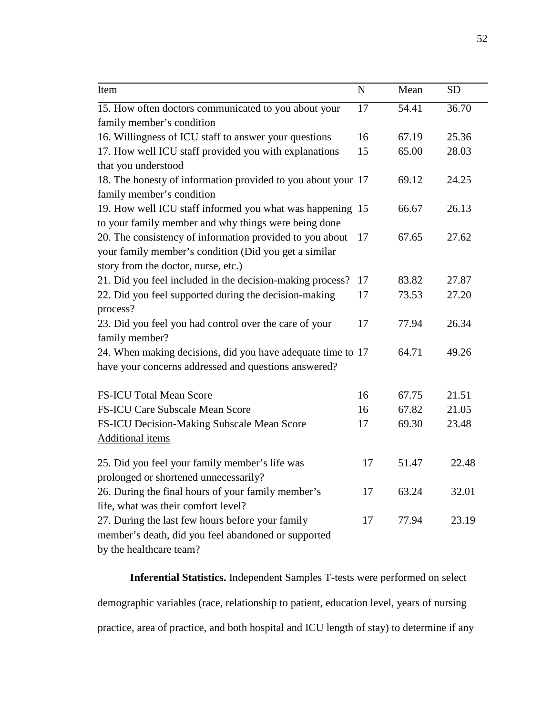| Item                                                         | N  | Mean               | <b>SD</b> |
|--------------------------------------------------------------|----|--------------------|-----------|
| 15. How often doctors communicated to you about your         | 17 | $\overline{54.41}$ | 36.70     |
| family member's condition                                    |    |                    |           |
| 16. Willingness of ICU staff to answer your questions        | 16 | 67.19              | 25.36     |
| 17. How well ICU staff provided you with explanations        | 15 | 65.00              | 28.03     |
| that you understood                                          |    |                    |           |
| 18. The honesty of information provided to you about your 17 |    | 69.12              | 24.25     |
| family member's condition                                    |    |                    |           |
| 19. How well ICU staff informed you what was happening 15    |    | 66.67              | 26.13     |
| to your family member and why things were being done         |    |                    |           |
| 20. The consistency of information provided to you about     | 17 | 67.65              | 27.62     |
| your family member's condition (Did you get a similar        |    |                    |           |
| story from the doctor, nurse, etc.)                          |    |                    |           |
| 21. Did you feel included in the decision-making process?    | 17 | 83.82              | 27.87     |
| 22. Did you feel supported during the decision-making        | 17 | 73.53              | 27.20     |
| process?                                                     |    |                    |           |
| 23. Did you feel you had control over the care of your       | 17 | 77.94              | 26.34     |
| family member?                                               |    |                    |           |
| 24. When making decisions, did you have adequate time to 17  |    | 64.71              | 49.26     |
| have your concerns addressed and questions answered?         |    |                    |           |
| <b>FS-ICU Total Mean Score</b>                               | 16 | 67.75              | 21.51     |
| <b>FS-ICU Care Subscale Mean Score</b>                       | 16 | 67.82              | 21.05     |
| FS-ICU Decision-Making Subscale Mean Score                   | 17 | 69.30              | 23.48     |
| <b>Additional items</b>                                      |    |                    |           |
| 25. Did you feel your family member's life was               | 17 | 51.47              | 22.48     |
| prolonged or shortened unnecessarily?                        |    |                    |           |
| 26. During the final hours of your family member's           | 17 | 63.24              | 32.01     |
| life, what was their comfort level?                          |    |                    |           |
| 27. During the last few hours before your family             | 17 | 77.94              | 23.19     |
| member's death, did you feel abandoned or supported          |    |                    |           |
| by the healthcare team?                                      |    |                    |           |

**Inferential Statistics.** Independent Samples T-tests were performed on select demographic variables (race, relationship to patient, education level, years of nursing practice, area of practice, and both hospital and ICU length of stay) to determine if any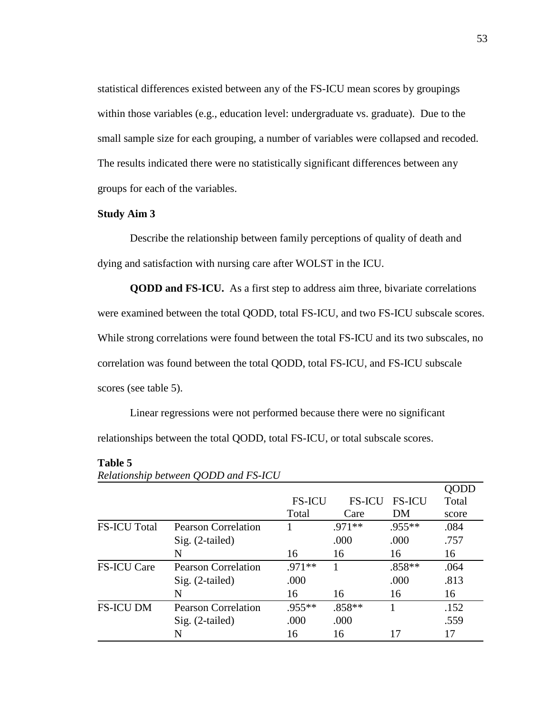statistical differences existed between any of the FS-ICU mean scores by groupings within those variables (e.g., education level: undergraduate vs. graduate). Due to the small sample size for each grouping, a number of variables were collapsed and recoded. The results indicated there were no statistically significant differences between any groups for each of the variables.

# **Study Aim 3**

Describe the relationship between family perceptions of quality of death and dying and satisfaction with nursing care after WOLST in the ICU.

**QODD and FS-ICU.** As a first step to address aim three, bivariate correlations were examined between the total QODD, total FS-ICU, and two FS-ICU subscale scores. While strong correlations were found between the total FS-ICU and its two subscales, no correlation was found between the total QODD, total FS-ICU, and FS-ICU subscale scores (see table 5).

Linear regressions were not performed because there were no significant relationships between the total QODD, total FS-ICU, or total subscale scores.

## **Table 5**

|                     |                            |               |               |               | <b>QUDD</b> |
|---------------------|----------------------------|---------------|---------------|---------------|-------------|
|                     |                            | <b>FS-ICU</b> | <b>FS-ICU</b> | <b>FS-ICU</b> | Total       |
|                     |                            | Total         | Care          | DM            | score       |
| <b>FS-ICU Total</b> | <b>Pearson Correlation</b> |               | .971**        | .955**        | .084        |
|                     | $Sig. (2-tailed)$          |               | .000          | .000          | .757        |
|                     | N                          | 16            | 16            | 16            | 16          |
| <b>FS-ICU Care</b>  | <b>Pearson Correlation</b> | .971**        |               | $.858**$      | .064        |
|                     | $Sig. (2-tailed)$          | .000          |               | .000          | .813        |
|                     | N                          | 16            | 16            | 16            | 16          |
| <b>FS-ICU DM</b>    | <b>Pearson Correlation</b> | .955**        | $.858**$      |               | .152        |
|                     | $Sig. (2-tailed)$          | .000          | .000          |               | .559        |
|                     | N                          | 16            | 16            | 17            | 17          |

*Relationship between QODD and FS-ICU*

QODD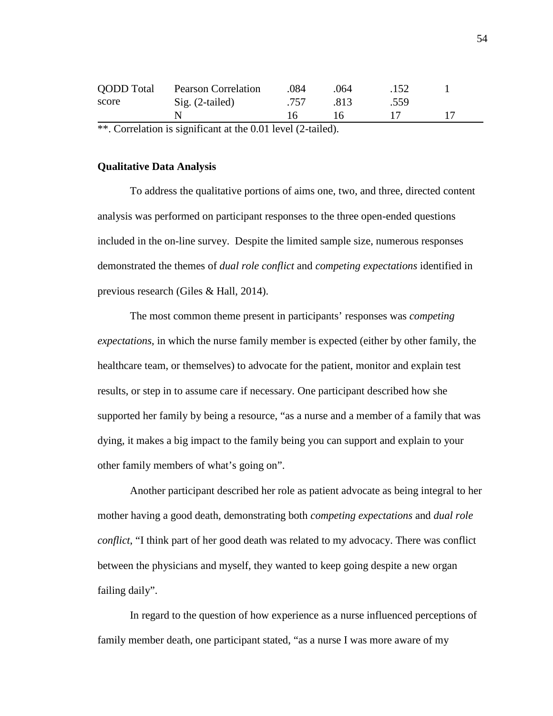| <b>QODD</b> Total | <b>Pearson Correlation</b> | .084           | 064    | .152 |  |  |
|-------------------|----------------------------|----------------|--------|------|--|--|
| score             | $Sig. (2-tailed)$          | .757           | -813   | .559 |  |  |
|                   |                            | $\overline{6}$ | $16 -$ |      |  |  |
|                   |                            |                |        |      |  |  |

\*\*. Correlation is significant at the 0.01 level (2-tailed).

# **Qualitative Data Analysis**

To address the qualitative portions of aims one, two, and three, directed content analysis was performed on participant responses to the three open-ended questions included in the on-line survey. Despite the limited sample size, numerous responses demonstrated the themes of *dual role conflict* and *competing expectations* identified in previous research (Giles & Hall, 2014).

The most common theme present in participants' responses was *competing expectations*, in which the nurse family member is expected (either by other family, the healthcare team, or themselves) to advocate for the patient, monitor and explain test results, or step in to assume care if necessary. One participant described how she supported her family by being a resource, "as a nurse and a member of a family that was dying, it makes a big impact to the family being you can support and explain to your other family members of what's going on".

Another participant described her role as patient advocate as being integral to her mother having a good death, demonstrating both *competing expectations* and *dual role conflict*, "I think part of her good death was related to my advocacy. There was conflict between the physicians and myself, they wanted to keep going despite a new organ failing daily".

In regard to the question of how experience as a nurse influenced perceptions of family member death, one participant stated, "as a nurse I was more aware of my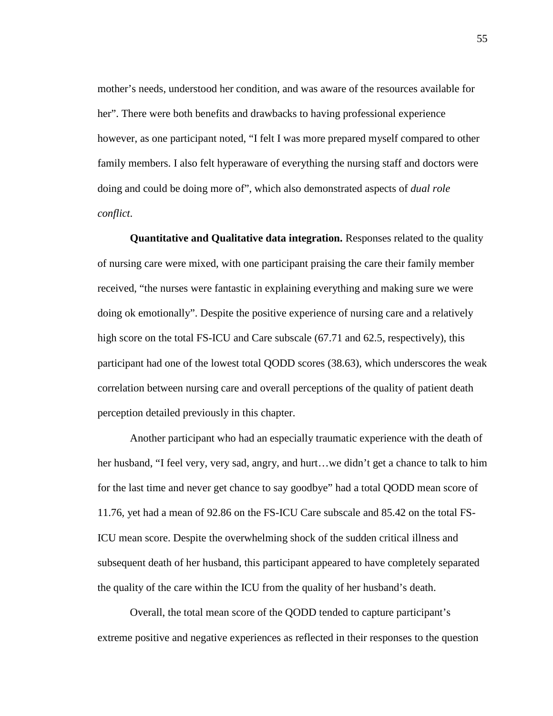mother's needs, understood her condition, and was aware of the resources available for her". There were both benefits and drawbacks to having professional experience however, as one participant noted, "I felt I was more prepared myself compared to other family members. I also felt hyperaware of everything the nursing staff and doctors were doing and could be doing more of", which also demonstrated aspects of *dual role conflict*.

**Quantitative and Qualitative data integration.** Responses related to the quality of nursing care were mixed, with one participant praising the care their family member received, "the nurses were fantastic in explaining everything and making sure we were doing ok emotionally". Despite the positive experience of nursing care and a relatively high score on the total FS-ICU and Care subscale (67.71 and 62.5, respectively), this participant had one of the lowest total QODD scores (38.63), which underscores the weak correlation between nursing care and overall perceptions of the quality of patient death perception detailed previously in this chapter.

Another participant who had an especially traumatic experience with the death of her husband, "I feel very, very sad, angry, and hurt…we didn't get a chance to talk to him for the last time and never get chance to say goodbye" had a total QODD mean score of 11.76, yet had a mean of 92.86 on the FS-ICU Care subscale and 85.42 on the total FS-ICU mean score. Despite the overwhelming shock of the sudden critical illness and subsequent death of her husband, this participant appeared to have completely separated the quality of the care within the ICU from the quality of her husband's death.

Overall, the total mean score of the QODD tended to capture participant's extreme positive and negative experiences as reflected in their responses to the question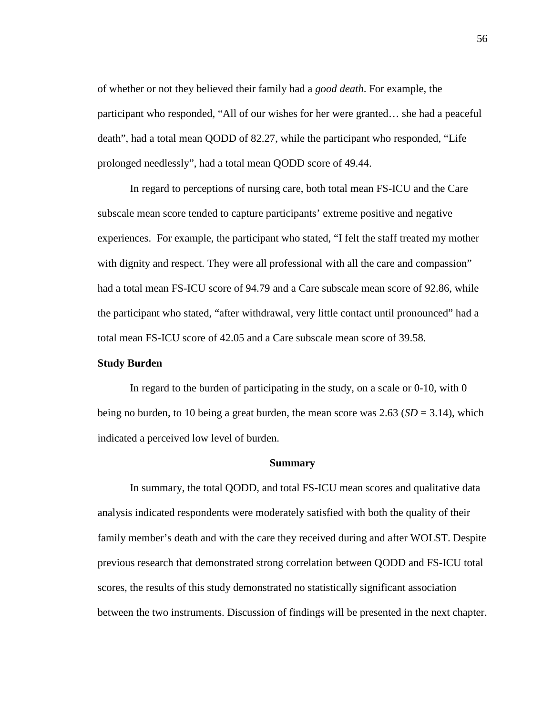of whether or not they believed their family had a *good death*. For example, the participant who responded, "All of our wishes for her were granted… she had a peaceful death", had a total mean QODD of 82.27, while the participant who responded, "Life prolonged needlessly", had a total mean QODD score of 49.44.

In regard to perceptions of nursing care, both total mean FS-ICU and the Care subscale mean score tended to capture participants' extreme positive and negative experiences. For example, the participant who stated, "I felt the staff treated my mother with dignity and respect. They were all professional with all the care and compassion" had a total mean FS-ICU score of 94.79 and a Care subscale mean score of 92.86, while the participant who stated, "after withdrawal, very little contact until pronounced" had a total mean FS-ICU score of 42.05 and a Care subscale mean score of 39.58.

## **Study Burden**

In regard to the burden of participating in the study, on a scale or 0-10, with 0 being no burden, to 10 being a great burden, the mean score was 2.63 (*SD* = 3.14), which indicated a perceived low level of burden.

#### **Summary**

In summary, the total QODD, and total FS-ICU mean scores and qualitative data analysis indicated respondents were moderately satisfied with both the quality of their family member's death and with the care they received during and after WOLST. Despite previous research that demonstrated strong correlation between QODD and FS-ICU total scores, the results of this study demonstrated no statistically significant association between the two instruments. Discussion of findings will be presented in the next chapter.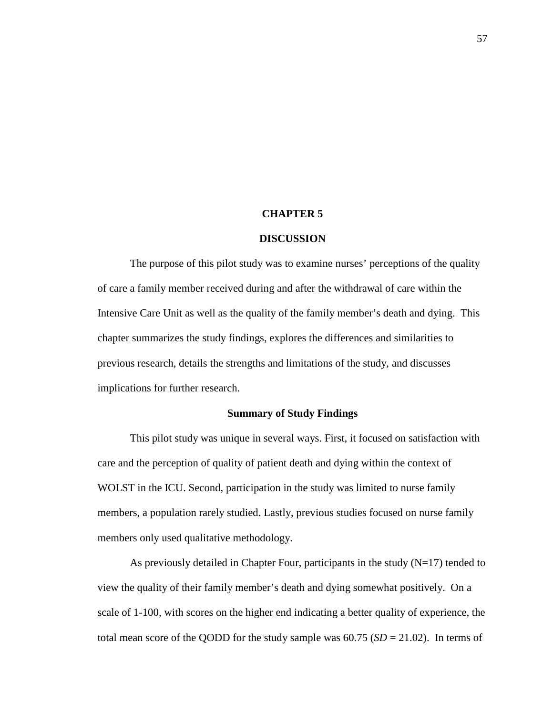#### **CHAPTER 5**

#### **DISCUSSION**

The purpose of this pilot study was to examine nurses' perceptions of the quality of care a family member received during and after the withdrawal of care within the Intensive Care Unit as well as the quality of the family member's death and dying. This chapter summarizes the study findings, explores the differences and similarities to previous research, details the strengths and limitations of the study, and discusses implications for further research.

# **Summary of Study Findings**

This pilot study was unique in several ways. First, it focused on satisfaction with care and the perception of quality of patient death and dying within the context of WOLST in the ICU. Second, participation in the study was limited to nurse family members, a population rarely studied. Lastly, previous studies focused on nurse family members only used qualitative methodology.

As previously detailed in Chapter Four, participants in the study  $(N=17)$  tended to view the quality of their family member's death and dying somewhat positively. On a scale of 1-100, with scores on the higher end indicating a better quality of experience, the total mean score of the QODD for the study sample was  $60.75$  ( $SD = 21.02$ ). In terms of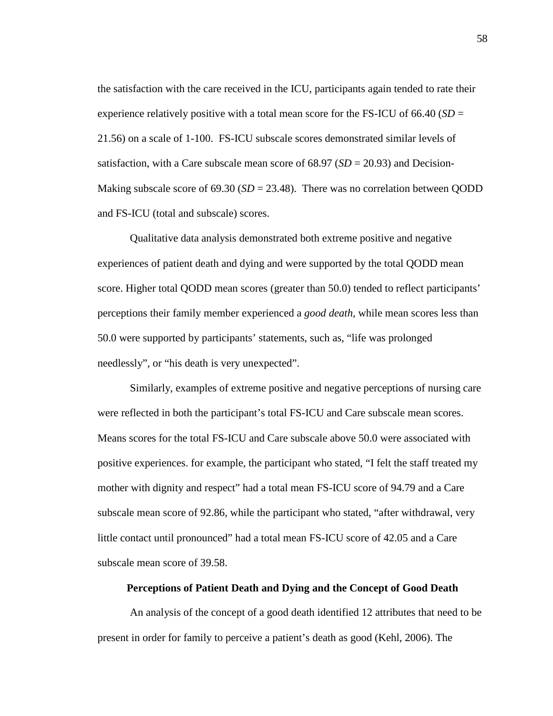the satisfaction with the care received in the ICU, participants again tended to rate their experience relatively positive with a total mean score for the FS-ICU of 66.40 (*SD* = 21.56) on a scale of 1-100. FS-ICU subscale scores demonstrated similar levels of satisfaction, with a Care subscale mean score of 68.97 (*SD* = 20.93) and Decision-Making subscale score of  $69.30$  ( $SD = 23.48$ ). There was no correlation between QODD and FS-ICU (total and subscale) scores.

Qualitative data analysis demonstrated both extreme positive and negative experiences of patient death and dying and were supported by the total QODD mean score. Higher total QODD mean scores (greater than 50.0) tended to reflect participants' perceptions their family member experienced a *good death*, while mean scores less than 50.0 were supported by participants' statements, such as, "life was prolonged needlessly", or "his death is very unexpected".

Similarly, examples of extreme positive and negative perceptions of nursing care were reflected in both the participant's total FS-ICU and Care subscale mean scores. Means scores for the total FS-ICU and Care subscale above 50.0 were associated with positive experiences. for example, the participant who stated, "I felt the staff treated my mother with dignity and respect" had a total mean FS-ICU score of 94.79 and a Care subscale mean score of 92.86, while the participant who stated, "after withdrawal, very little contact until pronounced" had a total mean FS-ICU score of 42.05 and a Care subscale mean score of 39.58.

## **Perceptions of Patient Death and Dying and the Concept of Good Death**

An analysis of the concept of a good death identified 12 attributes that need to be present in order for family to perceive a patient's death as good (Kehl, 2006). The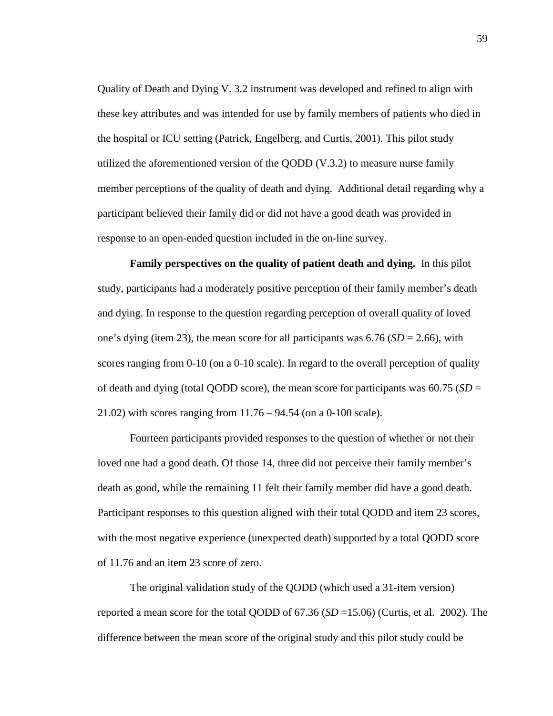Quality of Death and Dying V. 3.2 instrument was developed and refined to align with these key attributes and was intended for use by family members of patients who died in the hospital or ICU setting (Patrick, Engelberg, and Curtis, 2001). This pilot study utilized the aforementioned version of the QODD (V.3.2) to measure nurse family member perceptions of the quality of death and dying. Additional detail regarding why a participant believed their family did or did not have a good death was provided in response to an open-ended question included in the on-line survey.

**Family perspectives on the quality of patient death and dying.** In this pilot study, participants had a moderately positive perception of their family member's death and dying. In response to the question regarding perception of overall quality of loved one's dying (item 23), the mean score for all participants was 6.76 (*SD* = 2.66), with scores ranging from 0-10 (on a 0-10 scale). In regard to the overall perception of quality of death and dying (total QODD score), the mean score for participants was 60.75 (*SD* = 21.02) with scores ranging from 11.76 – 94.54 (on a 0-100 scale).

Fourteen participants provided responses to the question of whether or not their loved one had a good death. Of those 14, three did not perceive their family member's death as good, while the remaining 11 felt their family member did have a good death. Participant responses to this question aligned with their total QODD and item 23 scores, with the most negative experience (unexpected death) supported by a total QODD score of 11.76 and an item 23 score of zero.

The original validation study of the QODD (which used a 31-item version) reported a mean score for the total QODD of 67.36 (*SD* =15.06) (Curtis, et al. 2002). The difference between the mean score of the original study and this pilot study could be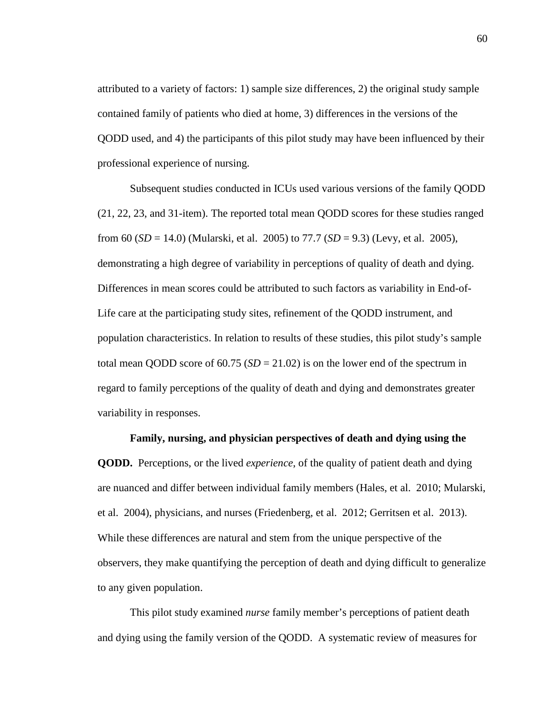attributed to a variety of factors: 1) sample size differences, 2) the original study sample contained family of patients who died at home, 3) differences in the versions of the QODD used, and 4) the participants of this pilot study may have been influenced by their professional experience of nursing.

Subsequent studies conducted in ICUs used various versions of the family QODD (21, 22, 23, and 31-item). The reported total mean QODD scores for these studies ranged from 60 (*SD* = 14.0) (Mularski, et al. 2005) to 77.7 (*SD* = 9.3) (Levy, et al. 2005), demonstrating a high degree of variability in perceptions of quality of death and dying. Differences in mean scores could be attributed to such factors as variability in End-of-Life care at the participating study sites, refinement of the QODD instrument, and population characteristics. In relation to results of these studies, this pilot study's sample total mean QODD score of 60.75 ( $SD = 21.02$ ) is on the lower end of the spectrum in regard to family perceptions of the quality of death and dying and demonstrates greater variability in responses.

**Family, nursing, and physician perspectives of death and dying using the QODD.** Perceptions, or the lived *experience*, of the quality of patient death and dying are nuanced and differ between individual family members (Hales, et al. 2010; Mularski, et al. 2004), physicians, and nurses (Friedenberg, et al. 2012; Gerritsen et al. 2013). While these differences are natural and stem from the unique perspective of the observers, they make quantifying the perception of death and dying difficult to generalize

to any given population.

This pilot study examined *nurse* family member's perceptions of patient death and dying using the family version of the QODD. A systematic review of measures for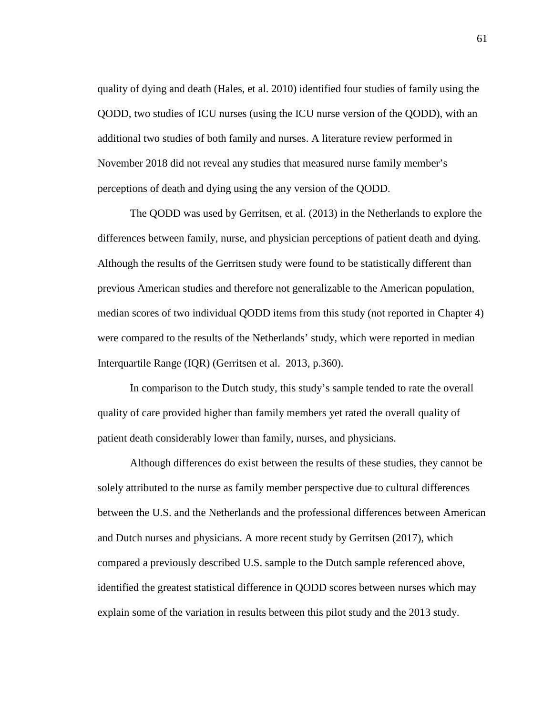quality of dying and death (Hales, et al. 2010) identified four studies of family using the QODD, two studies of ICU nurses (using the ICU nurse version of the QODD), with an additional two studies of both family and nurses. A literature review performed in November 2018 did not reveal any studies that measured nurse family member's perceptions of death and dying using the any version of the QODD.

The QODD was used by Gerritsen, et al. (2013) in the Netherlands to explore the differences between family, nurse, and physician perceptions of patient death and dying. Although the results of the Gerritsen study were found to be statistically different than previous American studies and therefore not generalizable to the American population, median scores of two individual QODD items from this study (not reported in Chapter 4) were compared to the results of the Netherlands' study, which were reported in median Interquartile Range (IQR) (Gerritsen et al. 2013, p.360).

In comparison to the Dutch study, this study's sample tended to rate the overall quality of care provided higher than family members yet rated the overall quality of patient death considerably lower than family, nurses, and physicians.

Although differences do exist between the results of these studies, they cannot be solely attributed to the nurse as family member perspective due to cultural differences between the U.S. and the Netherlands and the professional differences between American and Dutch nurses and physicians. A more recent study by Gerritsen (2017), which compared a previously described U.S. sample to the Dutch sample referenced above, identified the greatest statistical difference in QODD scores between nurses which may explain some of the variation in results between this pilot study and the 2013 study.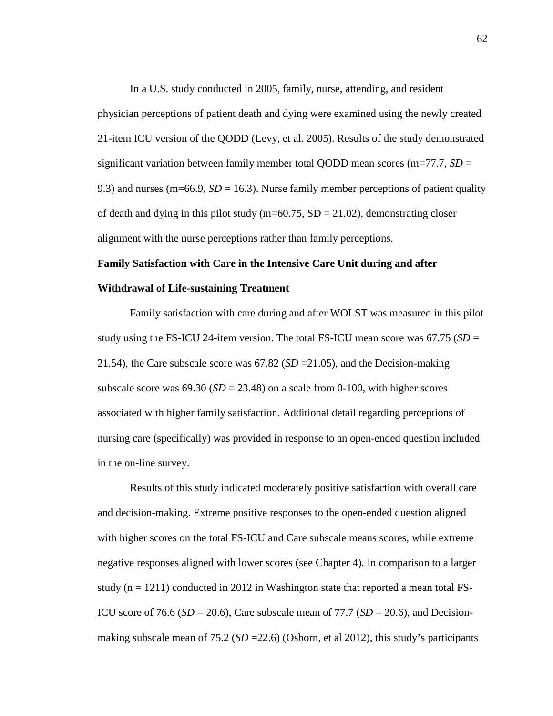In a U.S. study conducted in 2005, family, nurse, attending, and resident physician perceptions of patient death and dying were examined using the newly created 21-item ICU version of the QODD (Levy, et al. 2005). Results of the study demonstrated significant variation between family member total QODD mean scores (m=77.7, *SD* = 9.3) and nurses (m=66.9, *SD* = 16.3). Nurse family member perceptions of patient quality of death and dying in this pilot study (m=60.75,  $SD = 21.02$ ), demonstrating closer alignment with the nurse perceptions rather than family perceptions.

# **Family Satisfaction with Care in the Intensive Care Unit during and after Withdrawal of Life-sustaining Treatment**

Family satisfaction with care during and after WOLST was measured in this pilot study using the FS-ICU 24-item version. The total FS-ICU mean score was  $67.75$  (*SD* = 21.54), the Care subscale score was  $67.82$  (*SD* = 21.05), and the Decision-making subscale score was  $69.30$  ( $SD = 23.48$ ) on a scale from 0-100, with higher scores associated with higher family satisfaction. Additional detail regarding perceptions of nursing care (specifically) was provided in response to an open-ended question included in the on-line survey.

Results of this study indicated moderately positive satisfaction with overall care and decision-making. Extreme positive responses to the open-ended question aligned with higher scores on the total FS-ICU and Care subscale means scores, while extreme negative responses aligned with lower scores (see Chapter 4). In comparison to a larger study ( $n = 1211$ ) conducted in 2012 in Washington state that reported a mean total FS-ICU score of 76.6 ( $SD = 20.6$ ), Care subscale mean of 77.7 ( $SD = 20.6$ ), and Decisionmaking subscale mean of 75.2 (*SD* = 22.6) (Osborn, et al 2012), this study's participants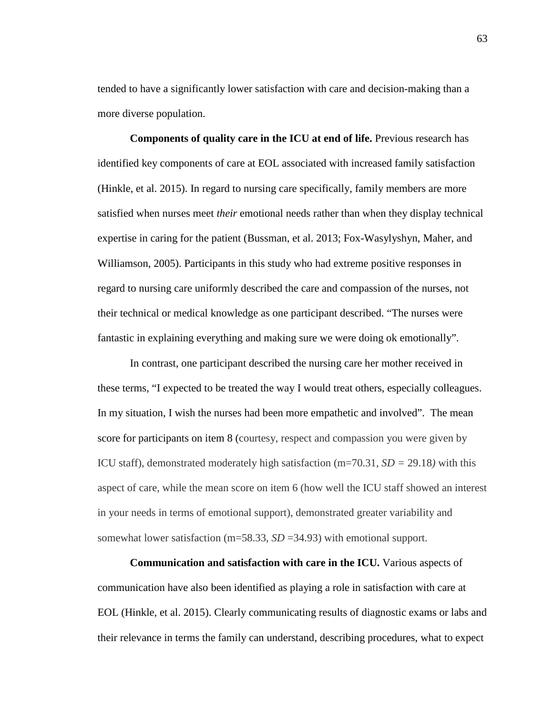tended to have a significantly lower satisfaction with care and decision-making than a more diverse population.

**Components of quality care in the ICU at end of life.** Previous research has identified key components of care at EOL associated with increased family satisfaction (Hinkle, et al. 2015). In regard to nursing care specifically, family members are more satisfied when nurses meet *their* emotional needs rather than when they display technical expertise in caring for the patient (Bussman, et al. 2013; Fox-Wasylyshyn, Maher, and Williamson, 2005). Participants in this study who had extreme positive responses in regard to nursing care uniformly described the care and compassion of the nurses, not their technical or medical knowledge as one participant described. "The nurses were fantastic in explaining everything and making sure we were doing ok emotionally".

In contrast, one participant described the nursing care her mother received in these terms, "I expected to be treated the way I would treat others, especially colleagues. In my situation, I wish the nurses had been more empathetic and involved". The mean score for participants on item 8 (courtesy, respect and compassion you were given by ICU staff), demonstrated moderately high satisfaction (m=70.31,  $SD = 29.18$ ) with this aspect of care, while the mean score on item 6 (how well the ICU staff showed an interest in your needs in terms of emotional support), demonstrated greater variability and somewhat lower satisfaction (m=58.33, *SD* =34.93) with emotional support.

**Communication and satisfaction with care in the ICU.** Various aspects of communication have also been identified as playing a role in satisfaction with care at EOL (Hinkle, et al. 2015). Clearly communicating results of diagnostic exams or labs and their relevance in terms the family can understand, describing procedures, what to expect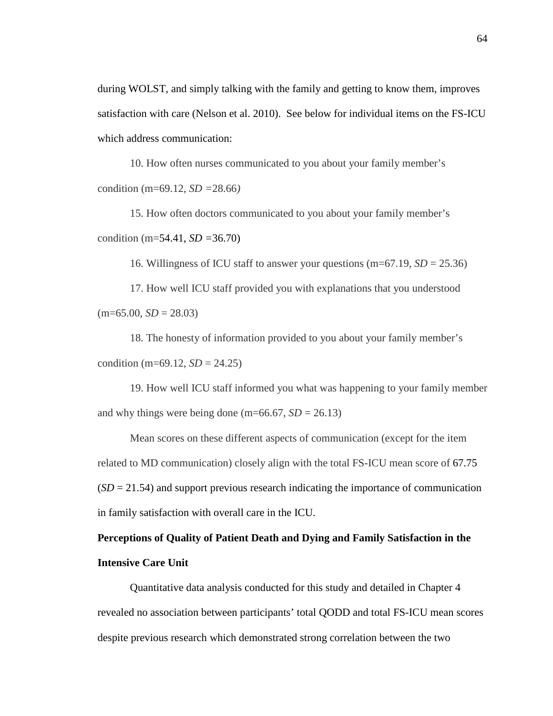during WOLST, and simply talking with the family and getting to know them, improves satisfaction with care (Nelson et al. 2010). See below for individual items on the FS-ICU which address communication:

10. How often nurses communicated to you about your family member's condition (m=69.12, *SD =*28.66*)*

15. How often doctors communicated to you about your family member's condition (m=54.41, *SD =*36.70)

16. Willingness of ICU staff to answer your questions (m=67.19, *SD* = 25.36)

17. How well ICU staff provided you with explanations that you understood  $(m=65.00, SD = 28.03)$ 

18. The honesty of information provided to you about your family member's condition (m=69.12,  $SD = 24.25$ )

19. How well ICU staff informed you what was happening to your family member and why things were being done (m=66.67,  $SD = 26.13$ )

Mean scores on these different aspects of communication (except for the item related to MD communication) closely align with the total FS-ICU mean score of 67.75  $(SD = 21.54)$  and support previous research indicating the importance of communication in family satisfaction with overall care in the ICU.

# **Perceptions of Quality of Patient Death and Dying and Family Satisfaction in the Intensive Care Unit**

Quantitative data analysis conducted for this study and detailed in Chapter 4 revealed no association between participants' total QODD and total FS-ICU mean scores despite previous research which demonstrated strong correlation between the two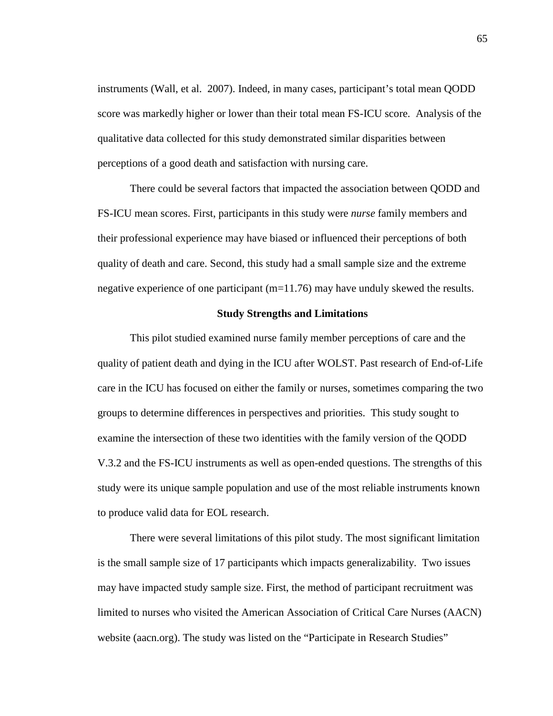instruments (Wall, et al. 2007). Indeed, in many cases, participant's total mean QODD score was markedly higher or lower than their total mean FS-ICU score. Analysis of the qualitative data collected for this study demonstrated similar disparities between perceptions of a good death and satisfaction with nursing care.

There could be several factors that impacted the association between QODD and FS-ICU mean scores. First, participants in this study were *nurse* family members and their professional experience may have biased or influenced their perceptions of both quality of death and care. Second, this study had a small sample size and the extreme negative experience of one participant (m=11.76) may have unduly skewed the results.

#### **Study Strengths and Limitations**

This pilot studied examined nurse family member perceptions of care and the quality of patient death and dying in the ICU after WOLST. Past research of End-of-Life care in the ICU has focused on either the family or nurses, sometimes comparing the two groups to determine differences in perspectives and priorities. This study sought to examine the intersection of these two identities with the family version of the QODD V.3.2 and the FS-ICU instruments as well as open-ended questions. The strengths of this study were its unique sample population and use of the most reliable instruments known to produce valid data for EOL research.

There were several limitations of this pilot study. The most significant limitation is the small sample size of 17 participants which impacts generalizability. Two issues may have impacted study sample size. First, the method of participant recruitment was limited to nurses who visited the American Association of Critical Care Nurses (AACN) website (aacn.org). The study was listed on the "Participate in Research Studies"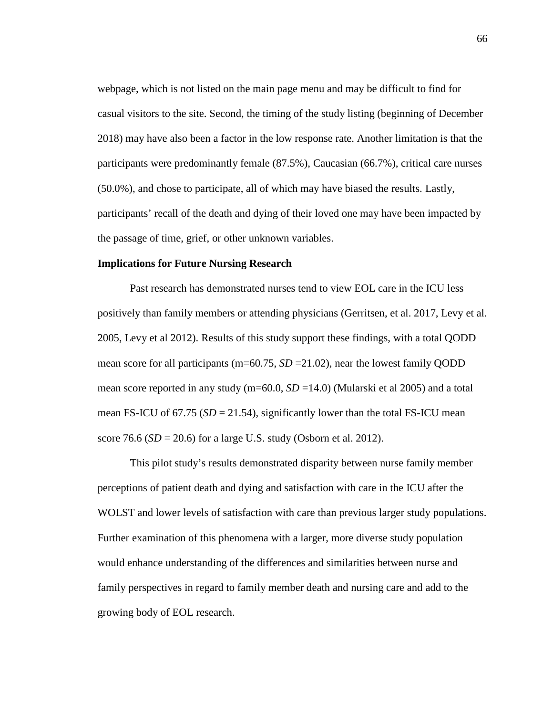webpage, which is not listed on the main page menu and may be difficult to find for casual visitors to the site. Second, the timing of the study listing (beginning of December 2018) may have also been a factor in the low response rate. Another limitation is that the participants were predominantly female (87.5%), Caucasian (66.7%), critical care nurses (50.0%), and chose to participate, all of which may have biased the results. Lastly, participants' recall of the death and dying of their loved one may have been impacted by the passage of time, grief, or other unknown variables.

# **Implications for Future Nursing Research**

Past research has demonstrated nurses tend to view EOL care in the ICU less positively than family members or attending physicians (Gerritsen, et al. 2017, Levy et al. 2005, Levy et al 2012). Results of this study support these findings, with a total QODD mean score for all participants (m=60.75,  $SD = 21.02$ ), near the lowest family OODD mean score reported in any study (m=60.0, *SD* =14.0) (Mularski et al 2005) and a total mean FS-ICU of  $67.75$  ( $SD = 21.54$ ), significantly lower than the total FS-ICU mean score 76.6 (*SD* = 20.6) for a large U.S. study (Osborn et al. 2012).

This pilot study's results demonstrated disparity between nurse family member perceptions of patient death and dying and satisfaction with care in the ICU after the WOLST and lower levels of satisfaction with care than previous larger study populations. Further examination of this phenomena with a larger, more diverse study population would enhance understanding of the differences and similarities between nurse and family perspectives in regard to family member death and nursing care and add to the growing body of EOL research.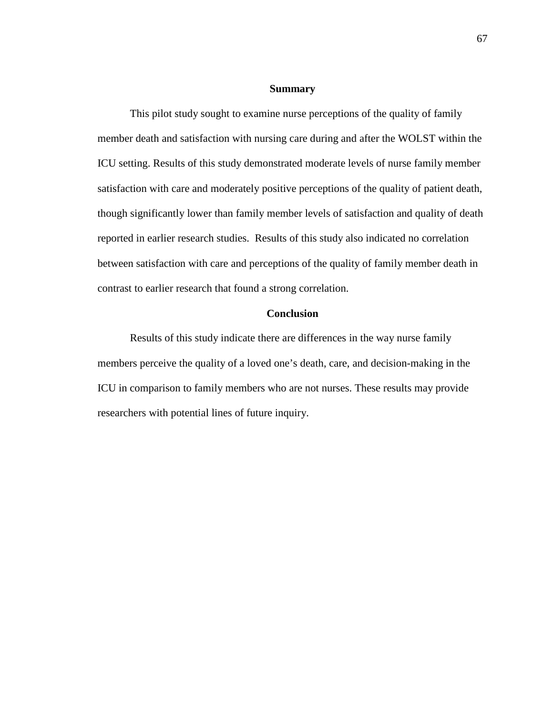#### **Summary**

This pilot study sought to examine nurse perceptions of the quality of family member death and satisfaction with nursing care during and after the WOLST within the ICU setting. Results of this study demonstrated moderate levels of nurse family member satisfaction with care and moderately positive perceptions of the quality of patient death, though significantly lower than family member levels of satisfaction and quality of death reported in earlier research studies. Results of this study also indicated no correlation between satisfaction with care and perceptions of the quality of family member death in contrast to earlier research that found a strong correlation.

## **Conclusion**

Results of this study indicate there are differences in the way nurse family members perceive the quality of a loved one's death, care, and decision-making in the ICU in comparison to family members who are not nurses. These results may provide researchers with potential lines of future inquiry.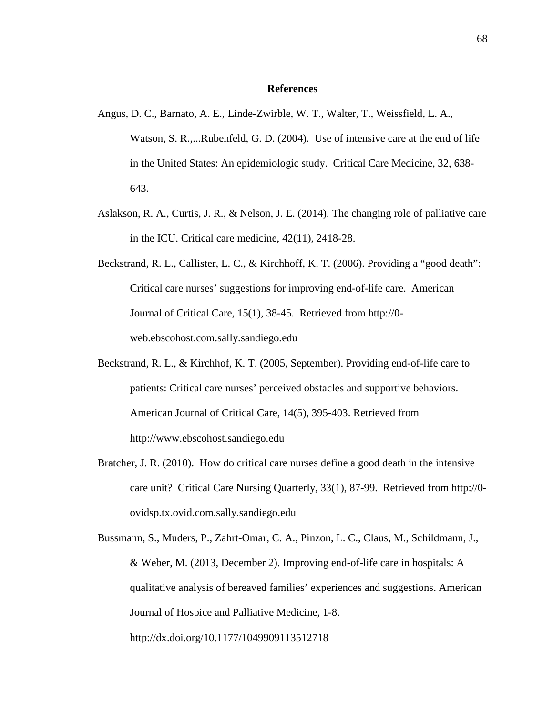#### **References**

- Angus, D. C., Barnato, A. E., Linde-Zwirble, W. T., Walter, T., Weissfield, L. A., Watson, S. R.,...Rubenfeld, G. D. (2004). Use of intensive care at the end of life in the United States: An epidemiologic study. Critical Care Medicine, 32, 638- 643.
- Aslakson, R. A., Curtis, J. R., & Nelson, J. E. (2014). The changing role of palliative care in the ICU. Critical care medicine, 42(11), 2418-28.
- Beckstrand, R. L., Callister, L. C., & Kirchhoff, K. T. (2006). Providing a "good death": Critical care nurses' suggestions for improving end-of-life care. American Journal of Critical Care, 15(1), 38-45. Retrieved from http://0 web.ebscohost.com.sally.sandiego.edu
- Beckstrand, R. L., & Kirchhof, K. T. (2005, September). Providing end-of-life care to patients: Critical care nurses' perceived obstacles and supportive behaviors. American Journal of Critical Care, 14(5), 395-403. Retrieved from http://www.ebscohost.sandiego.edu
- Bratcher, J. R. (2010). How do critical care nurses define a good death in the intensive care unit? Critical Care Nursing Quarterly, 33(1), 87-99. Retrieved from http://0 ovidsp.tx.ovid.com.sally.sandiego.edu
- Bussmann, S., Muders, P., Zahrt-Omar, C. A., Pinzon, L. C., Claus, M., Schildmann, J., & Weber, M. (2013, December 2). Improving end-of-life care in hospitals: A qualitative analysis of bereaved families' experiences and suggestions. American Journal of Hospice and Palliative Medicine, 1-8. http://dx.doi.org/10.1177/1049909113512718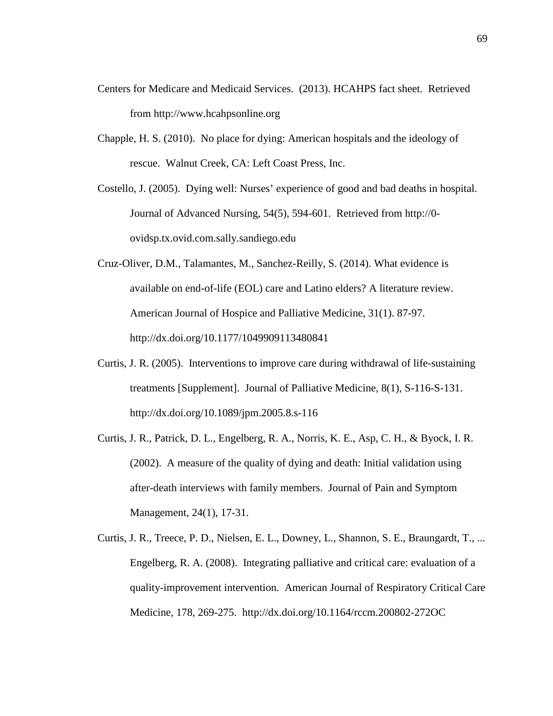- Centers for Medicare and Medicaid Services. (2013). HCAHPS fact sheet. Retrieved from http://www.hcahpsonline.org
- Chapple, H. S. (2010). No place for dying: American hospitals and the ideology of rescue. Walnut Creek, CA: Left Coast Press, Inc.
- Costello, J. (2005). Dying well: Nurses' experience of good and bad deaths in hospital. Journal of Advanced Nursing, 54(5), 594-601. Retrieved from http://0 ovidsp.tx.ovid.com.sally.sandiego.edu
- Cruz-Oliver, D.M., Talamantes, M., Sanchez-Reilly, S. (2014). What evidence is available on end-of-life (EOL) care and Latino elders? A literature review. American Journal of Hospice and Palliative Medicine, 31(1). 87-97. http://dx.doi.org/10.1177/1049909113480841
- Curtis, J. R. (2005). Interventions to improve care during withdrawal of life-sustaining treatments [Supplement]. Journal of Palliative Medicine, 8(1), S-116-S-131. http://dx.doi.org/10.1089/jpm.2005.8.s-116
- Curtis, J. R., Patrick, D. L., Engelberg, R. A., Norris, K. E., Asp, C. H., & Byock, I. R. (2002). A measure of the quality of dying and death: Initial validation using after-death interviews with family members. Journal of Pain and Symptom Management, 24(1), 17-31.
- Curtis, J. R., Treece, P. D., Nielsen, E. L., Downey, L., Shannon, S. E., Braungardt, T., ... Engelberg, R. A. (2008). Integrating palliative and critical care: evaluation of a quality-improvement intervention. American Journal of Respiratory Critical Care Medicine, 178, 269-275. http://dx.doi.org/10.1164/rccm.200802-272OC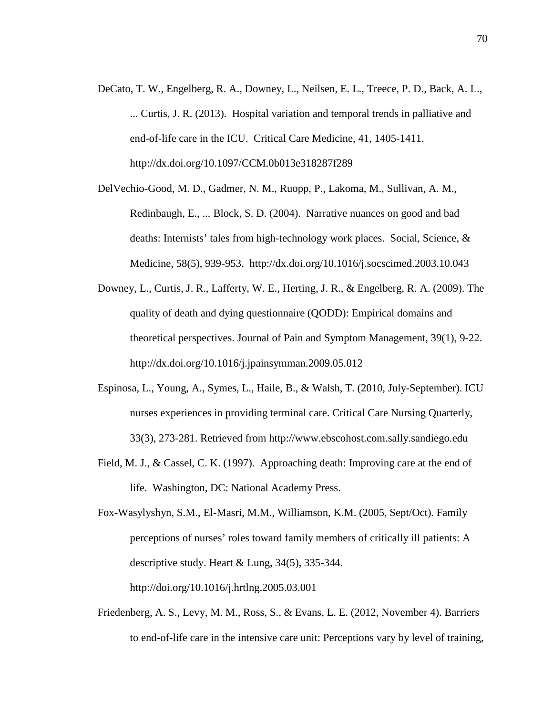- DeCato, T. W., Engelberg, R. A., Downey, L., Neilsen, E. L., Treece, P. D., Back, A. L., ... Curtis, J. R. (2013). Hospital variation and temporal trends in palliative and end-of-life care in the ICU. Critical Care Medicine, 41, 1405-1411. http://dx.doi.org/10.1097/CCM.0b013e318287f289
- DelVechio-Good, M. D., Gadmer, N. M., Ruopp, P., Lakoma, M., Sullivan, A. M., Redinbaugh, E., ... Block, S. D. (2004). Narrative nuances on good and bad deaths: Internists' tales from high-technology work places. Social, Science, & Medicine, 58(5), 939-953. http://dx.doi.org/10.1016/j.socscimed.2003.10.043
- Downey, L., Curtis, J. R., Lafferty, W. E., Herting, J. R., & Engelberg, R. A. (2009). The quality of death and dying questionnaire (QODD): Empirical domains and theoretical perspectives. Journal of Pain and Symptom Management, 39(1), 9-22. http://dx.doi.org/10.1016/j.jpainsymman.2009.05.012
- Espinosa, L., Young, A., Symes, L., Haile, B., & Walsh, T. (2010, July-September). ICU nurses experiences in providing terminal care. Critical Care Nursing Quarterly, 33(3), 273-281. Retrieved from http://www.ebscohost.com.sally.sandiego.edu
- Field, M. J., & Cassel, C. K. (1997). Approaching death: Improving care at the end of life. Washington, DC: National Academy Press.
- Fox-Wasylyshyn, S.M., El-Masri, M.M., Williamson, K.M. (2005, Sept/Oct). Family perceptions of nurses' roles toward family members of critically ill patients: A descriptive study. Heart & Lung, 34(5), 335-344. http://doi.org/10.1016/j.hrtlng.2005.03.001
- Friedenberg, A. S., Levy, M. M., Ross, S., & Evans, L. E. (2012, November 4). Barriers to end-of-life care in the intensive care unit: Perceptions vary by level of training,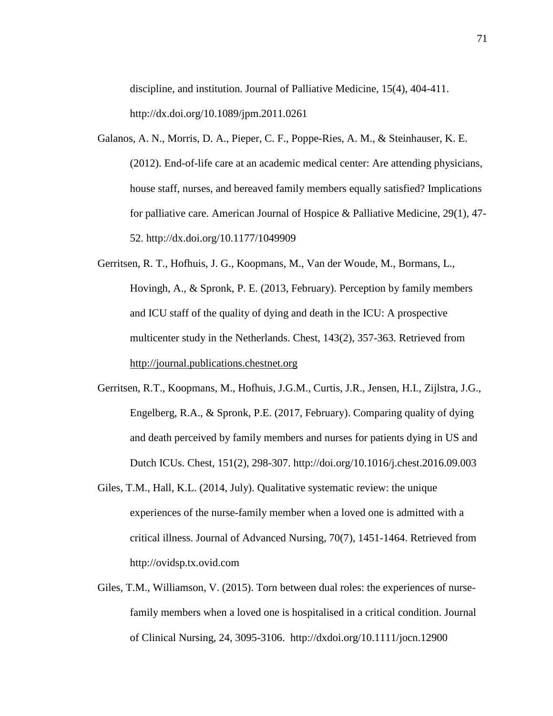discipline, and institution. Journal of Palliative Medicine, 15(4), 404-411. http://dx.doi.org/10.1089/jpm.2011.0261

- Galanos, A. N., Morris, D. A., Pieper, C. F., Poppe-Ries, A. M., & Steinhauser, K. E. (2012). End-of-life care at an academic medical center: Are attending physicians, house staff, nurses, and bereaved family members equally satisfied? Implications for palliative care. American Journal of Hospice & Palliative Medicine, 29(1), 47- 52. http://dx.doi.org/10.1177/1049909
- Gerritsen, R. T., Hofhuis, J. G., Koopmans, M., Van der Woude, M., Bormans, L., Hovingh, A., & Spronk, P. E. (2013, February). Perception by family members and ICU staff of the quality of dying and death in the ICU: A prospective multicenter study in the Netherlands. Chest, 143(2), 357-363. Retrieved from [http://journal.publications.chestnet.org](http://journal.publications.chestnet.org/)
- Gerritsen, R.T., Koopmans, M., Hofhuis, J.G.M., Curtis, J.R., Jensen, H.I., Zijlstra, J.G., Engelberg, R.A., & Spronk, P.E. (2017, February). Comparing quality of dying and death perceived by family members and nurses for patients dying in US and Dutch ICUs. Chest, 151(2), 298-307. http://doi.org/10.1016/j.chest.2016.09.003
- Giles, T.M., Hall, K.L. (2014, July). Qualitative systematic review: the unique experiences of the nurse-family member when a loved one is admitted with a critical illness. Journal of Advanced Nursing, 70(7), 1451-1464. Retrieved from http://ovidsp.tx.ovid.com
- Giles, T.M., Williamson, V. (2015). Torn between dual roles: the experiences of nursefamily members when a loved one is hospitalised in a critical condition. Journal of Clinical Nursing, 24, 3095-3106. http://dxdoi.org/10.1111/jocn.12900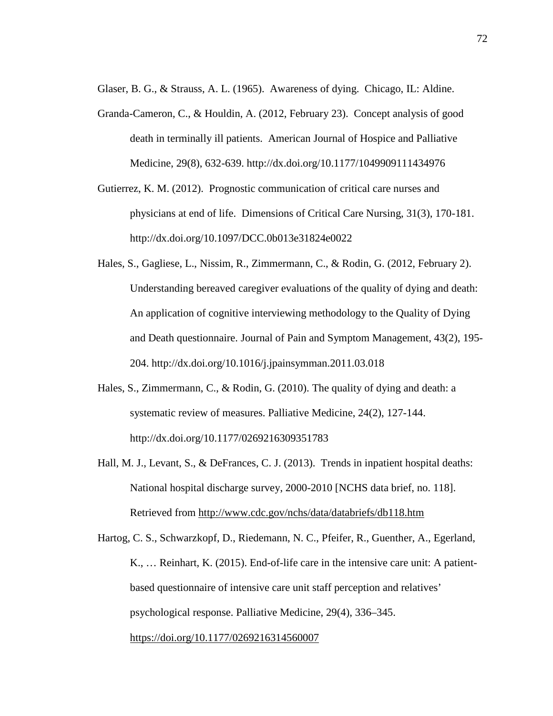Glaser, B. G., & Strauss, A. L. (1965). Awareness of dying. Chicago, IL: Aldine.

- Granda-Cameron, C., & Houldin, A. (2012, February 23). Concept analysis of good death in terminally ill patients. American Journal of Hospice and Palliative Medicine, 29(8), 632-639. http://dx.doi.org/10.1177/1049909111434976
- Gutierrez, K. M. (2012). Prognostic communication of critical care nurses and physicians at end of life. Dimensions of Critical Care Nursing, 31(3), 170-181. http://dx.doi.org/10.1097/DCC.0b013e31824e0022
- Hales, S., Gagliese, L., Nissim, R., Zimmermann, C., & Rodin, G. (2012, February 2). Understanding bereaved caregiver evaluations of the quality of dying and death: An application of cognitive interviewing methodology to the Quality of Dying and Death questionnaire. Journal of Pain and Symptom Management, 43(2), 195- 204. http://dx.doi.org/10.1016/j.jpainsymman.2011.03.018
- Hales, S., Zimmermann, C., & Rodin, G. (2010). The quality of dying and death: a systematic review of measures. Palliative Medicine, 24(2), 127-144. http://dx.doi.org/10.1177/0269216309351783
- Hall, M. J., Levant, S., & DeFrances, C. J. (2013). Trends in inpatient hospital deaths: National hospital discharge survey, 2000-2010 [NCHS data brief, no. 118]. Retrieved from<http://www.cdc.gov/nchs/data/databriefs/db118.htm>
- Hartog, C. S., Schwarzkopf, D., Riedemann, N. C., Pfeifer, R., Guenther, A., Egerland, K., … Reinhart, K. (2015). End-of-life care in the intensive care unit: A patientbased questionnaire of intensive care unit staff perception and relatives' psychological response. Palliative Medicine, 29(4), 336–345. <https://doi.org/10.1177/0269216314560007>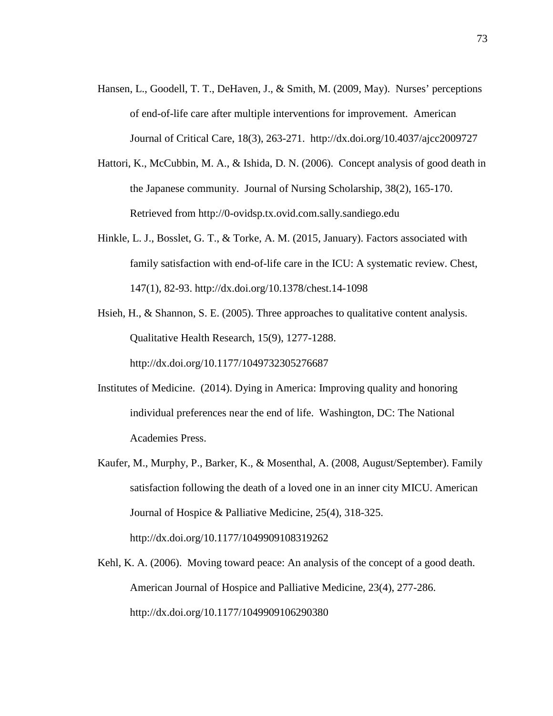- Hansen, L., Goodell, T. T., DeHaven, J., & Smith, M. (2009, May). Nurses' perceptions of end-of-life care after multiple interventions for improvement. American Journal of Critical Care, 18(3), 263-271. http://dx.doi.org/10.4037/ajcc2009727
- Hattori, K., McCubbin, M. A., & Ishida, D. N. (2006). Concept analysis of good death in the Japanese community. Journal of Nursing Scholarship, 38(2), 165-170. Retrieved from http://0-ovidsp.tx.ovid.com.sally.sandiego.edu
- Hinkle, L. J., Bosslet, G. T., & Torke, A. M. (2015, January). Factors associated with family satisfaction with end-of-life care in the ICU: A systematic review. Chest, 147(1), 82-93. http://dx.doi.org/10.1378/chest.14-1098
- Hsieh, H., & Shannon, S. E. (2005). Three approaches to qualitative content analysis. Qualitative Health Research, 15(9), 1277-1288. http://dx.doi.org/10.1177/1049732305276687
- Institutes of Medicine. (2014). Dying in America: Improving quality and honoring individual preferences near the end of life. Washington, DC: The National Academies Press.
- Kaufer, M., Murphy, P., Barker, K., & Mosenthal, A. (2008, August/September). Family satisfaction following the death of a loved one in an inner city MICU. American Journal of Hospice & Palliative Medicine, 25(4), 318-325. http://dx.doi.org/10.1177/1049909108319262
- Kehl, K. A. (2006). Moving toward peace: An analysis of the concept of a good death. American Journal of Hospice and Palliative Medicine, 23(4), 277-286. http://dx.doi.org/10.1177/1049909106290380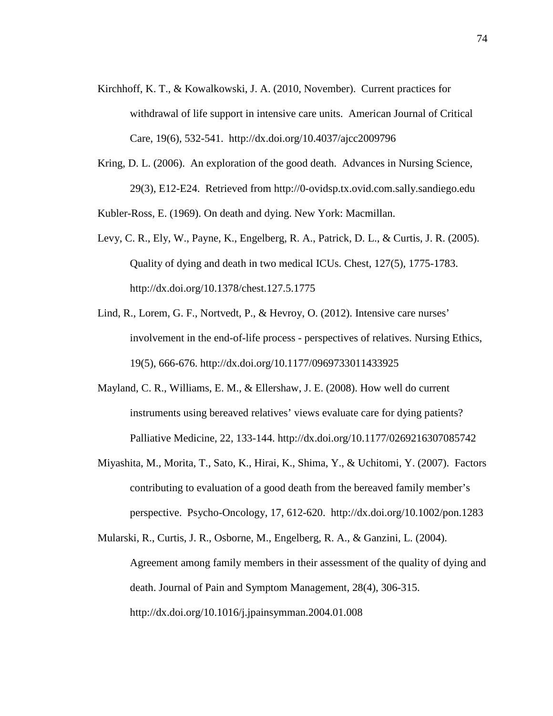- Kirchhoff, K. T., & Kowalkowski, J. A. (2010, November). Current practices for withdrawal of life support in intensive care units. American Journal of Critical Care, 19(6), 532-541. http://dx.doi.org/10.4037/ajcc2009796
- Kring, D. L. (2006). An exploration of the good death. Advances in Nursing Science, 29(3), E12-E24. Retrieved from http://0-ovidsp.tx.ovid.com.sally.sandiego.edu

Kubler-Ross, E. (1969). On death and dying. New York: Macmillan.

- Levy, C. R., Ely, W., Payne, K., Engelberg, R. A., Patrick, D. L., & Curtis, J. R. (2005). Quality of dying and death in two medical ICUs. Chest, 127(5), 1775-1783. http://dx.doi.org/10.1378/chest.127.5.1775
- Lind, R., Lorem, G. F., Nortvedt, P., & Hevroy, O. (2012). Intensive care nurses' involvement in the end-of-life process - perspectives of relatives. Nursing Ethics, 19(5), 666-676. http://dx.doi.org/10.1177/0969733011433925
- Mayland, C. R., Williams, E. M., & Ellershaw, J. E. (2008). How well do current instruments using bereaved relatives' views evaluate care for dying patients? Palliative Medicine, 22, 133-144. http://dx.doi.org/10.1177/0269216307085742
- Miyashita, M., Morita, T., Sato, K., Hirai, K., Shima, Y., & Uchitomi, Y. (2007). Factors contributing to evaluation of a good death from the bereaved family member's perspective. Psycho-Oncology, 17, 612-620. http://dx.doi.org/10.1002/pon.1283
- Mularski, R., Curtis, J. R., Osborne, M., Engelberg, R. A., & Ganzini, L. (2004). Agreement among family members in their assessment of the quality of dying and death. Journal of Pain and Symptom Management, 28(4), 306-315. http://dx.doi.org/10.1016/j.jpainsymman.2004.01.008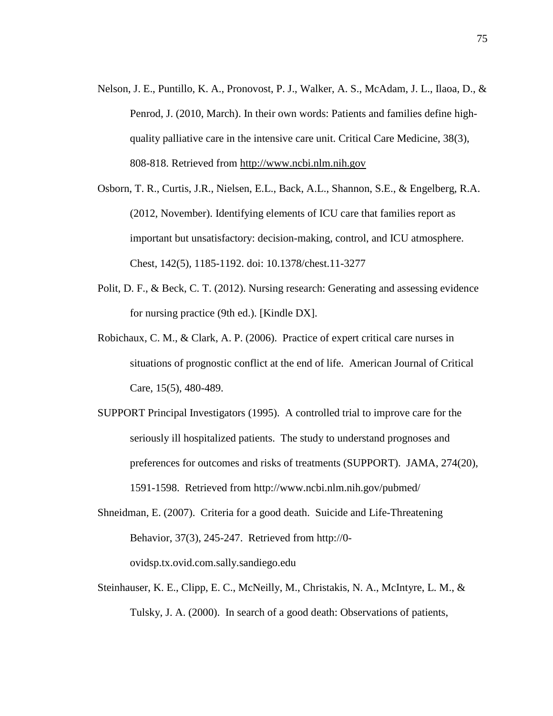- Nelson, J. E., Puntillo, K. A., Pronovost, P. J., Walker, A. S., McAdam, J. L., Ilaoa, D., & Penrod, J. (2010, March). In their own words: Patients and families define highquality palliative care in the intensive care unit. Critical Care Medicine, 38(3), 808-818. Retrieved from [http://www.ncbi.nlm.nih.gov](http://www.ncbi.nlm.nih.gov/)
- Osborn, T. R., Curtis, J.R., Nielsen, E.L., Back, A.L., Shannon, S.E., & Engelberg, R.A. (2012, November). Identifying elements of ICU care that families report as important but unsatisfactory: decision-making, control, and ICU atmosphere. Chest, 142(5), 1185-1192. doi: 10.1378/chest.11-3277
- Polit, D. F., & Beck, C. T. (2012). Nursing research: Generating and assessing evidence for nursing practice (9th ed.). [Kindle DX].
- Robichaux, C. M., & Clark, A. P. (2006). Practice of expert critical care nurses in situations of prognostic conflict at the end of life. American Journal of Critical Care, 15(5), 480-489.
- SUPPORT Principal Investigators (1995). A controlled trial to improve care for the seriously ill hospitalized patients. The study to understand prognoses and preferences for outcomes and risks of treatments (SUPPORT). JAMA, 274(20), 1591-1598. Retrieved from http://www.ncbi.nlm.nih.gov/pubmed/
- Shneidman, E. (2007). Criteria for a good death. Suicide and Life-Threatening Behavior, 37(3), 245-247. Retrieved from http://0 ovidsp.tx.ovid.com.sally.sandiego.edu
- Steinhauser, K. E., Clipp, E. C., McNeilly, M., Christakis, N. A., McIntyre, L. M., & Tulsky, J. A. (2000). In search of a good death: Observations of patients,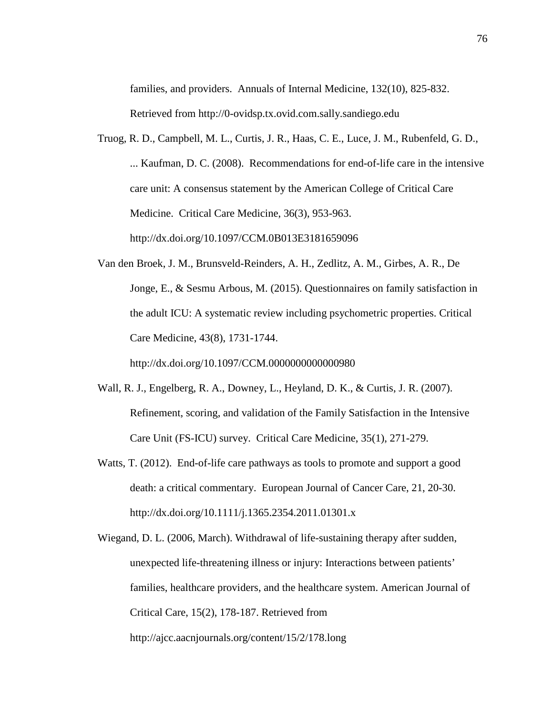families, and providers. Annuals of Internal Medicine, 132(10), 825-832. Retrieved from http://0-ovidsp.tx.ovid.com.sally.sandiego.edu

- Truog, R. D., Campbell, M. L., Curtis, J. R., Haas, C. E., Luce, J. M., Rubenfeld, G. D., ... Kaufman, D. C. (2008). Recommendations for end-of-life care in the intensive care unit: A consensus statement by the American College of Critical Care Medicine. Critical Care Medicine, 36(3), 953-963. http://dx.doi.org/10.1097/CCM.0B013E3181659096
- Van den Broek, J. M., Brunsveld-Reinders, A. H., Zedlitz, A. M., Girbes, A. R., De Jonge, E., & Sesmu Arbous, M. (2015). Questionnaires on family satisfaction in the adult ICU: A systematic review including psychometric properties. Critical Care Medicine, 43(8), 1731-1744.

http://dx.doi.org/10.1097/CCM.0000000000000980

- Wall, R. J., Engelberg, R. A., Downey, L., Heyland, D. K., & Curtis, J. R. (2007). Refinement, scoring, and validation of the Family Satisfaction in the Intensive Care Unit (FS-ICU) survey. Critical Care Medicine, 35(1), 271-279.
- Watts, T. (2012). End-of-life care pathways as tools to promote and support a good death: a critical commentary. European Journal of Cancer Care, 21, 20-30. http://dx.doi.org/10.1111/j.1365.2354.2011.01301.x
- Wiegand, D. L. (2006, March). Withdrawal of life-sustaining therapy after sudden, unexpected life-threatening illness or injury: Interactions between patients' families, healthcare providers, and the healthcare system. American Journal of Critical Care, 15(2), 178-187. Retrieved from http://ajcc.aacnjournals.org/content/15/2/178.long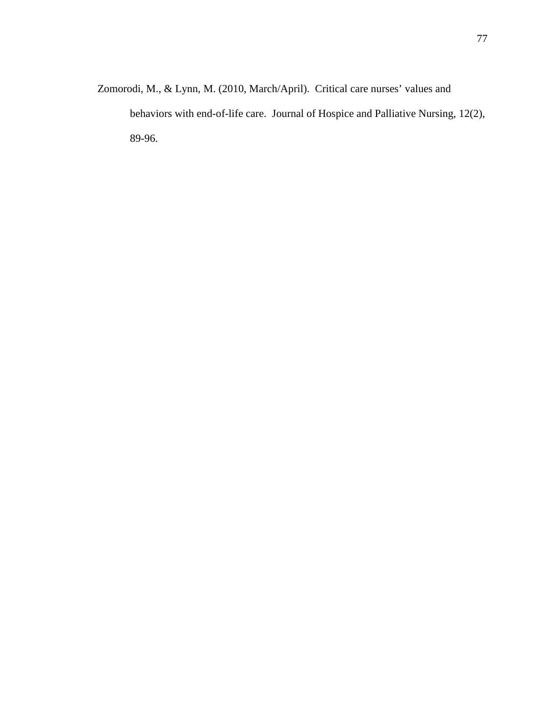Zomorodi, M., & Lynn, M. (2010, March/April). Critical care nurses' values and behaviors with end-of-life care. Journal of Hospice and Palliative Nursing, 12(2), 89-96.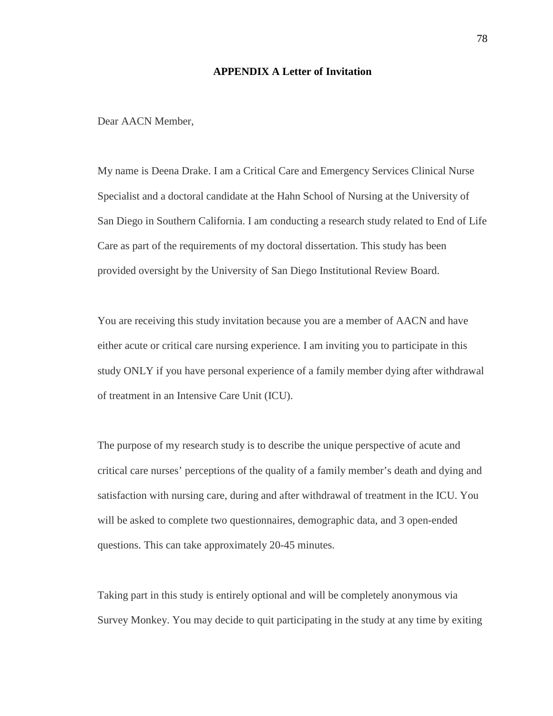### **APPENDIX A Letter of Invitation**

Dear AACN Member,

My name is Deena Drake. I am a Critical Care and Emergency Services Clinical Nurse Specialist and a doctoral candidate at the Hahn School of Nursing at the University of San Diego in Southern California. I am conducting a research study related to End of Life Care as part of the requirements of my doctoral dissertation. This study has been provided oversight by the University of San Diego Institutional Review Board.

You are receiving this study invitation because you are a member of AACN and have either acute or critical care nursing experience. I am inviting you to participate in this study ONLY if you have personal experience of a family member dying after withdrawal of treatment in an Intensive Care Unit (ICU).

The purpose of my research study is to describe the unique perspective of acute and critical care nurses' perceptions of the quality of a family member's death and dying and satisfaction with nursing care, during and after withdrawal of treatment in the ICU. You will be asked to complete two questionnaires, demographic data, and 3 open-ended questions. This can take approximately 20-45 minutes.

Taking part in this study is entirely optional and will be completely anonymous via Survey Monkey. You may decide to quit participating in the study at any time by exiting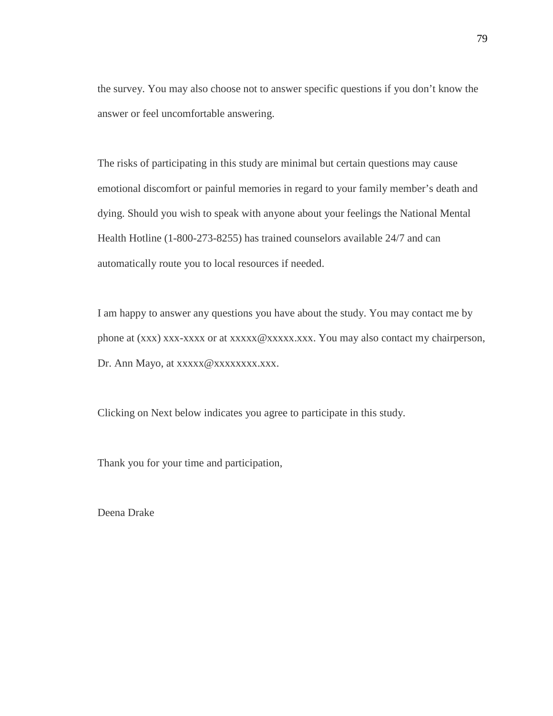the survey. You may also choose not to answer specific questions if you don't know the answer or feel uncomfortable answering.

The risks of participating in this study are minimal but certain questions may cause emotional discomfort or painful memories in regard to your family member's death and dying. Should you wish to speak with anyone about your feelings the National Mental Health Hotline (1-800-273-8255) has trained counselors available 24/7 and can automatically route you to local resources if needed.

I am happy to answer any questions you have about the study. You may contact me by phone at (xxx) xxx-xxxx or at xxxxx $@xxxxxxx$ . You may also contact my chairperson, Dr. Ann Mayo, at xxxxx @xxxxxxxxx.xxx.

Clicking on Next below indicates you agree to participate in this study.

Thank you for your time and participation,

Deena Drake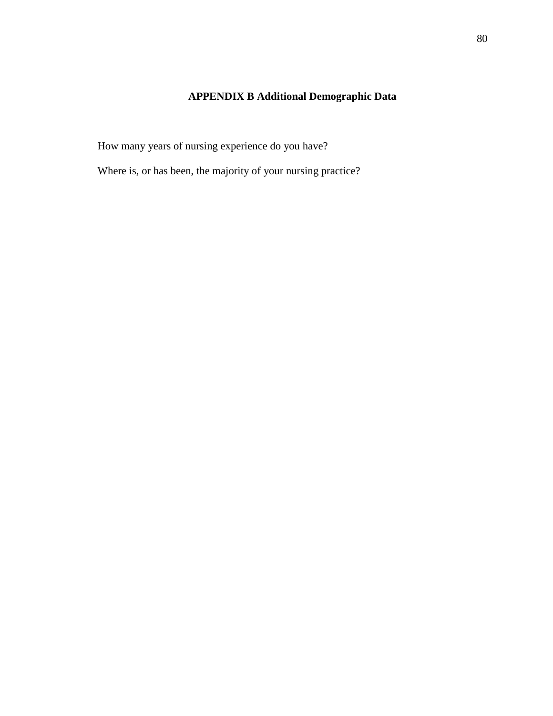# **APPENDIX B Additional Demographic Data**

How many years of nursing experience do you have?

Where is, or has been, the majority of your nursing practice?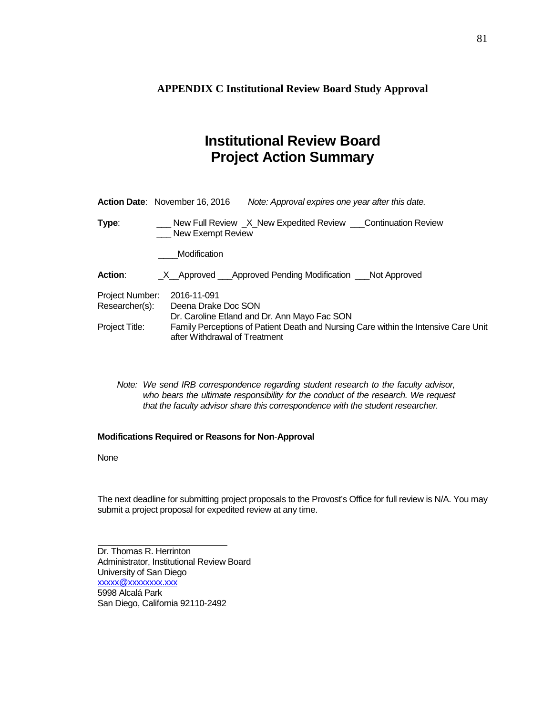**APPENDIX C Institutional Review Board Study Approval**

# **Institutional Review Board Project Action Summary**

|                                                                                                                                        | <b>Action Date:</b> November 16, 2016 | Note: Approval expires one year after this date.               |
|----------------------------------------------------------------------------------------------------------------------------------------|---------------------------------------|----------------------------------------------------------------|
| Type:                                                                                                                                  | New Exempt Review                     | New Full Review _X_New Expedited Review ___Continuation Review |
|                                                                                                                                        | Modification                          |                                                                |
| <b>Action:</b>                                                                                                                         |                                       | _X__Approved ___Approved Pending Modification ___Not Approved  |
| Project Number:<br>Researcher(s):                                                                                                      | 2016-11-091<br>Deena Drake Doc SON    | Dr. Caroline Etland and Dr. Ann Mayo Fac SON                   |
| Family Perceptions of Patient Death and Nursing Care within the Intensive Care Unit<br>Project Title:<br>after Withdrawal of Treatment |                                       |                                                                |

*Note: We send IRB correspondence regarding student research to the faculty advisor,*  who bears the ultimate responsibility for the conduct of the research. We request *that the faculty advisor share this correspondence with the student researcher.*

#### **Modifications Required or Reasons for Non**-**Approval**

None

The next deadline for submitting project proposals to the Provost's Office for full review is N/A. You may submit a project proposal for expedited review at any time.

Dr. Thomas R. Herrinton Administrator, Institutional Review Board University of San Diego xxxxx@xxxxxxxx.xxx 5998 Alcalá Park San Diego, California 92110-2492